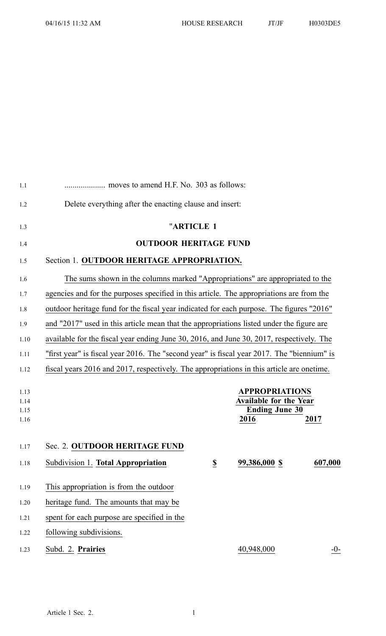| 1.1          |                                                                                            |                          |                                                        |         |  |
|--------------|--------------------------------------------------------------------------------------------|--------------------------|--------------------------------------------------------|---------|--|
| 1.2          | Delete everything after the enacting clause and insert:                                    |                          |                                                        |         |  |
| 1.3          |                                                                                            | "ARTICLE 1               |                                                        |         |  |
| 1.4          | <b>OUTDOOR HERITAGE FUND</b>                                                               |                          |                                                        |         |  |
| 1.5          | Section 1. OUTDOOR HERITAGE APPROPRIATION.                                                 |                          |                                                        |         |  |
| 1.6          | The sums shown in the columns marked "Appropriations" are appropriated to the              |                          |                                                        |         |  |
| 1.7          | agencies and for the purposes specified in this article. The appropriations are from the   |                          |                                                        |         |  |
| 1.8          | outdoor heritage fund for the fiscal year indicated for each purpose. The figures "2016"   |                          |                                                        |         |  |
| 1.9          | and "2017" used in this article mean that the appropriations listed under the figure are   |                          |                                                        |         |  |
| 1.10         | available for the fiscal year ending June 30, 2016, and June 30, 2017, respectively. The   |                          |                                                        |         |  |
| 1.11         | "first year" is fiscal year 2016. The "second year" is fiscal year 2017. The "biennium" is |                          |                                                        |         |  |
| 1.12         | fiscal years 2016 and 2017, respectively. The appropriations in this article are onetime.  |                          |                                                        |         |  |
| 1.13         |                                                                                            |                          | <b>APPROPRIATIONS</b>                                  |         |  |
| 1.14<br>1.15 |                                                                                            |                          | <b>Available for the Year</b><br><b>Ending June 30</b> |         |  |
| 1.16         |                                                                                            |                          | 2016                                                   | 2017    |  |
|              |                                                                                            |                          |                                                        |         |  |
| 1.17         | Sec. 2. OUTDOOR HERITAGE FUND                                                              |                          |                                                        |         |  |
| 1.18         | Subdivision 1. Total Appropriation                                                         | $\underline{\mathbb{S}}$ | 99,386,000 \$                                          | 607,000 |  |
| 1.19         | This appropriation is from the outdoor                                                     |                          |                                                        |         |  |
| 1.20         | heritage fund. The amounts that may be                                                     |                          |                                                        |         |  |
| 1.21         | spent for each purpose are specified in the                                                |                          |                                                        |         |  |
| 1.22         | following subdivisions.                                                                    |                          |                                                        |         |  |
| 1.23         | Subd. 2. Prairies                                                                          |                          | 40,948,000                                             | $-0-$   |  |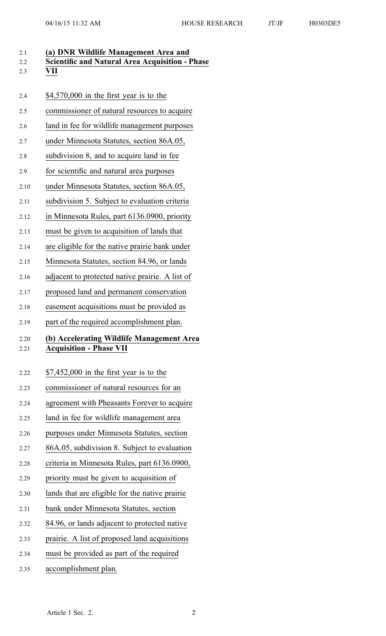| 2.1<br>2.2<br>2.3 | (a) DNR Wildlife Management Area and<br><b>Scientific and Natural Area Acquisition - Phase</b><br>VII |
|-------------------|-------------------------------------------------------------------------------------------------------|
| 2.4               | $$4,570,000$ in the first year is to the                                                              |
| 2.5               | commissioner of natural resources to acquire                                                          |
| 2.6               | land in fee for wildlife management purposes                                                          |
| 2.7               | under Minnesota Statutes, section 86A.05,                                                             |
| 2.8               | subdivision 8, and to acquire land in fee                                                             |
| 2.9               | for scientific and natural area purposes                                                              |
| 2.10              | under Minnesota Statutes, section 86A.05,                                                             |
| 2.11              | subdivision 5. Subject to evaluation criteria                                                         |
| 2.12              | in Minnesota Rules, part 6136.0900, priority                                                          |
| 2.13              | must be given to acquisition of lands that                                                            |
| 2.14              | are eligible for the native prairie bank under                                                        |
| 2.15              | Minnesota Statutes, section 84.96, or lands                                                           |
| 2.16              | adjacent to protected native prairie. A list of                                                       |
| 2.17              | proposed land and permanent conservation                                                              |
| 2.18              | easement acquisitions must be provided as                                                             |
| 2.19              | part of the required accomplishment plan.                                                             |
| 2.20<br>2.21      | (b) Accelerating Wildlife Management Area<br><b>Acquisition - Phase VII</b>                           |
| 2.22              | $$7,452,000$ in the first year is to the                                                              |
| 2.23              | commissioner of natural resources for an                                                              |
| 2.24              | agreement with Pheasants Forever to acquire                                                           |
| 2.25              | land in fee for wildlife management area                                                              |
| 2.26              | purposes under Minnesota Statutes, section                                                            |
| 2.27              | 86A.05, subdivision 8. Subject to evaluation                                                          |
| 2.28              | criteria in Minnesota Rules, part 6136.0900,                                                          |
| 2.29              | priority must be given to acquisition of                                                              |
| 2.30              | lands that are eligible for the native prairie                                                        |
| 2.31              | bank under Minnesota Statutes, section                                                                |
| 2.32              | 84.96, or lands adjacent to protected native                                                          |
| 2.33              | prairie. A list of proposed land acquisitions                                                         |
| 2.34              | must be provided as part of the required                                                              |
| 2.35              | accomplishment plan.                                                                                  |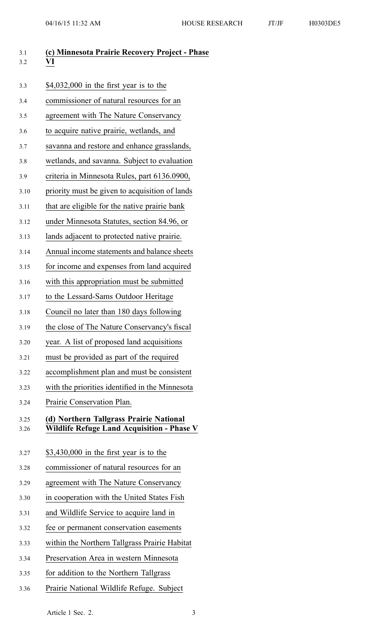| 3.1<br>3.2   | (c) Minnesota Prairie Recovery Project - Phase<br>VI                                         |
|--------------|----------------------------------------------------------------------------------------------|
| 3.3          | $$4,032,000$ in the first year is to the                                                     |
| 3.4          | commissioner of natural resources for an                                                     |
| 3.5          | agreement with The Nature Conservancy                                                        |
| 3.6          | to acquire native prairie, wetlands, and                                                     |
| 3.7          | savanna and restore and enhance grasslands,                                                  |
| 3.8          | wetlands, and savanna. Subject to evaluation                                                 |
| 3.9          | criteria in Minnesota Rules, part 6136.0900,                                                 |
| 3.10         | priority must be given to acquisition of lands                                               |
| 3.11         | that are eligible for the native prairie bank                                                |
| 3.12         | under Minnesota Statutes, section 84.96, or                                                  |
| 3.13         | lands adjacent to protected native prairie.                                                  |
| 3.14         | Annual income statements and balance sheets                                                  |
| 3.15         | for income and expenses from land acquired                                                   |
| 3.16         | with this appropriation must be submitted                                                    |
| 3.17         | to the Lessard-Sams Outdoor Heritage                                                         |
| 3.18         | Council no later than 180 days following                                                     |
| 3.19         | the close of The Nature Conservancy's fiscal                                                 |
| 3.20         | year. A list of proposed land acquisitions                                                   |
| 3.21         | must be provided as part of the required                                                     |
| 3.22         | accomplishment plan and must be consistent                                                   |
| 3.23         | with the priorities identified in the Minnesota                                              |
| 3.24         | Prairie Conservation Plan.                                                                   |
| 3.25<br>3.26 | (d) Northern Tallgrass Prairie National<br><b>Wildlife Refuge Land Acquisition - Phase V</b> |
| 3.27         | $$3,430,000$ in the first year is to the                                                     |
| 3.28         | commissioner of natural resources for an                                                     |
| 3.29         | agreement with The Nature Conservancy                                                        |
| 3.30         | in cooperation with the United States Fish                                                   |
| 3.31         | and Wildlife Service to acquire land in                                                      |
| 3.32         | fee or permanent conservation easements                                                      |
| 3.33         | within the Northern Tallgrass Prairie Habitat                                                |
| 3.34         | Preservation Area in western Minnesota                                                       |
| 3.35         | for addition to the Northern Tallgrass                                                       |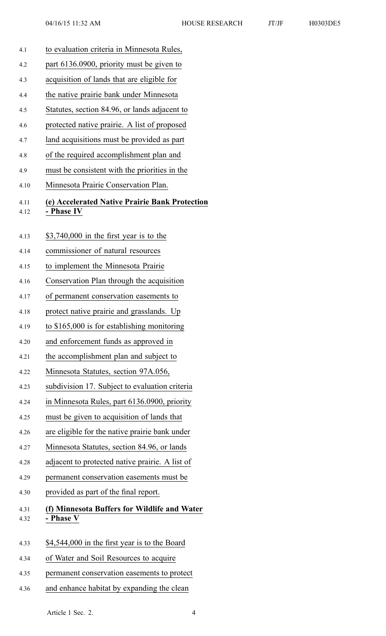- 4.1 to evaluation criteria in Minnesota Rules, 4.2 par<sup>t</sup> 6136.0900, priority must be given to 4.3 acquisition of lands that are eligible for 4.4 the native prairie bank under Minnesota 4.5 Statutes, section 84.96, or lands adjacent to 4.6 protected native prairie. A list of proposed 4.7 land acquisitions must be provided as par<sup>t</sup> 4.8 of the required accomplishment plan and 4.9 must be consistent with the priorities in the 4.10 Minnesota Prairie Conservation Plan. 4.11 **(e) Accelerated Native Prairie Bank Protection** 4.12 **- Phase IV** 4.13 \$3,740,000 in the first year is to the 4.14 commissioner of natural resources 4.15 to implement the Minnesota Prairie 4.16 Conservation Plan through the acquisition 4.17 of permanen<sup>t</sup> conservation easements to 4.18 protect native prairie and grasslands. Up 4.19 to \$165,000 is for establishing monitoring 4.20 and enforcement funds as approved in 4.21 the accomplishment plan and subject to 4.22 Minnesota Statutes, section 97A.056, 4.23 subdivision 17. Subject to evaluation criteria 4.24 in Minnesota Rules, par<sup>t</sup> 6136.0900, priority 4.25 must be given to acquisition of lands that 4.26 are eligible for the native prairie bank under 4.27 Minnesota Statutes, section 84.96, or lands 4.28 adjacent to protected native prairie. A list of 4.29 permanen<sup>t</sup> conservation easements must be 4.30 provided as par<sup>t</sup> of the final report. 4.31 **(f) Minnesota Buffers for Wildlife and Water** 4.32 **- Phase V** 4.33 \$4,544,000 in the first year is to the Board 4.34 of Water and Soil Resources to acquire 4.35 permanen<sup>t</sup> conservation easements to protect
- 4.36 and enhance habitat by expanding the clean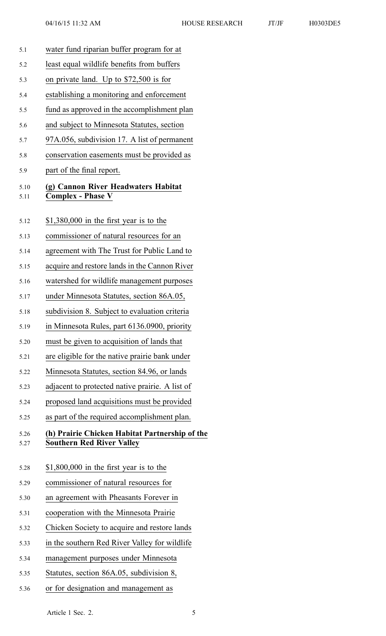- 5.1 water fund riparian buffer program for at 5.2 least equal wildlife benefits from buffers 5.3 on private land. Up to \$72,500 is for 5.4 establishing <sup>a</sup> monitoring and enforcement 5.5 fund as approved in the accomplishment plan 5.6 and subject to Minnesota Statutes, section 5.7 97A.056, subdivision 17. A list of permanen<sup>t</sup> 5.8 conservation easements must be provided as 5.9 par<sup>t</sup> of the final report. 5.10 **(g) Cannon River Headwaters Habitat** 5.11 **Complex - Phase V** 5.12 \$1,380,000 in the first year is to the 5.13 commissioner of natural resources for an 5.14 agreemen<sup>t</sup> with The Trust for Public Land to 5.15 acquire and restore lands in the Cannon River 5.16 watershed for wildlife managemen<sup>t</sup> purposes 5.17 under Minnesota Statutes, section 86A.05, 5.18 subdivision 8. Subject to evaluation criteria 5.19 in Minnesota Rules, par<sup>t</sup> 6136.0900, priority 5.20 must be given to acquisition of lands that 5.21 are eligible for the native prairie bank under 5.22 Minnesota Statutes, section 84.96, or lands 5.23 adjacent to protected native prairie. A list of 5.24 proposed land acquisitions must be provided 5.25 as par<sup>t</sup> of the required accomplishment plan. 5.26 **(h) Prairie Chicken Habitat Partnership of the** 5.27 **Southern Red River Valley** 5.28 \$1,800,000 in the first year is to the 5.29 commissioner of natural resources for 5.30 an agreemen<sup>t</sup> with Pheasants Forever in 5.31 cooperation with the Minnesota Prairie 5.32 Chicken Society to acquire and restore lands 5.33 in the southern Red River Valley for wildlife 5.34 managemen<sup>t</sup> purposes under Minnesota 5.35 Statutes, section 86A.05, subdivision 8,
- 5.36 or for designation and managemen<sup>t</sup> as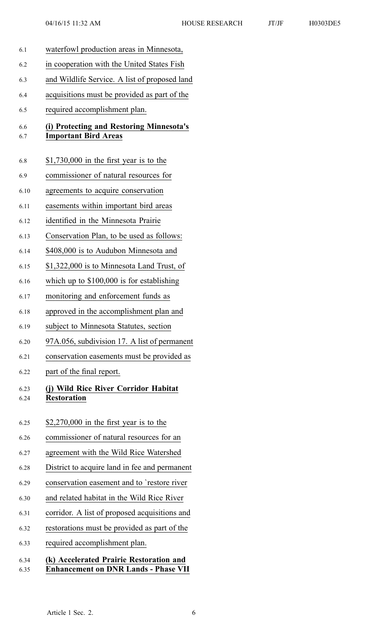6.1 waterfowl production areas in Minnesota, 6.2 in cooperation with the United States Fish 6.3 and Wildlife Service. A list of proposed land 6.4 acquisitions must be provided as par<sup>t</sup> of the 6.5 required accomplishment plan. 6.6 **(i) Protecting and Restoring Minnesota's** 6.7 **Important Bird Areas** 6.8 \$1,730,000 in the first year is to the 6.9 commissioner of natural resources for 6.10 agreements to acquire conservation 6.11 easements within important bird areas 6.12 identified in the Minnesota Prairie 6.13 Conservation Plan, to be used as follows: 6.14 \$408,000 is to Audubon Minnesota and 6.15 \$1,322,000 is to Minnesota Land Trust, of 6.16 which up to \$100,000 is for establishing 6.17 monitoring and enforcement funds as 6.18 approved in the accomplishment plan and 6.19 subject to Minnesota Statutes, section 6.20 97A.056, subdivision 17. A list of permanen<sup>t</sup> 6.21 conservation easements must be provided as 6.22 par<sup>t</sup> of the final report. 6.23 **(j) Wild Rice River Corridor Habitat** 6.24 **Restoration** 6.25 \$2,270,000 in the first year is to the 6.26 commissioner of natural resources for an 6.27 agreemen<sup>t</sup> with the Wild Rice Watershed 6.28 District to acquire land in fee and permanen<sup>t</sup> 6.29 conservation easement and to `restore river 6.30 and related habitat in the Wild Rice River 6.31 corridor. A list of proposed acquisitions and 6.32 restorations must be provided as par<sup>t</sup> of the 6.33 required accomplishment plan. 6.34 **(k) Accelerated Prairie Restoration and** 6.35 **Enhancement on DNR Lands - Phase VII**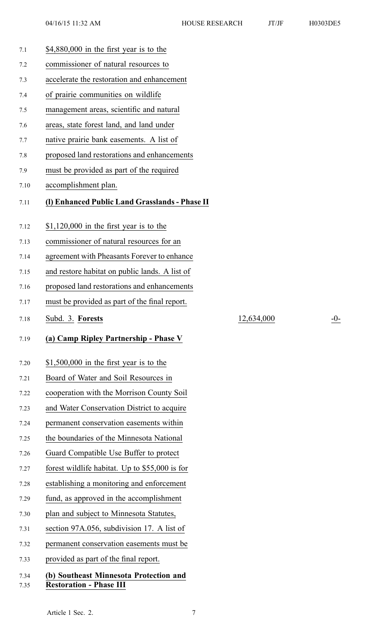| 7.1  | $$4,880,000$ in the first year is to the       |
|------|------------------------------------------------|
| 7.2  | commissioner of natural resources to           |
| 7.3  | accelerate the restoration and enhancement     |
| 7.4  | of prairie communities on wildlife             |
| 7.5  | management areas, scientific and natural       |
| 7.6  | areas, state forest land, and land under       |
| 7.7  | native prairie bank easements. A list of       |
| 7.8  | proposed land restorations and enhancements    |
| 7.9  | must be provided as part of the required       |
| 7.10 | accomplishment plan.                           |
| 7.11 | (I) Enhanced Public Land Grasslands - Phase II |
|      |                                                |
| 7.12 | $$1,120,000$ in the first year is to the       |
| 7.13 | commissioner of natural resources for an       |
| 7.14 | agreement with Pheasants Forever to enhance    |
| 7.15 | and restore habitat on public lands. A list of |
| 7.16 | proposed land restorations and enhancements    |
| 7.17 | must be provided as part of the final report.  |
|      |                                                |
| 7.18 | Subd. 3. Forests                               |
| 7.19 | (a) Camp Ripley Partnership - Phase V          |
|      |                                                |
| 7.20 | $$1,500,000$ in the first year is to the       |
| 7.21 | Board of Water and Soil Resources in           |
| 7.22 | cooperation with the Morrison County Soil      |
| 7.23 | and Water Conservation District to acquire     |
| 7.24 | permanent conservation easements within        |
| 7.25 | the boundaries of the Minnesota National       |
| 7.26 | Guard Compatible Use Buffer to protect         |
| 7.27 | forest wildlife habitat. Up to \$55,000 is for |
| 7.28 | establishing a monitoring and enforcement      |
| 7.29 | fund, as approved in the accomplishment        |
| 7.30 | plan and subject to Minnesota Statutes,        |
| 7.31 | section 97A.056, subdivision 17. A list of     |
| 7.32 | permanent conservation easements must be       |
| 7.33 | provided as part of the final report.          |

## 7.35 **Restoration - Phase III**

7.18 Subd. 3. **Forests** 12,634,000 -0-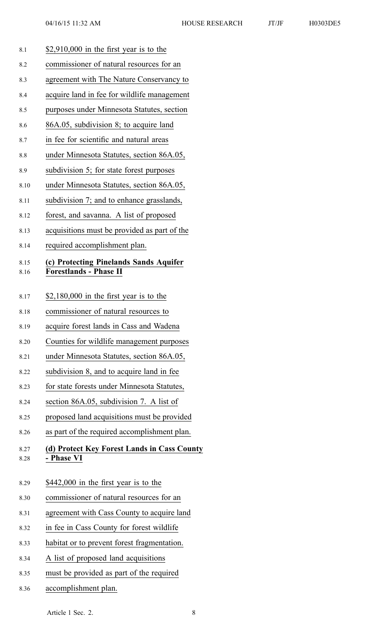| 8.1  | $$2,910,000$ in the first year is to the     |
|------|----------------------------------------------|
| 8.2  | commissioner of natural resources for an     |
| 8.3  | agreement with The Nature Conservancy to     |
| 8.4  | acquire land in fee for wildlife management  |
| 8.5  | purposes under Minnesota Statutes, section   |
| 8.6  | 86A.05, subdivision 8; to acquire land       |
| 8.7  | in fee for scientific and natural areas      |
| 8.8  | under Minnesota Statutes, section 86A.05,    |
| 8.9  | subdivision 5; for state forest purposes     |
| 8.10 | under Minnesota Statutes, section 86A.05,    |
| 8.11 | subdivision 7; and to enhance grasslands,    |
| 8.12 | forest, and savanna. A list of proposed      |
| 8.13 | acquisitions must be provided as part of the |
| 8.14 | required accomplishment plan.                |
| 8.15 | (c) Protecting Pinelands Sands Aquifer       |
| 8.16 | <b>Forestlands - Phase II</b>                |
| 8.17 | $$2,180,000$ in the first year is to the     |
| 8.18 | commissioner of natural resources to         |
| 8.19 | acquire forest lands in Cass and Wadena      |
| 8.20 | Counties for wildlife management purposes    |
| 8.21 | under Minnesota Statutes, section 86A.05,    |
| 8.22 | subdivision 8, and to acquire land in fee    |
| 8.23 | for state forests under Minnesota Statutes,  |
| 8.24 | section 86A.05, subdivision 7. A list of     |
| 8.25 | proposed land acquisitions must be provided  |
| 8.26 | as part of the required accomplishment plan. |
| 8.27 | (d) Protect Key Forest Lands in Cass County  |
| 8.28 | - Phase VI                                   |
|      |                                              |
| 8.29 | \$442,000 in the first year is to the        |
| 8.30 | commissioner of natural resources for an     |
| 8.31 | agreement with Cass County to acquire land   |
| 8.32 | in fee in Cass County for forest wildlife    |
| 8.33 | habitat or to prevent forest fragmentation.  |
| 8.34 | A list of proposed land acquisitions         |
| 8.35 | must be provided as part of the required     |

8.36 accomplishment plan.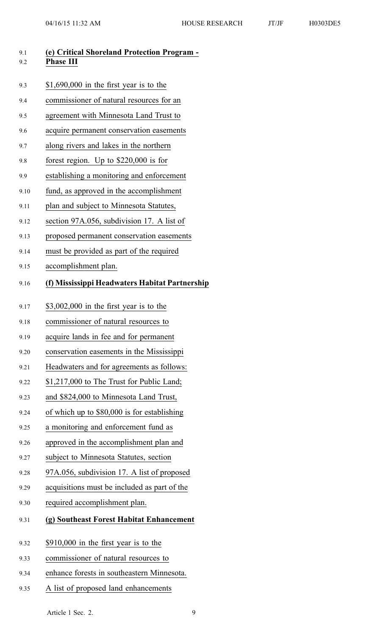| 9.1<br>9.2 | (e) Critical Shoreland Protection Program -<br><b>Phase III</b> |
|------------|-----------------------------------------------------------------|
| 9.3        | $$1,690,000$ in the first year is to the                        |
| 9.4        | commissioner of natural resources for an                        |
| 9.5        | agreement with Minnesota Land Trust to                          |
| 9.6        | acquire permanent conservation easements                        |
| 9.7        | along rivers and lakes in the northern                          |
| 9.8        | forest region. Up to $$220,000$ is for                          |
| 9.9        | establishing a monitoring and enforcement                       |
| 9.10       | fund, as approved in the accomplishment                         |
| 9.11       | plan and subject to Minnesota Statutes,                         |
| 9.12       | section 97A.056, subdivision 17. A list of                      |
| 9.13       | proposed permanent conservation easements                       |
| 9.14       | must be provided as part of the required                        |
| 9.15       | accomplishment plan.                                            |
| 9.16       | (f) Mississippi Headwaters Habitat Partnership                  |
| 9.17       | $$3,002,000$ in the first year is to the                        |
| 9.18       | commissioner of natural resources to                            |
| 9.19       | acquire lands in fee and for permanent                          |
| 9.20       | conservation easements in the Mississippi                       |
| 9.21       | Headwaters and for agreements as follows:                       |
| 9.22       | \$1,217,000 to The Trust for Public Land;                       |
| 9.23       | and \$824,000 to Minnesota Land Trust,                          |
| 9.24       | of which up to \$80,000 is for establishing                     |
| 9.25       | a monitoring and enforcement fund as                            |
| 9.26       | approved in the accomplishment plan and                         |
| 9.27       | subject to Minnesota Statutes, section                          |
| 9.28       | 97A.056, subdivision 17. A list of proposed                     |
| 9.29       | acquisitions must be included as part of the                    |
| 9.30       | required accomplishment plan.                                   |
| 9.31       | (g) Southeast Forest Habitat Enhancement                        |
| 9.32       | $$910,000$ in the first year is to the                          |
| 9.33       | commissioner of natural resources to                            |
| 9.34       | enhance forests in southeastern Minnesota.                      |
| 9.35       | A list of proposed land enhancements                            |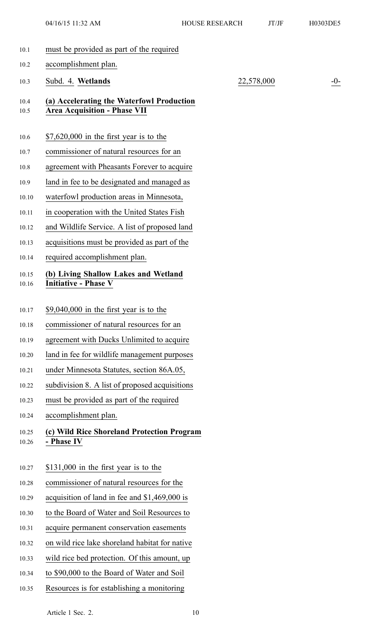04/16/15 11:32 AM HOUSE RESEARCH JT/JF H0303DE5

- 10.1 must be provided as par<sup>t</sup> of the required 10.2 accomplishment plan. 10.3 Subd. 4. **Wetlands** 22,578,000 -0- 10.4 **(a) Accelerating the Waterfowl Production** 10.5 **Area Acquisition - Phase VII** 10.6 \$7,620,000 in the first year is to the 10.7 commissioner of natural resources for an 10.8 agreemen<sup>t</sup> with Pheasants Forever to acquire 10.9 land in fee to be designated and managed as 10.10 waterfowl production areas in Minnesota, 10.11 in cooperation with the United States Fish 10.12 and Wildlife Service. A list of proposed land 10.13 acquisitions must be provided as par<sup>t</sup> of the 10.14 required accomplishment plan. 10.15 **(b) Living Shallow Lakes and Wetland** 10.16 **Initiative - Phase V** 10.17 \$9,040,000 in the first year is to the 10.18 commissioner of natural resources for an 10.19 agreemen<sup>t</sup> with Ducks Unlimited to acquire 10.20 land in fee for wildlife managemen<sup>t</sup> purposes 10.21 under Minnesota Statutes, section 86A.05, 10.22 subdivision 8. A list of proposed acquisitions 10.23 must be provided as par<sup>t</sup> of the required 10.24 accomplishment plan. 10.25 **(c) Wild Rice Shoreland Protection Program** 10.26 **- Phase IV** 10.27 \$131,000 in the first year is to the 10.28 commissioner of natural resources for the 10.29 acquisition of land in fee and \$1,469,000 is 10.30 to the Board of Water and Soil Resources to 10.31 acquire permanen<sup>t</sup> conservation easements 10.32 on wild rice lake shoreland habitat for native 10.33 wild rice bed protection. Of this amount, up
	- 10.34 to \$90,000 to the Board of Water and Soil
	- 10.35 Resources is for establishing <sup>a</sup> monitoring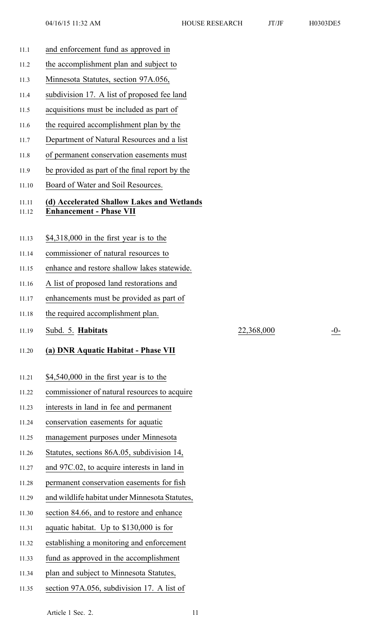- 11.1 and enforcement fund as approved in
- 11.2 the accomplishment plan and subject to
- 11.3 Minnesota Statutes, section 97A.056,
- 11.4 subdivision 17. A list of proposed fee land
- 11.5 acquisitions must be included as par<sup>t</sup> of
- 11.6 the required accomplishment plan by the
- 11.7 Department of Natural Resources and <sup>a</sup> list
- 11.8 of permanen<sup>t</sup> conservation easements must
- 11.9 be provided as par<sup>t</sup> of the final repor<sup>t</sup> by the
- 11.10 Board of Water and Soil Resources.

# 11.11 **(d) Accelerated Shallow Lakes and Wetlands**

- 11.12 **Enhancement - Phase VII**
- 11.13 \$4,318,000 in the first year is to the
- 11.14 commissioner of natural resources to
- 11.15 enhance and restore shallow lakes statewide.
- 11.16 A list of proposed land restorations and
- 11.17 enhancements must be provided as par<sup>t</sup> of
- 11.18 the required accomplishment plan.
- 11.19 Subd. 5. **Habitats** 22,368,000 -0-

## 11.20 **(a) DNR Aquatic Habitat - Phase VII**

- 11.21 \$4,540,000 in the first year is to the
- 11.22 commissioner of natural resources to acquire
- 11.23 interests in land in fee and permanen<sup>t</sup>
- 11.24 conservation easements for aquatic
- 11.25 managemen<sup>t</sup> purposes under Minnesota
- 11.26 Statutes, sections 86A.05, subdivision 14,
- 11.27 and 97C.02, to acquire interests in land in
- 11.28 permanen<sup>t</sup> conservation easements for fish
- 11.29 and wildlife habitat under Minnesota Statutes,
- 11.30 section 84.66, and to restore and enhance
- 11.31 aquatic habitat. Up to \$130,000 is for
- 11.32 establishing <sup>a</sup> monitoring and enforcement
- 11.33 fund as approved in the accomplishment
- 11.34 plan and subject to Minnesota Statutes,
- 11.35 section 97A.056, subdivision 17. A list of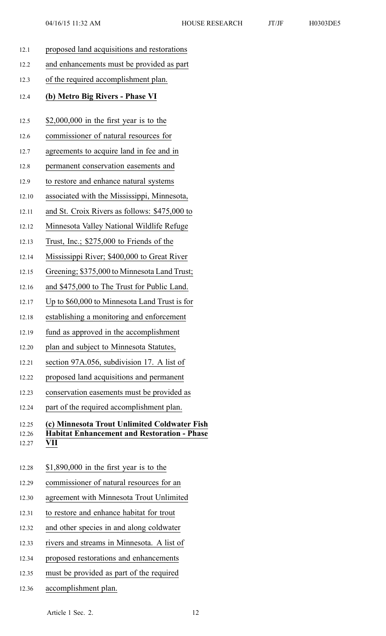| 12.1  | proposed land acquisitions and restorations        |
|-------|----------------------------------------------------|
| 12.2  | and enhancements must be provided as part          |
| 12.3  | of the required accomplishment plan.               |
| 12.4  | (b) Metro Big Rivers - Phase VI                    |
| 12.5  | \$2,000,000 in the first year is to the            |
| 12.6  | commissioner of natural resources for              |
| 12.7  | agreements to acquire land in fee and in           |
| 12.8  | permanent conservation easements and               |
| 12.9  | to restore and enhance natural systems             |
| 12.10 | associated with the Mississippi, Minnesota,        |
| 12.11 | and St. Croix Rivers as follows: \$475,000 to      |
| 12.12 | Minnesota Valley National Wildlife Refuge          |
| 12.13 | Trust, Inc.; $$275,000$ to Friends of the          |
| 12.14 | Mississippi River; \$400,000 to Great River        |
| 12.15 | Greening; \$375,000 to Minnesota Land Trust;       |
| 12.16 | and \$475,000 to The Trust for Public Land.        |
| 12.17 | Up to \$60,000 to Minnesota Land Trust is for      |
| 12.18 | establishing a monitoring and enforcement          |
| 12.19 | fund as approved in the accomplishment             |
| 12.20 | plan and subject to Minnesota Statutes,            |
| 12.21 | section 97A.056, subdivision 17. A list of         |
| 12.22 | proposed land acquisitions and permanent           |
| 12.23 | conservation easements must be provided as         |
| 12.24 | part of the required accomplishment plan.          |
| 12.25 | (c) Minnesota Trout Unlimited Coldwater Fish       |
| 12.26 | <b>Habitat Enhancement and Restoration - Phase</b> |
| 12.27 | VII                                                |
| 12.28 | $$1,890,000$ in the first year is to the           |
| 12.29 | commissioner of natural resources for an           |
| 12.30 | agreement with Minnesota Trout Unlimited           |
| 12.31 | to restore and enhance habitat for trout           |
| 12.32 | and other species in and along coldwater           |
| 12.33 | rivers and streams in Minnesota. A list of         |
| 12.34 | proposed restorations and enhancements             |

- 12.35 must be provided as par<sup>t</sup> of the required
- 12.36 accomplishment plan.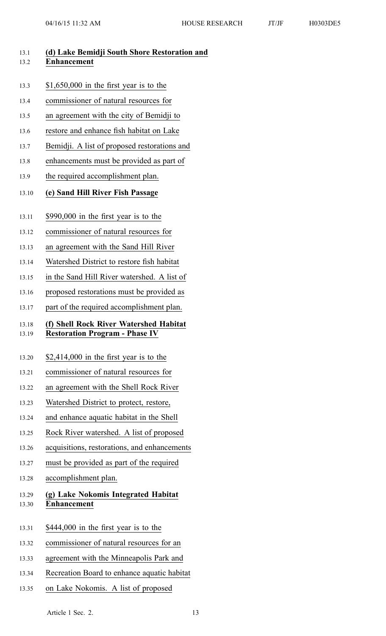| 13.1<br>13.2   | (d) Lake Bemidji South Shore Restoration and<br><b>Enhancement</b>              |
|----------------|---------------------------------------------------------------------------------|
| 13.3           | $$1,650,000$ in the first year is to the                                        |
| 13.4           | commissioner of natural resources for                                           |
| 13.5           | an agreement with the city of Bemidji to                                        |
| 13.6           | restore and enhance fish habitat on Lake                                        |
| 13.7           | Bemidji. A list of proposed restorations and                                    |
| 13.8           | enhancements must be provided as part of                                        |
| 13.9           | the required accomplishment plan.                                               |
| 13.10          | (e) Sand Hill River Fish Passage                                                |
| 13.11          | $$990,000$ in the first year is to the                                          |
| 13.12          | commissioner of natural resources for                                           |
| 13.13          | an agreement with the Sand Hill River                                           |
| 13.14          | Watershed District to restore fish habitat                                      |
| 13.15          | in the Sand Hill River watershed. A list of                                     |
| 13.16          | proposed restorations must be provided as                                       |
| 13.17          | part of the required accomplishment plan.                                       |
| 13.18<br>13.19 | (f) Shell Rock River Watershed Habitat<br><b>Restoration Program - Phase IV</b> |
| 13.20          | \$2,414,000 in the first year is to the                                         |
| 13.21          | commissioner of natural resources for                                           |
| 13.22          | an agreement with the Shell Rock River                                          |
| 13.23          | Watershed District to protect, restore,                                         |
| 13.24          | and enhance aquatic habitat in the Shell                                        |
| 13.25          | Rock River watershed. A list of proposed                                        |
| 13.26          | acquisitions, restorations, and enhancements                                    |
| 13.27          | must be provided as part of the required                                        |
| 13.28          | accomplishment plan.                                                            |
| 13.29<br>13.30 | (g) Lake Nokomis Integrated Habitat<br>Enhancement                              |
| 13.31          | \$444,000 in the first year is to the                                           |
| 13.32          | commissioner of natural resources for an                                        |
| 13.33          | agreement with the Minneapolis Park and                                         |
| 13.34          | Recreation Board to enhance aquatic habitat                                     |
| 13.35          | on Lake Nokomis. A list of proposed                                             |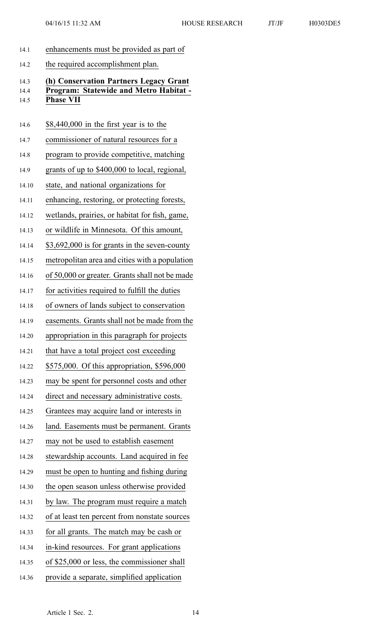- 14.1 enhancements must be provided as par<sup>t</sup> of
- 14.2 the required accomplishment plan.

## 14.3 **(h) Conservation Partners Legacy Grant** 14.4 **Program: Statewide and Metro Habitat -** 14.5 **Phase VII**

## 14.6 \$8,440,000 in the first year is to the

- 14.7 commissioner of natural resources for <sup>a</sup>
- 14.8 program to provide competitive, matching
- 14.9 grants of up to \$400,000 to local, regional,
- 14.10 state, and national organizations for
- 14.11 enhancing, restoring, or protecting forests,
- 14.12 wetlands, prairies, or habitat for fish, game,
- 14.13 or wildlife in Minnesota. Of this amount,
- 14.14 \$3,692,000 is for grants in the seven-county
- 14.15 metropolitan area and cities with <sup>a</sup> population
- 14.16 of 50,000 or greater. Grants shall not be made
- 14.17 for activities required to fulfill the duties
- 14.18 of owners of lands subject to conservation
- 14.19 easements. Grants shall not be made from the
- 14.20 appropriation in this paragraph for projects
- 14.21 that have a total project cost exceeding
- 14.22 \$575,000. Of this appropriation, \$596,000
- 14.23 may be spen<sup>t</sup> for personnel costs and other
- 14.24 direct and necessary administrative costs.
- 14.25 Grantees may acquire land or interests in
- 14.26 land. Easements must be permanent. Grants
- 14.27 may not be used to establish easement
- 14.28 stewardship accounts. Land acquired in fee
- 14.29 must be open to hunting and fishing during
- 14.30 the open season unless otherwise provided
- 14.31 by law. The program must require <sup>a</sup> match
- 14.32 of at least ten percen<sup>t</sup> from nonstate sources
- 14.33 for all grants. The match may be cash or
- 14.34 in-kind resources. For gran<sup>t</sup> applications
- 14.35 of \$25,000 or less, the commissioner shall
- 14.36 provide <sup>a</sup> separate, simplified application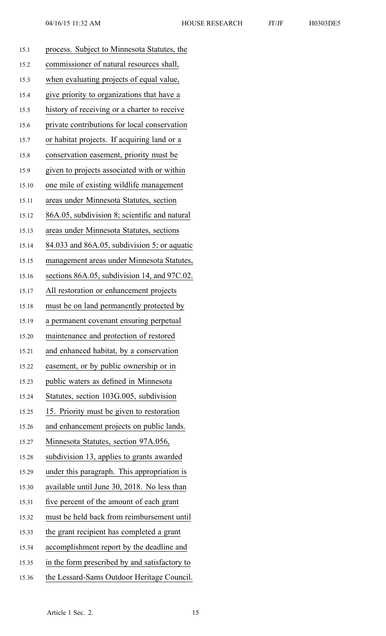| H0303DE |  |  |
|---------|--|--|
|         |  |  |
|         |  |  |

| 15.1  | process. Subject to Minnesota Statutes, the       |
|-------|---------------------------------------------------|
| 15.2  | commissioner of natural resources shall,          |
| 15.3  | when evaluating projects of equal value,          |
| 15.4  | give priority to organizations that have a        |
| 15.5  | history of receiving or a charter to receive      |
| 15.6  | private contributions for local conservation      |
| 15.7  | or habitat projects. If acquiring land or a       |
| 15.8  | conservation easement, priority must be           |
| 15.9  | given to projects associated with or within       |
| 15.10 | one mile of existing wildlife management          |
| 15.11 | areas under Minnesota Statutes, section           |
| 15.12 | 86A.05, subdivision 8; scientific and natural     |
| 15.13 | areas under Minnesota Statutes, sections          |
| 15.14 | $84.033$ and $86A.05$ , subdivision 5; or aquatic |
| 15.15 | management areas under Minnesota Statutes,        |
| 15.16 | sections 86A.05, subdivision 14, and 97C.02.      |
| 15.17 | All restoration or enhancement projects           |
| 15.18 | must be on land permanently protected by          |
| 15.19 | a permanent covenant ensuring perpetual           |
| 15.20 | maintenance and protection of restored            |
| 15.21 | and enhanced habitat, by a conservation           |
| 15.22 | easement, or by public ownership or in            |
| 15.23 | public waters as defined in Minnesota             |
| 15.24 | Statutes, section 103G.005, subdivision           |
| 15.25 | 15. Priority must be given to restoration         |
| 15.26 | and enhancement projects on public lands.         |
| 15.27 | Minnesota Statutes, section 97A.056,              |
| 15.28 | subdivision 13, applies to grants awarded         |
| 15.29 | under this paragraph. This appropriation is       |
| 15.30 | available until June 30, 2018. No less than       |
| 15.31 | five percent of the amount of each grant          |
| 15.32 | must be held back from reimbursement until        |
| 15.33 | the grant recipient has completed a grant         |
| 15.34 | accomplishment report by the deadline and         |
| 15.35 | in the form prescribed by and satisfactory to     |
| 15.36 | the Lessard-Sams Outdoor Heritage Council.        |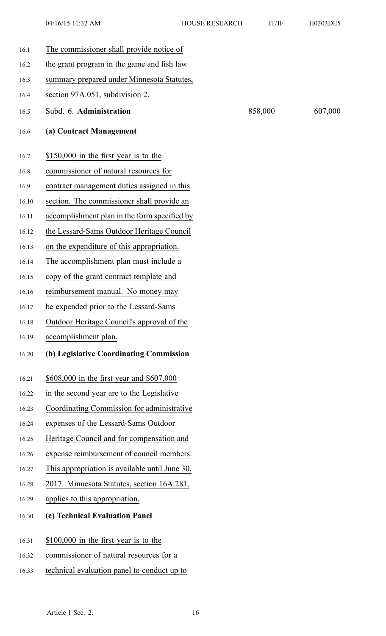| 16.1 |       | The commissioner shall provide notice of       |         |         |
|------|-------|------------------------------------------------|---------|---------|
| 16.2 |       | the grant program in the game and fish law     |         |         |
| 16.3 |       | summary prepared under Minnesota Statutes,     |         |         |
| 16.4 |       | section 97A.051, subdivision 2.                |         |         |
| 16.5 |       | Subd. 6. Administration                        | 858,000 | 607,000 |
| 16.6 |       | (a) Contract Management                        |         |         |
|      |       |                                                |         |         |
| 16.7 |       | \$150,000 in the first year is to the          |         |         |
| 16.8 |       | commissioner of natural resources for          |         |         |
| 16.9 |       | contract management duties assigned in this    |         |         |
|      | 16.10 | section. The commissioner shall provide an     |         |         |
|      | 16.11 | accomplishment plan in the form specified by   |         |         |
|      | 16.12 | the Lessard-Sams Outdoor Heritage Council      |         |         |
|      | 16.13 | on the expenditure of this appropriation.      |         |         |
|      | 16.14 | The accomplishment plan must include a         |         |         |
|      | 16.15 | copy of the grant contract template and        |         |         |
|      | 16.16 | reimbursement manual. No money may             |         |         |
|      | 16.17 | be expended prior to the Lessard-Sams          |         |         |
|      | 16.18 | Outdoor Heritage Council's approval of the     |         |         |
|      | 16.19 | accomplishment plan.                           |         |         |
|      | 16.20 | (b) Legislative Coordinating Commission        |         |         |
|      | 16.21 | \$608,000 in the first year and \$607,000      |         |         |
|      | 16.22 | in the second year are to the Legislative      |         |         |
|      | 16.23 | Coordinating Commission for administrative     |         |         |
|      | 16.24 | expenses of the Lessard-Sams Outdoor           |         |         |
|      | 16.25 | Heritage Council and for compensation and      |         |         |
|      | 16.26 | expense reimbursement of council members.      |         |         |
|      | 16.27 | This appropriation is available until June 30, |         |         |
|      | 16.28 | 2017. Minnesota Statutes, section 16A.281,     |         |         |
|      | 16.29 | applies to this appropriation.                 |         |         |
|      |       |                                                |         |         |
|      | 16.30 | (c) Technical Evaluation Panel                 |         |         |
|      | 16.31 | $$100,000$ in the first year is to the         |         |         |
|      | 16.32 | commissioner of natural resources for a        |         |         |
|      | 16.33 | technical evaluation panel to conduct up to    |         |         |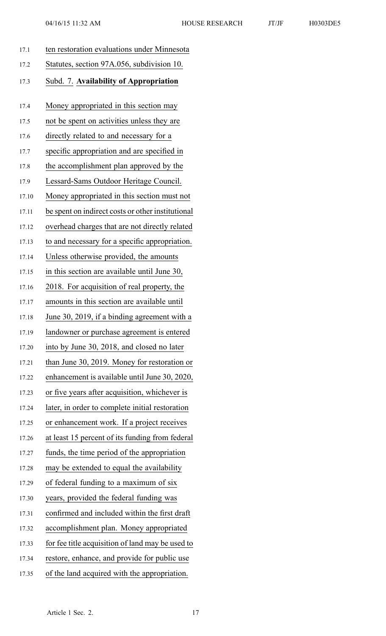| $04/16/15$ 11:32 AM                         | <b>HOUSE RESEARCH</b> | JT/JF | H0303DE5 |
|---------------------------------------------|-----------------------|-------|----------|
| ten restoration evaluations under Minnesota |                       |       |          |
| Statutes, section 97A.056, subdivision 10.  |                       |       |          |
| Subd. 7. Availability of Appropriation      |                       |       |          |
| Money appropriated in this section may      |                       |       |          |
| not be spent on activities unless they are  |                       |       |          |
| directly related to and necessary for a     |                       |       |          |

17.1 ten restoration evaluations under Minnesota 17.2 Statutes, section 97A.056, subdivision 10. 17.3 Subd. 7. **Availability of Appropriation** 17.4 Money appropriated in this section may 17.5 not be spen<sup>t</sup> on activities unless they are 17.6 directly related to and necessary for <sup>a</sup> 17.7 specific appropriation and are specified in 17.8 the accomplishment plan approved by the 17.9 Lessard-Sams Outdoor Heritage Council. 17.10 Money appropriated in this section must not 17.11 be spen<sup>t</sup> on indirect costs or other institutional 17.12 overhead charges that are not directly related 17.13 to and necessary for <sup>a</sup> specific appropriation. 17.14 Unless otherwise provided, the amounts 17.15 in this section are available until June 30, 17.16 2018. For acquisition of real property, the 17.17 amounts in this section are available until 17.18 June 30, 2019, if <sup>a</sup> binding agreemen<sup>t</sup> with <sup>a</sup> 17.19 landowner or purchase agreemen<sup>t</sup> is entered 17.20 into by June 30, 2018, and closed no later 17.21 than June 30, 2019. Money for restoration or 17.22 enhancement is available until June 30, 2020, 17.23 or five years after acquisition, whichever is 17.24 later, in order to complete initial restoration 17.25 or enhancement work. If <sup>a</sup> project receives 17.26 at least 15 percen<sup>t</sup> of its funding from federal 17.27 funds, the time period of the appropriation 17.28 may be extended to equal the availability 17.29 of federal funding to <sup>a</sup> maximum of six 17.30 years, provided the federal funding was 17.31 confirmed and included within the first draft 17.32 accomplishment plan. Money appropriated 17.33 for fee title acquisition of land may be used to 17.34 restore, enhance, and provide for public use 17.35 of the land acquired with the appropriation.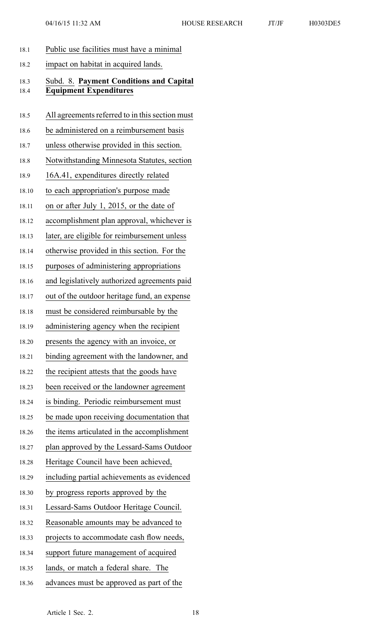| 18.1  | Public use facilities must have a minimal       |
|-------|-------------------------------------------------|
| 18.2  | impact on habitat in acquired lands.            |
| 18.3  | Subd. 8. Payment Conditions and Capital         |
| 18.4  | <b>Equipment Expenditures</b>                   |
| 18.5  | All agreements referred to in this section must |
| 18.6  | be administered on a reimbursement basis        |
| 18.7  | unless otherwise provided in this section.      |
| 18.8  | Notwithstanding Minnesota Statutes, section     |
| 18.9  | 16A.41, expenditures directly related           |
| 18.10 | to each appropriation's purpose made            |
| 18.11 | on or after July 1, 2015, or the date of        |
| 18.12 | accomplishment plan approval, whichever is      |
| 18.13 | later, are eligible for reimbursement unless    |
| 18.14 | otherwise provided in this section. For the     |
| 18.15 | purposes of administering appropriations        |
| 18.16 | and legislatively authorized agreements paid    |
| 18.17 | out of the outdoor heritage fund, an expense    |
| 18.18 | must be considered reimbursable by the          |
| 18.19 | administering agency when the recipient         |
| 18.20 | presents the agency with an invoice, or         |
| 18.21 | binding agreement with the landowner, and       |
| 18.22 | the recipient attests that the goods have       |
| 18.23 | been received or the landowner agreement        |
| 18.24 | is binding. Periodic reimbursement must         |
| 18.25 | be made upon receiving documentation that       |
| 18.26 | the items articulated in the accomplishment     |
| 18.27 | plan approved by the Lessard-Sams Outdoor       |
| 18.28 | Heritage Council have been achieved,            |
| 18.29 | including partial achievements as evidenced     |
| 18.30 | by progress reports approved by the             |
| 18.31 | Lessard-Sams Outdoor Heritage Council.          |
| 18.32 | Reasonable amounts may be advanced to           |
| 18.33 | projects to accommodate cash flow needs,        |
| 18.34 | support future management of acquired           |
| 18.35 | lands, or match a federal share. The            |
| 18.36 | advances must be approved as part of the        |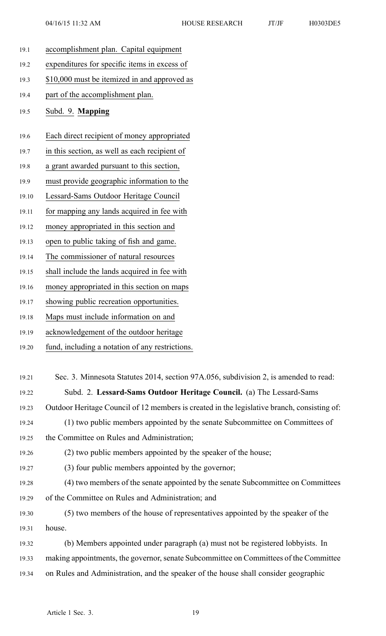- 19.1 accomplishment plan. Capital equipment 19.2 expenditures for specific items in excess of 19.3 \$10,000 must be itemized in and approved as 19.4 par<sup>t</sup> of the accomplishment plan. 19.5 Subd. 9. **Mapping** 19.6 Each direct recipient of money appropriated 19.7 in this section, as well as each recipient of 19.8 <sup>a</sup> gran<sup>t</sup> awarded pursuan<sup>t</sup> to this section, 19.9 must provide geographic information to the
- 19.10 Lessard-Sams Outdoor Heritage Council
- 19.11 for mapping any lands acquired in fee with
- 19.12 money appropriated in this section and
- 19.13 open to public taking of fish and game.
- 19.14 The commissioner of natural resources
- 19.15 shall include the lands acquired in fee with
- 19.16 money appropriated in this section on maps
- 19.17 showing public recreation opportunities.
- 19.18 Maps must include information on and
- 19.19 acknowledgement of the outdoor heritage
- 19.20 fund, including <sup>a</sup> notation of any restrictions.
- 19.21 Sec. 3. Minnesota Statutes 2014, section 97A.056, subdivision 2, is amended to read: 19.22 Subd. 2. **Lessard-Sams Outdoor Heritage Council.** (a) The Lessard-Sams 19.23 Outdoor Heritage Council of 12 members is created in the legislative branch, consisting of: 19.24 (1) two public members appointed by the senate Subcommittee on Committees of 19.25 the Committee on Rules and Administration; 19.26 (2) two public members appointed by the speaker of the house; 19.27 (3) four public members appointed by the governor; 19.28 (4) two members of the senate appointed by the senate Subcommittee on Committees 19.29 of the Committee on Rules and Administration; and 19.30 (5) two members of the house of representatives appointed by the speaker of the 19.31 house. 19.32 (b) Members appointed under paragraph (a) must not be registered lobbyists. In 19.33 making appointments, the governor, senate Subcommittee on Committees of the Committee 19.34 on Rules and Administration, and the speaker of the house shall consider geographic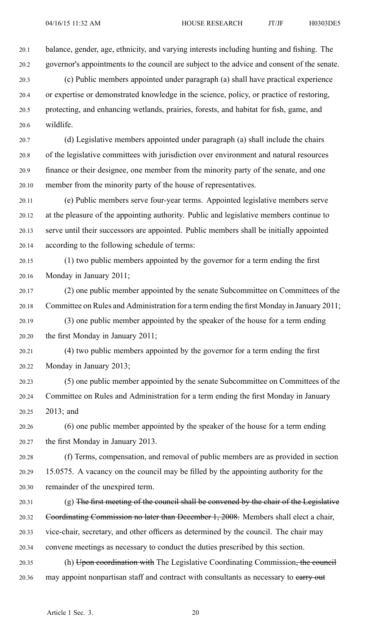20.1 balance, gender, age, ethnicity, and varying interests including hunting and fishing. The 20.2 governor's appointments to the council are subject to the advice and consent of the senate.

20.3 (c) Public members appointed under paragraph (a) shall have practical experience 20.4 or expertise or demonstrated knowledge in the science, policy, or practice of restoring, 20.5 protecting, and enhancing wetlands, prairies, forests, and habitat for fish, game, and 20.6 wildlife.

20.7 (d) Legislative members appointed under paragraph (a) shall include the chairs 20.8 of the legislative committees with jurisdiction over environment and natural resources 20.9 finance or their designee, one member from the minority party of the senate, and one 20.10 member from the minority party of the house of representatives.

20.11 (e) Public members serve four-year terms. Appointed legislative members serve 20.12 at the pleasure of the appointing authority. Public and legislative members continue to 20.13 serve until their successors are appointed. Public members shall be initially appointed 20.14 according to the following schedule of terms:

20.15 (1) two public members appointed by the governor for <sup>a</sup> term ending the first 20.16 Monday in January 2011;

20.17 (2) one public member appointed by the senate Subcommittee on Committees of the 20.18 Committee on Rules and Administration for <sup>a</sup> term ending the first Monday in January 2011;

20.19 (3) one public member appointed by the speaker of the house for <sup>a</sup> term ending 20.20 the first Monday in January 2011;

20.21 (4) two public members appointed by the governor for <sup>a</sup> term ending the first 20.22 Monday in January 2013;

20.23 (5) one public member appointed by the senate Subcommittee on Committees of the 20.24 Committee on Rules and Administration for <sup>a</sup> term ending the first Monday in January 20.25 2013; and

20.26 (6) one public member appointed by the speaker of the house for <sup>a</sup> term ending 20.27 the first Monday in January 2013.

20.28 (f) Terms, compensation, and removal of public members are as provided in section 20.29 15.0575. A vacancy on the council may be filled by the appointing authority for the 20.30 remainder of the unexpired term.

20.31 (g) The first meeting of the council shall be convened by the chair of the Legislative 20.32 Coordinating Commission no later than December 1, 2008. Members shall elect <sup>a</sup> chair, 20.33 vice-chair, secretary, and other officers as determined by the council. The chair may 20.34 convene meetings as necessary to conduct the duties prescribed by this section.

20.35 (h) Upon coordination with The Legislative Coordinating Commission, the council 20.36 may appoint nonpartisan staff and contract with consultants as necessary to earry out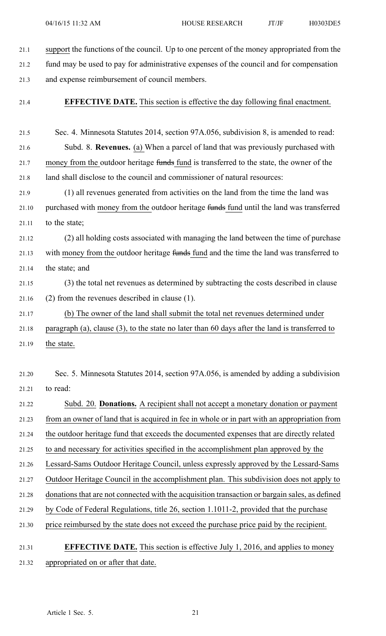21.1 suppor<sup>t</sup> the functions of the council. Up to one percen<sup>t</sup> of the money appropriated from the 21.2 fund may be used to pay for administrative expenses of the council and for compensation 21.3 and expense reimbursement of council members.

21.4 **EFFECTIVE DATE.** This section is effective the day following final enactment.

21.5 Sec. 4. Minnesota Statutes 2014, section 97A.056, subdivision 8, is amended to read: 21.6 Subd. 8. **Revenues.** (a) When <sup>a</sup> parcel of land that was previously purchased with 21.7 money from the outdoor heritage funds fund is transferred to the state, the owner of the 21.8 land shall disclose to the council and commissioner of natural resources: 21.9 (1) all revenues generated from activities on the land from the time the land was 21.10 purchased with money from the outdoor heritage funds fund until the land was transferred 21.11 to the state; 21.12 (2) all holding costs associated with managing the land between the time of purchase 21.13 with money from the outdoor heritage funds fund and the time the land was transferred to 21.14 the state; and 21.15 (3) the total net revenues as determined by subtracting the costs described in clause 21.16 (2) from the revenues described in clause (1). 21.17 (b) The owner of the land shall submit the total net revenues determined under 21.18 paragraph (a), clause (3), to the state no later than 60 days after the land is transferred to 21.19 the state. 21.20 Sec. 5. Minnesota Statutes 2014, section 97A.056, is amended by adding <sup>a</sup> subdivision 21.21 to read: 21.22 Subd. 20. **Donations.** A recipient shall not accep<sup>t</sup> <sup>a</sup> monetary donation or paymen<sup>t</sup> 21.23 from an owner of land that is acquired in fee in whole or in par<sup>t</sup> with an appropriation from 21.24 the outdoor heritage fund that exceeds the documented expenses that are directly related 21.25 to and necessary for activities specified in the accomplishment plan approved by the 21.26 Lessard-Sams Outdoor Heritage Council, unless expressly approved by the Lessard-Sams 21.27 Outdoor Heritage Council in the accomplishment plan. This subdivision does not apply to 21.28 donations that are not connected with the acquisition transaction or bargain sales, as defined 21.29 by Code of Federal Regulations, title 26, section 1.1011-2, provided that the purchase 21.30 price reimbursed by the state does not exceed the purchase price paid by the recipient.

# 21.31 **EFFECTIVE DATE.** This section is effective July 1, 2016, and applies to money 21.32 appropriated on or after that date.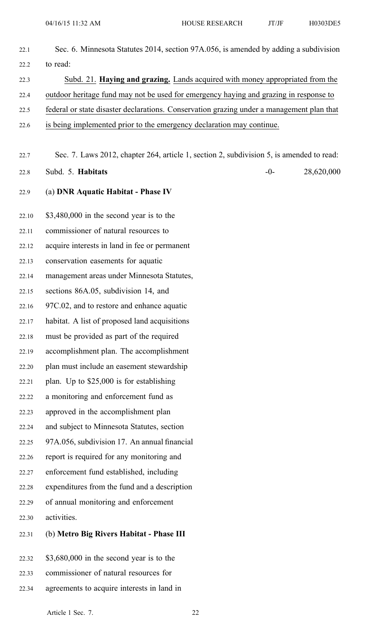| 22.1  | Sec. 6. Minnesota Statutes 2014, section 97A.056, is amended by adding a subdivision      |
|-------|-------------------------------------------------------------------------------------------|
| 22.2  | to read:                                                                                  |
| 22.3  | Subd. 21. Haying and grazing. Lands acquired with money appropriated from the             |
| 22.4  | outdoor heritage fund may not be used for emergency haying and grazing in response to     |
| 22.5  | federal or state disaster declarations. Conservation grazing under a management plan that |
| 22.6  | is being implemented prior to the emergency declaration may continue.                     |
|       |                                                                                           |
| 22.7  | Sec. 7. Laws 2012, chapter 264, article 1, section 2, subdivision 5, is amended to read:  |
| 22.8  | 28,620,000<br>Subd. 5. Habitats<br>$-0-$                                                  |
| 22.9  | (a) DNR Aquatic Habitat - Phase IV                                                        |
| 22.10 | $$3,480,000$ in the second year is to the                                                 |
| 22.11 | commissioner of natural resources to                                                      |
| 22.12 | acquire interests in land in fee or permanent                                             |
| 22.13 | conservation easements for aquatic                                                        |
| 22.14 | management areas under Minnesota Statutes,                                                |
| 22.15 | sections 86A.05, subdivision 14, and                                                      |
| 22.16 | 97C.02, and to restore and enhance aquatic                                                |
| 22.17 | habitat. A list of proposed land acquisitions                                             |
| 22.18 | must be provided as part of the required                                                  |
| 22.19 | accomplishment plan. The accomplishment                                                   |
| 22.20 | plan must include an easement stewardship                                                 |
| 22.21 | plan. Up to \$25,000 is for establishing                                                  |
| 22.22 | a monitoring and enforcement fund as                                                      |
| 22.23 | approved in the accomplishment plan                                                       |
| 22.24 | and subject to Minnesota Statutes, section                                                |
| 22.25 | 97A.056, subdivision 17. An annual financial                                              |
| 22.26 | report is required for any monitoring and                                                 |
| 22.27 | enforcement fund established, including                                                   |
| 22.28 | expenditures from the fund and a description                                              |
| 22.29 | of annual monitoring and enforcement                                                      |
| 22.30 | activities.                                                                               |
| 22.31 | (b) Metro Big Rivers Habitat - Phase III                                                  |
| 22.32 | $$3,680,000$ in the second year is to the                                                 |
| 22.33 | commissioner of natural resources for                                                     |

22.34 agreements to acquire interests in land in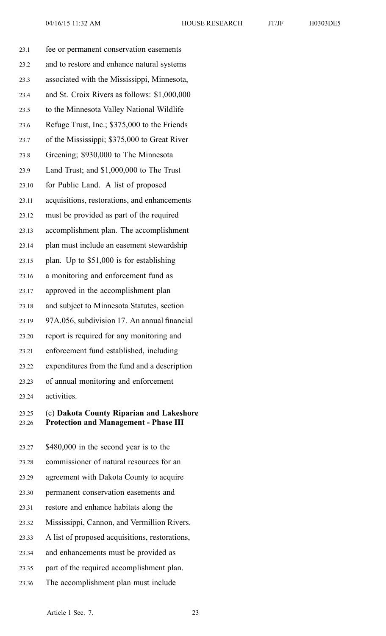| 23.1  | fee or permanent conservation easements          |
|-------|--------------------------------------------------|
| 23.2  | and to restore and enhance natural systems       |
| 23.3  | associated with the Mississippi, Minnesota,      |
| 23.4  | and St. Croix Rivers as follows: \$1,000,000     |
| 23.5  | to the Minnesota Valley National Wildlife        |
| 23.6  | Refuge Trust, Inc.; \$375,000 to the Friends     |
| 23.7  | of the Mississippi; \$375,000 to Great River     |
| 23.8  | Greening; \$930,000 to The Minnesota             |
| 23.9  | Land Trust; and \$1,000,000 to The Trust         |
| 23.10 | for Public Land. A list of proposed              |
| 23.11 | acquisitions, restorations, and enhancements     |
| 23.12 | must be provided as part of the required         |
| 23.13 | accomplishment plan. The accomplishment          |
| 23.14 | plan must include an easement stewardship        |
| 23.15 | plan. Up to \$51,000 is for establishing         |
| 23.16 | a monitoring and enforcement fund as             |
| 23.17 | approved in the accomplishment plan              |
| 23.18 | and subject to Minnesota Statutes, section       |
| 23.19 | 97A.056, subdivision 17. An annual financial     |
| 23.20 | report is required for any monitoring and        |
| 23.21 | enforcement fund established, including          |
| 23.22 | expenditures from the fund and a description     |
| 23.23 | of annual monitoring and enforcement             |
| 23.24 | activities.                                      |
|       | 22.25 (c) Dalzate County Dinorian and Lalzashoro |

# 23.25 (c) **Dakota County Riparian and Lakeshore** 23.26 **Protection and Management - Phase III**

23.27 \$480,000 in the second year is to the 23.28 commissioner of natural resources for an 23.29 agreemen<sup>t</sup> with Dakota County to acquire 23.30 permanen<sup>t</sup> conservation easements and 23.31 restore and enhance habitats along the 23.32 Mississippi, Cannon, and Vermillion Rivers. 23.33 A list of proposed acquisitions, restorations, 23.34 and enhancements must be provided as 23.35 par<sup>t</sup> of the required accomplishment plan. 23.36 The accomplishment plan must include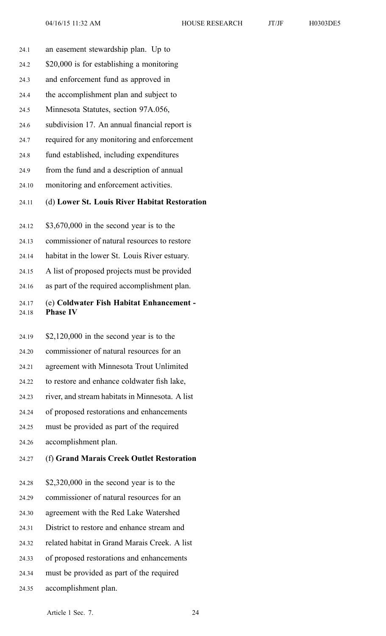- 24.1 an easement stewardship plan. Up to
- 24.2 \$20,000 is for establishing <sup>a</sup> monitoring
- 24.3 and enforcement fund as approved in
- 24.4 the accomplishment plan and subject to
- 24.5 Minnesota Statutes, section 97A.056,
- 24.6 subdivision 17. An annual financial repor<sup>t</sup> is
- 24.7 required for any monitoring and enforcement
- 24.8 fund established, including expenditures
- 24.9 from the fund and <sup>a</sup> description of annual
- 24.10 monitoring and enforcement activities.
- 24.11 (d) **Lower St. Louis River Habitat Restoration**
- 24.12 \$3,670,000 in the second year is to the
- 24.13 commissioner of natural resources to restore
- 24.14 habitat in the lower St. Louis River estuary.
- 24.15 A list of proposed projects must be provided
- 24.16 as par<sup>t</sup> of the required accomplishment plan.

# 24.17 (e) **Coldwater Fish Habitat Enhancement -** 24.18 **Phase IV**

- 24.19 \$2,120,000 in the second year is to the
- 24.20 commissioner of natural resources for an
- 24.21 agreemen<sup>t</sup> with Minnesota Trout Unlimited
- 24.22 to restore and enhance coldwater fish lake,
- 24.23 river, and stream habitats in Minnesota. A list
- 24.24 of proposed restorations and enhancements
- 24.25 must be provided as par<sup>t</sup> of the required
- 24.26 accomplishment plan.

#### 24.27 (f) **Grand Marais Creek Outlet Restoration**

- 24.28 \$2,320,000 in the second year is to the
- 24.29 commissioner of natural resources for an
- 24.30 agreemen<sup>t</sup> with the Red Lake Watershed
- 24.31 District to restore and enhance stream and
- 24.32 related habitat in Grand Marais Creek. A list
- 24.33 of proposed restorations and enhancements
- 24.34 must be provided as par<sup>t</sup> of the required
- 24.35 accomplishment plan.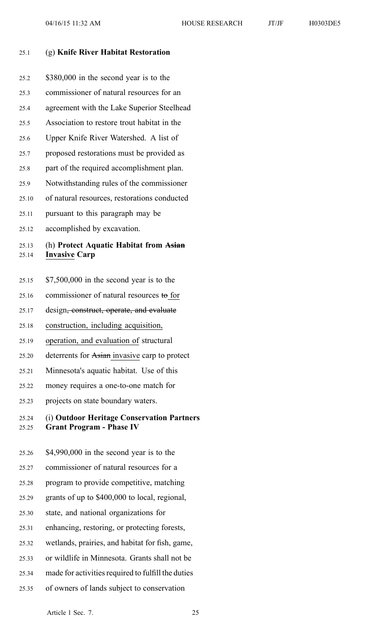#### 25.1 (g) **Knife River Habitat Restoration**

| 25.2           | \$380,000 in the second year is to the                         |
|----------------|----------------------------------------------------------------|
| 25.3           | commissioner of natural resources for an                       |
| 25.4           | agreement with the Lake Superior Steelhead                     |
| 25.5           | Association to restore trout habitat in the                    |
| 25.6           | Upper Knife River Watershed. A list of                         |
| 25.7           | proposed restorations must be provided as                      |
| 25.8           | part of the required accomplishment plan.                      |
| 25.9           | Notwithstanding rules of the commissioner                      |
| 25.10          | of natural resources, restorations conducted                   |
| 25.11          | pursuant to this paragraph may be                              |
| 25.12          | accomplished by excavation.                                    |
|                |                                                                |
| 25.13<br>25.14 | (h) Protect Aquatic Habitat from Asian<br><b>Invasive Carp</b> |
| 25.15          | $$7,500,000$ in the second year is to the                      |
| 25.16          | commissioner of natural resources to for                       |
| 25.17          | design <del>, construct, operate, and evaluate</del>           |
| 25.18          | construction, including acquisition,                           |
| 25.19          | operation, and evaluation of structural                        |
| 25.20          | deterrents for Asian invasive carp to protect                  |
| 25.21          | Minnesota's aquatic habitat. Use of this                       |
| 25.22          | money requires a one-to-one match for                          |
| 25.23          | projects on state boundary waters.                             |

- 25.24 (i) **Outdoor Heritage Conservation Partners** 25.25 **Grant Program - Phase IV**
- 25.26 \$4,990,000 in the second year is to the 25.27 commissioner of natural resources for <sup>a</sup> 25.28 program to provide competitive, matching 25.29 grants of up to \$400,000 to local, regional, 25.30 state, and national organizations for 25.31 enhancing, restoring, or protecting forests, 25.32 wetlands, prairies, and habitat for fish, game, 25.33 or wildlife in Minnesota. Grants shall not be 25.34 made for activities required to fulfill the duties 25.35 of owners of lands subject to conservation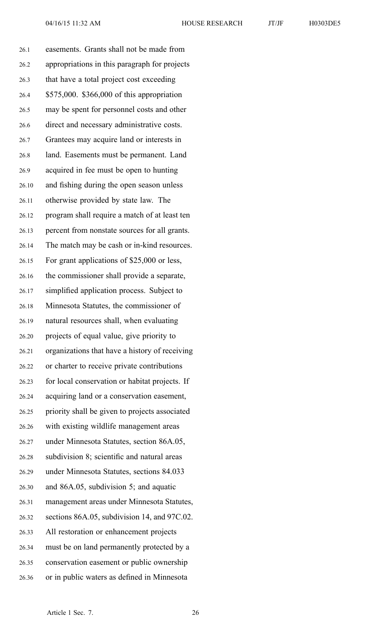| 26.1  | easements. Grants shall not be made from       |
|-------|------------------------------------------------|
| 26.2  | appropriations in this paragraph for projects  |
| 26.3  | that have a total project cost exceeding       |
| 26.4  | \$575,000. \$366,000 of this appropriation     |
| 26.5  | may be spent for personnel costs and other     |
| 26.6  | direct and necessary administrative costs.     |
| 26.7  | Grantees may acquire land or interests in      |
| 26.8  | land. Easements must be permanent. Land        |
| 26.9  | acquired in fee must be open to hunting        |
| 26.10 | and fishing during the open season unless      |
| 26.11 | otherwise provided by state law. The           |
| 26.12 | program shall require a match of at least ten  |
| 26.13 | percent from nonstate sources for all grants.  |
| 26.14 | The match may be cash or in-kind resources.    |
| 26.15 | For grant applications of \$25,000 or less,    |
| 26.16 | the commissioner shall provide a separate,     |
| 26.17 | simplified application process. Subject to     |
| 26.18 | Minnesota Statutes, the commissioner of        |
| 26.19 | natural resources shall, when evaluating       |
| 26.20 | projects of equal value, give priority to      |
| 26.21 | organizations that have a history of receiving |
| 26.22 | or charter to receive private contributions    |
| 26.23 | for local conservation or habitat projects. If |
| 26.24 | acquiring land or a conservation easement,     |
| 26.25 | priority shall be given to projects associated |
| 26.26 | with existing wildlife management areas        |
| 26.27 | under Minnesota Statutes, section 86A.05,      |
| 26.28 | subdivision 8; scientific and natural areas    |
| 26.29 | under Minnesota Statutes, sections 84.033      |
| 26.30 | and 86A.05, subdivision 5; and aquatic         |
| 26.31 | management areas under Minnesota Statutes,     |
| 26.32 | sections 86A.05, subdivision 14, and 97C.02.   |
| 26.33 | All restoration or enhancement projects        |
| 26.34 | must be on land permanently protected by a     |
| 26.35 | conservation easement or public ownership      |
| 26.36 | or in public waters as defined in Minnesota    |
|       |                                                |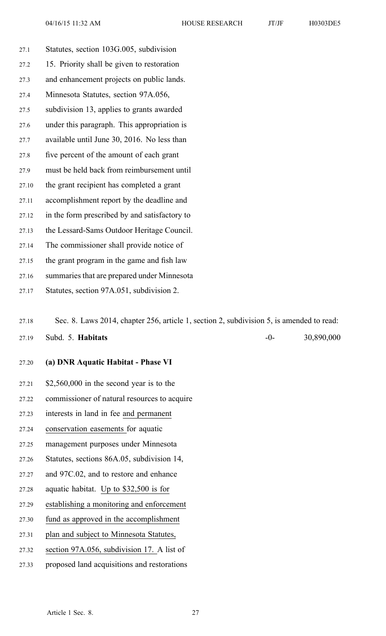27.1 Statutes, section 103G.005, subdivision 27.2 15. Priority shall be given to restoration 27.3 and enhancement projects on public lands. 27.4 Minnesota Statutes, section 97A.056, 27.5 subdivision 13, applies to grants awarded 27.6 under this paragraph. This appropriation is 27.7 available until June 30, 2016. No less than 27.8 five percen<sup>t</sup> of the amount of each gran<sup>t</sup> 27.9 must be held back from reimbursement until 27.10 the gran<sup>t</sup> recipient has completed <sup>a</sup> gran<sup>t</sup> 27.11 accomplishment repor<sup>t</sup> by the deadline and 27.12 in the form prescribed by and satisfactory to 27.13 the Lessard-Sams Outdoor Heritage Council. 27.14 The commissioner shall provide notice of 27.15 the gran<sup>t</sup> program in the game and fish law 27.16 summaries that are prepared under Minnesota 27.17 Statutes, section 97A.051, subdivision 2.

27.18 Sec. 8. Laws 2014, chapter 256, article 1, section 2, subdivision 5, is amended to read:

27.19 Subd. 5. **Habitats** -0- 30,890,000

#### 27.20 **(a) DNR Aquatic Habitat - Phase VI**

- 27.21 \$2,560,000 in the second year is to the
- 27.22 commissioner of natural resources to acquire
- 27.23 interests in land in fee and permanen<sup>t</sup>
- 27.24 conservation easements for aquatic
- 27.25 managemen<sup>t</sup> purposes under Minnesota
- 27.26 Statutes, sections 86A.05, subdivision 14,
- 27.27 and 97C.02, and to restore and enhance
- 27.28 aquatic habitat. Up to \$32,500 is for
- 27.29 establishing <sup>a</sup> monitoring and enforcement
- 27.30 fund as approved in the accomplishment
- 27.31 plan and subject to Minnesota Statutes,
- 27.32 section 97A.056, subdivision 17. A list of
- 27.33 proposed land acquisitions and restorations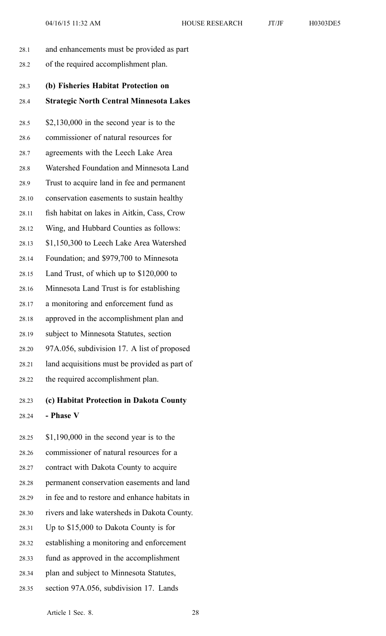28.1 and enhancements must be provided as par<sup>t</sup> 28.2 of the required accomplishment plan. 28.3 **(b) Fisheries Habitat Protection on** 28.4 **Strategic North Central Minnesota Lakes** 28.5 \$2,130,000 in the second year is to the 28.6 commissioner of natural resources for 28.7 agreements with the Leech Lake Area 28.8 Watershed Foundation and Minnesota Land 28.9 Trust to acquire land in fee and permanen<sup>t</sup> 28.10 conservation easements to sustain healthy 28.11 fish habitat on lakes in Aitkin, Cass, Crow 28.12 Wing, and Hubbard Counties as follows: 28.13 \$1,150,300 to Leech Lake Area Watershed 28.14 Foundation; and \$979,700 to Minnesota 28.15 Land Trust, of which up to \$120,000 to 28.16 Minnesota Land Trust is for establishing 28.17 <sup>a</sup> monitoring and enforcement fund as 28.18 approved in the accomplishment plan and 28.19 subject to Minnesota Statutes, section 28.20 97A.056, subdivision 17. A list of proposed 28.21 land acquisitions must be provided as par<sup>t</sup> of 28.22 the required accomplishment plan.

# 28.23 **(c) Habitat Protection in Dakota County** 28.24 **- Phase V**

- 28.25 \$1,190,000 in the second year is to the 28.26 commissioner of natural resources for <sup>a</sup> 28.27 contract with Dakota County to acquire 28.28 permanen<sup>t</sup> conservation easements and land 28.29 in fee and to restore and enhance habitats in 28.30 rivers and lake watersheds in Dakota County. 28.31 Up to \$15,000 to Dakota County is for 28.32 establishing <sup>a</sup> monitoring and enforcement 28.33 fund as approved in the accomplishment 28.34 plan and subject to Minnesota Statutes,
- 28.35 section 97A.056, subdivision 17. Lands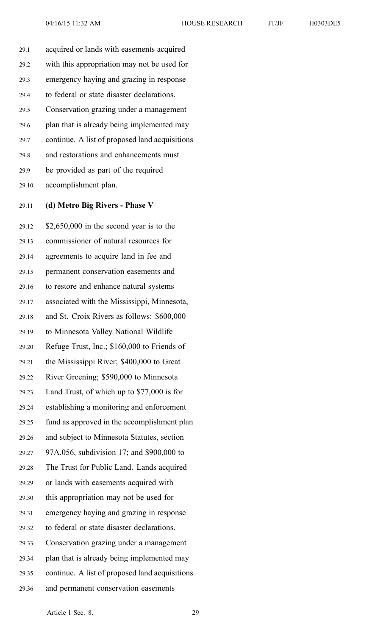29.1 acquired or lands with easements acquired 29.2 with this appropriation may not be used for 29.3 emergency haying and grazing in response 29.4 to federal or state disaster declarations. 29.5 Conservation grazing under <sup>a</sup> managemen<sup>t</sup> 29.6 plan that is already being implemented may 29.7 continue. A list of proposed land acquisitions 29.8 and restorations and enhancements must 29.9 be provided as par<sup>t</sup> of the required 29.10 accomplishment plan.

29.11 **(d) Metro Big Rivers - Phase V**

29.12 \$2,650,000 in the second year is to the 29.13 commissioner of natural resources for 29.14 agreements to acquire land in fee and 29.15 permanen<sup>t</sup> conservation easements and 29.16 to restore and enhance natural systems 29.17 associated with the Mississippi, Minnesota, 29.18 and St. Croix Rivers as follows: \$600,000 29.19 to Minnesota Valley National Wildlife 29.20 Refuge Trust, Inc.; \$160,000 to Friends of 29.21 the Mississippi River; \$400,000 to Great 29.22 River Greening; \$590,000 to Minnesota 29.23 Land Trust, of which up to \$77,000 is for 29.24 establishing <sup>a</sup> monitoring and enforcement 29.25 fund as approved in the accomplishment plan 29.26 and subject to Minnesota Statutes, section 29.27 97A.056, subdivision 17; and \$900,000 to 29.28 The Trust for Public Land. Lands acquired 29.29 or lands with easements acquired with 29.30 this appropriation may not be used for 29.31 emergency haying and grazing in response 29.32 to federal or state disaster declarations. 29.33 Conservation grazing under <sup>a</sup> managemen<sup>t</sup> 29.34 plan that is already being implemented may 29.35 continue. A list of proposed land acquisitions 29.36 and permanen<sup>t</sup> conservation easements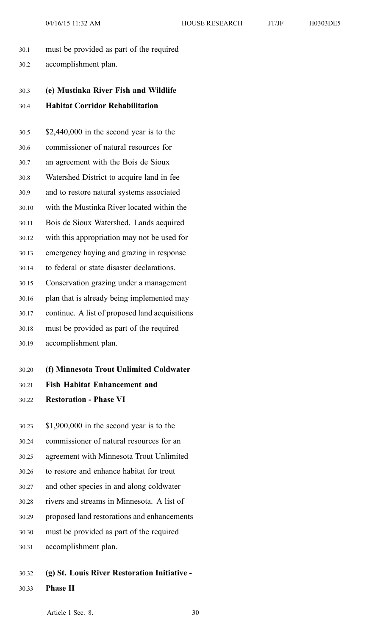- 30.1 must be provided as par<sup>t</sup> of the required
- 30.2 accomplishment plan.

# 30.3 **(e) Mustinka River Fish and Wildlife** 30.4 **Habitat Corridor Rehabilitation**

- 30.5 \$2,440,000 in the second year is to the 30.6 commissioner of natural resources for 30.7 an agreemen<sup>t</sup> with the Bois de Sioux 30.8 Watershed District to acquire land in fee 30.9 and to restore natural systems associated 30.10 with the Mustinka River located within the 30.11 Bois de Sioux Watershed. Lands acquired 30.12 with this appropriation may not be used for 30.13 emergency haying and grazing in response 30.14 to federal or state disaster declarations. 30.15 Conservation grazing under <sup>a</sup> managemen<sup>t</sup> 30.16 plan that is already being implemented may 30.17 continue. A list of proposed land acquisitions 30.18 must be provided as par<sup>t</sup> of the required 30.19 accomplishment plan.
- 30.20 **(f) Minnesota Trout Unlimited Coldwater**
- 30.21 **Fish Habitat Enhancement and**
- 30.22 **Restoration - Phase VI**
- 30.23 \$1,900,000 in the second year is to the 30.24 commissioner of natural resources for an 30.25 agreemen<sup>t</sup> with Minnesota Trout Unlimited 30.26 to restore and enhance habitat for trout 30.27 and other species in and along coldwater 30.28 rivers and streams in Minnesota. A list of 30.29 proposed land restorations and enhancements 30.30 must be provided as par<sup>t</sup> of the required 30.31 accomplishment plan.
- 30.32 **(g) St. Louis River Restoration Initiative -**
- 30.33 **Phase II**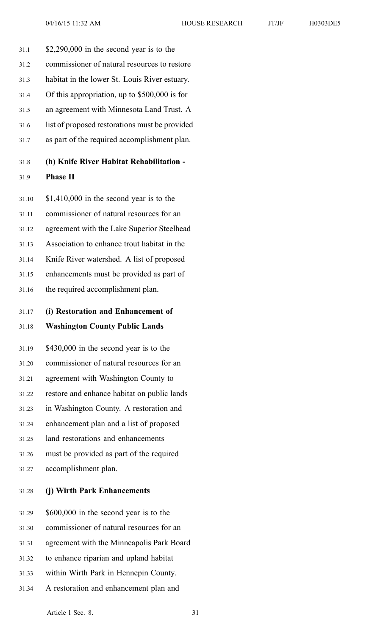- 31.1 \$2,290,000 in the second year is to the 31.2 commissioner of natural resources to restore 31.3 habitat in the lower St. Louis River estuary. 31.4 Of this appropriation, up to \$500,000 is for
- 31.5 an agreemen<sup>t</sup> with Minnesota Land Trust. A
- 31.6 list of proposed restorations must be provided
- 31.7 as par<sup>t</sup> of the required accomplishment plan.

# 31.8 **(h) Knife River Habitat Rehabilitation -**

# 31.9 **Phase II**

31.10 \$1,410,000 in the second year is to the

31.11 commissioner of natural resources for an

31.12 agreemen<sup>t</sup> with the Lake Superior Steelhead

31.13 Association to enhance trout habitat in the

31.14 Knife River watershed. A list of proposed

31.15 enhancements must be provided as par<sup>t</sup> of

31.16 the required accomplishment plan.

#### 31.17 **(i) Restoration and Enhancement of**

#### 31.18 **Washington County Public Lands**

31.19 \$430,000 in the second year is to the 31.20 commissioner of natural resources for an 31.21 agreemen<sup>t</sup> with Washington County to 31.22 restore and enhance habitat on public lands 31.23 in Washington County. A restoration and 31.24 enhancement plan and <sup>a</sup> list of proposed 31.25 land restorations and enhancements

31.26 must be provided as par<sup>t</sup> of the required

31.27 accomplishment plan.

31.28 **(j) Wirth Park Enhancements**

31.29 \$600,000 in the second year is to the 31.30 commissioner of natural resources for an

- 31.31 agreemen<sup>t</sup> with the Minneapolis Park Board
- 31.32 to enhance riparian and upland habitat
- 31.33 within Wirth Park in Hennepin County.
- 31.34 A restoration and enhancement plan and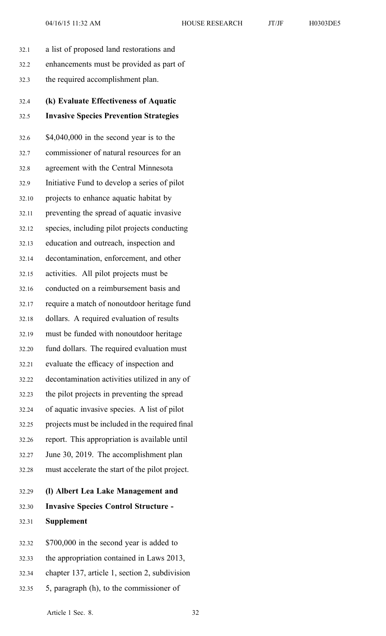| 32.1  | a list of proposed land restorations and        |
|-------|-------------------------------------------------|
| 32.2  | enhancements must be provided as part of        |
| 32.3  | the required accomplishment plan.               |
| 32.4  | (k) Evaluate Effectiveness of Aquatic           |
| 32.5  | <b>Invasive Species Prevention Strategies</b>   |
| 32.6  | $$4,040,000$ in the second year is to the       |
| 32.7  | commissioner of natural resources for an        |
| 32.8  | agreement with the Central Minnesota            |
| 32.9  | Initiative Fund to develop a series of pilot    |
| 32.10 | projects to enhance aquatic habitat by          |
| 32.11 | preventing the spread of aquatic invasive       |
| 32.12 | species, including pilot projects conducting    |
| 32.13 | education and outreach, inspection and          |
| 32.14 | decontamination, enforcement, and other         |
| 32.15 | activities. All pilot projects must be          |
| 32.16 | conducted on a reimbursement basis and          |
| 32.17 | require a match of nonoutdoor heritage fund     |
| 32.18 | dollars. A required evaluation of results       |
| 32.19 | must be funded with nonoutdoor heritage         |
| 32.20 | fund dollars. The required evaluation must      |
| 32.21 | evaluate the efficacy of inspection and         |
| 32.22 | decontamination activities utilized in any of   |
| 32.23 | the pilot projects in preventing the spread     |
| 32.24 | of aquatic invasive species. A list of pilot    |
| 32.25 | projects must be included in the required final |
| 32.26 | report. This appropriation is available until   |
| 32.27 | June 30, 2019. The accomplishment plan          |
| 32.28 | must accelerate the start of the pilot project. |
| 32.29 | (I) Albert Lea Lake Management and              |
| 32.30 | <b>Invasive Species Control Structure -</b>     |
| 32.31 | <b>Supplement</b>                               |
| 32.32 | \$700,000 in the second year is added to        |
| 32.33 | the appropriation contained in Laws 2013,       |
| 32.34 | chapter 137, article 1, section 2, subdivision  |
|       |                                                 |

32.35 5, paragraph (h), to the commissioner of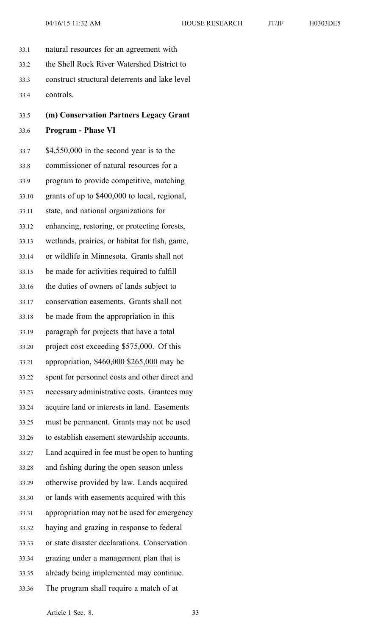- 33.1 natural resources for an agreemen<sup>t</sup> with 33.2 the Shell Rock River Watershed District to 33.3 construct structural deterrents and lake level 33.4 controls.
- 33.5 **(m) Conservation Partners Legacy Grant**

## 33.6 **Program - Phase VI**

33.7 \$4,550,000 in the second year is to the 33.8 commissioner of natural resources for <sup>a</sup> 33.9 program to provide competitive, matching 33.10 grants of up to \$400,000 to local, regional, 33.11 state, and national organizations for 33.12 enhancing, restoring, or protecting forests, 33.13 wetlands, prairies, or habitat for fish, game, 33.14 or wildlife in Minnesota. Grants shall not 33.15 be made for activities required to fulfill 33.16 the duties of owners of lands subject to 33.17 conservation easements. Grants shall not 33.18 be made from the appropriation in this 33.19 paragraph for projects that have <sup>a</sup> total 33.20 project cost exceeding \$575,000. Of this 33.21 appropriation, \$460,000 \$265,000 may be 33.22 spen<sup>t</sup> for personnel costs and other direct and 33.23 necessary administrative costs. Grantees may 33.24 acquire land or interests in land. Easements 33.25 must be permanent. Grants may not be used 33.26 to establish easement stewardship accounts. 33.27 Land acquired in fee must be open to hunting 33.28 and fishing during the open season unless 33.29 otherwise provided by law. Lands acquired 33.30 or lands with easements acquired with this 33.31 appropriation may not be used for emergency 33.32 haying and grazing in response to federal 33.33 or state disaster declarations. Conservation 33.34 grazing under <sup>a</sup> managemen<sup>t</sup> plan that is 33.35 already being implemented may continue. 33.36 The program shall require <sup>a</sup> match of at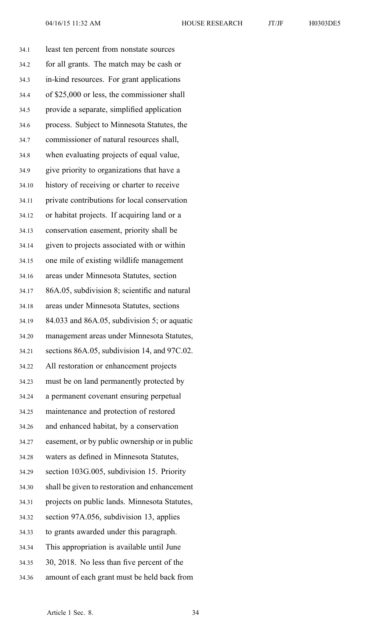34.1 least ten percen<sup>t</sup> from nonstate sources 34.2 for all grants. The match may be cash or 34.3 in-kind resources. For gran<sup>t</sup> applications 34.4 of \$25,000 or less, the commissioner shall 34.5 provide <sup>a</sup> separate, simplified application 34.6 process. Subject to Minnesota Statutes, the 34.7 commissioner of natural resources shall, 34.8 when evaluating projects of equal value, 34.9 give priority to organizations that have <sup>a</sup> 34.10 history of receiving or charter to receive 34.11 private contributions for local conservation 34.12 or habitat projects. If acquiring land or <sup>a</sup> 34.13 conservation easement, priority shall be 34.14 given to projects associated with or within 34.15 one mile of existing wildlife managemen<sup>t</sup> 34.16 areas under Minnesota Statutes, section 34.17 86A.05, subdivision 8; scientific and natural 34.18 areas under Minnesota Statutes, sections 34.19 84.033 and 86A.05, subdivision 5; or aquatic 34.20 managemen<sup>t</sup> areas under Minnesota Statutes, 34.21 sections 86A.05, subdivision 14, and 97C.02. 34.22 All restoration or enhancement projects 34.23 must be on land permanently protected by 34.24 <sup>a</sup> permanen<sup>t</sup> covenant ensuring perpetual 34.25 maintenance and protection of restored 34.26 and enhanced habitat, by <sup>a</sup> conservation 34.27 easement, or by public ownership or in public 34.28 waters as defined in Minnesota Statutes, 34.29 section 103G.005, subdivision 15. Priority 34.30 shall be given to restoration and enhancement 34.31 projects on public lands. Minnesota Statutes, 34.32 section 97A.056, subdivision 13, applies 34.33 to grants awarded under this paragraph. 34.34 This appropriation is available until June 34.35 30, 2018. No less than five percen<sup>t</sup> of the 34.36 amount of each gran<sup>t</sup> must be held back from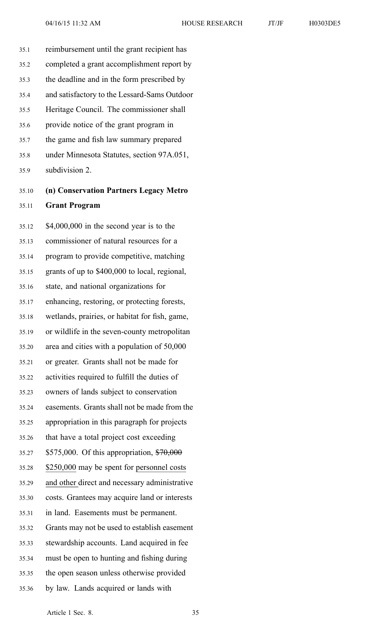35.1 reimbursement until the gran<sup>t</sup> recipient has

| 35.2  | completed a grant accomplishment report by     |
|-------|------------------------------------------------|
| 35.3  | the deadline and in the form prescribed by     |
| 35.4  | and satisfactory to the Lessard-Sams Outdoor   |
| 35.5  | Heritage Council. The commissioner shall       |
| 35.6  | provide notice of the grant program in         |
| 35.7  | the game and fish law summary prepared         |
| 35.8  | under Minnesota Statutes, section 97A.051,     |
| 35.9  | subdivision 2.                                 |
| 35.10 | (n) Conservation Partners Legacy Metro         |
| 35.11 | <b>Grant Program</b>                           |
| 35.12 | $$4,000,000$ in the second year is to the      |
| 35.13 | commissioner of natural resources for a        |
| 35.14 | program to provide competitive, matching       |
| 35.15 | grants of up to \$400,000 to local, regional,  |
| 35.16 | state, and national organizations for          |
| 35.17 | enhancing, restoring, or protecting forests,   |
| 35.18 | wetlands, prairies, or habitat for fish, game, |
| 35.19 | or wildlife in the seven-county metropolitan   |
| 35.20 | area and cities with a population of 50,000    |
| 35.21 | or greater. Grants shall not be made for       |
| 35.22 | activities required to fulfill the duties of   |
| 35.23 | owners of lands subject to conservation        |
| 35.24 | easements. Grants shall not be made from the   |
| 35.25 | appropriation in this paragraph for projects   |
| 35.26 | that have a total project cost exceeding       |
| 35.27 | \$575,000. Of this appropriation, \$70,000     |
| 35.28 | \$250,000 may be spent for personnel costs     |
| 35.29 | and other direct and necessary administrative  |
| 35.30 | costs. Grantees may acquire land or interests  |
| 35.31 | in land. Easements must be permanent.          |
| 35.32 | Grants may not be used to establish easement   |
| 35.33 | stewardship accounts. Land acquired in fee     |
| 35.34 | must be open to hunting and fishing during     |
| 35.35 | the open season unless otherwise provided      |
| 35.36 | by law. Lands acquired or lands with           |
|       | Article 1 Sec. 8.<br>35                        |
|       |                                                |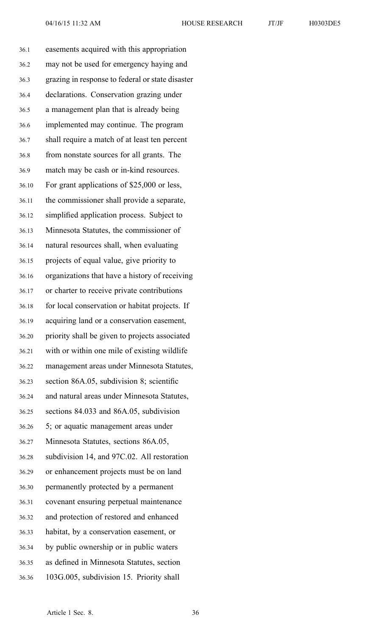36.1 easements acquired with this appropriation 36.2 may not be used for emergency haying and 36.3 grazing in response to federal or state disaster 36.4 declarations. Conservation grazing under 36.5 <sup>a</sup> managemen<sup>t</sup> plan that is already being 36.6 implemented may continue. The program 36.7 shall require <sup>a</sup> match of at least ten percen<sup>t</sup> 36.8 from nonstate sources for all grants. The 36.9 match may be cash or in-kind resources. 36.10 For gran<sup>t</sup> applications of \$25,000 or less, 36.11 the commissioner shall provide <sup>a</sup> separate, 36.12 simplified application process. Subject to 36.13 Minnesota Statutes, the commissioner of 36.14 natural resources shall, when evaluating 36.15 projects of equal value, give priority to 36.16 organizations that have <sup>a</sup> history of receiving 36.17 or charter to receive private contributions 36.18 for local conservation or habitat projects. If 36.19 acquiring land or <sup>a</sup> conservation easement, 36.20 priority shall be given to projects associated 36.21 with or within one mile of existing wildlife 36.22 managemen<sup>t</sup> areas under Minnesota Statutes, 36.23 section 86A.05, subdivision 8; scientific 36.24 and natural areas under Minnesota Statutes, 36.25 sections 84.033 and 86A.05, subdivision 36.26 5; or aquatic managemen<sup>t</sup> areas under 36.27 Minnesota Statutes, sections 86A.05, 36.28 subdivision 14, and 97C.02. All restoration 36.29 or enhancement projects must be on land 36.30 permanently protected by <sup>a</sup> permanen<sup>t</sup> 36.31 covenant ensuring perpetual maintenance 36.32 and protection of restored and enhanced 36.33 habitat, by <sup>a</sup> conservation easement, or 36.34 by public ownership or in public waters 36.35 as defined in Minnesota Statutes, section 36.36 103G.005, subdivision 15. Priority shall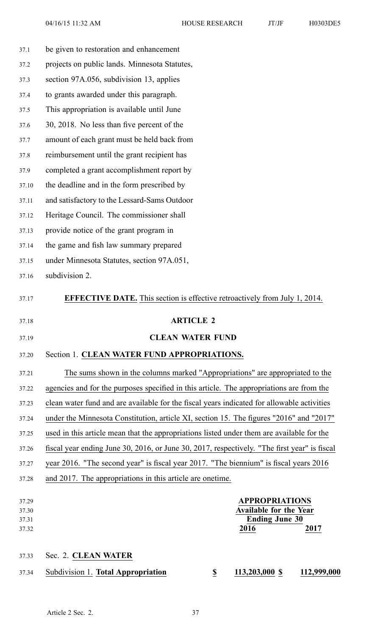| 37.1                             | be given to restoration and enhancement                                                         |  |
|----------------------------------|-------------------------------------------------------------------------------------------------|--|
| 37.2                             | projects on public lands. Minnesota Statutes,                                                   |  |
| 37.3                             | section 97A.056, subdivision 13, applies                                                        |  |
| 37.4                             | to grants awarded under this paragraph.                                                         |  |
| 37.5                             | This appropriation is available until June                                                      |  |
| 37.6                             | 30, 2018. No less than five percent of the                                                      |  |
| 37.7                             | amount of each grant must be held back from                                                     |  |
| 37.8                             | reimbursement until the grant recipient has                                                     |  |
| 37.9                             | completed a grant accomplishment report by                                                      |  |
| 37.10                            | the deadline and in the form prescribed by                                                      |  |
| 37.11                            | and satisfactory to the Lessard-Sams Outdoor                                                    |  |
| 37.12                            | Heritage Council. The commissioner shall                                                        |  |
| 37.13                            | provide notice of the grant program in                                                          |  |
| 37.14                            | the game and fish law summary prepared                                                          |  |
| 37.15                            | under Minnesota Statutes, section 97A.051,                                                      |  |
| 37.16                            | subdivision 2.                                                                                  |  |
| 37.17                            | <b>EFFECTIVE DATE.</b> This section is effective retroactively from July 1, 2014.               |  |
|                                  |                                                                                                 |  |
| 37.18                            | <b>ARTICLE 2</b>                                                                                |  |
| 37.19                            | <b>CLEAN WATER FUND</b>                                                                         |  |
| 37.20                            | Section 1. CLEAN WATER FUND APPROPRIATIONS.                                                     |  |
| 37.21                            | The sums shown in the columns marked "Appropriations" are appropriated to the                   |  |
| 37.22                            | agencies and for the purposes specified in this article. The appropriations are from the        |  |
| 37.23                            | clean water fund and are available for the fiscal years indicated for allowable activities      |  |
| 37.24                            | under the Minnesota Constitution, article XI, section 15. The figures "2016" and "2017"         |  |
| 37.25                            | used in this article mean that the appropriations listed under them are available for the       |  |
| 37.26                            | fiscal year ending June 30, 2016, or June 30, 2017, respectively. "The first year" is fiscal    |  |
| 37.27                            | year 2016. "The second year" is fiscal year 2017. "The biennium" is fiscal years 2016           |  |
| 37.28                            | and 2017. The appropriations in this article are onetime.                                       |  |
| 37.29<br>37.30<br>37.31<br>37.32 | <b>APPROPRIATIONS</b><br><b>Available for the Year</b><br><b>Ending June 30</b><br>2017<br>2016 |  |
| 37.33                            | Sec. 2. CLEAN WATER                                                                             |  |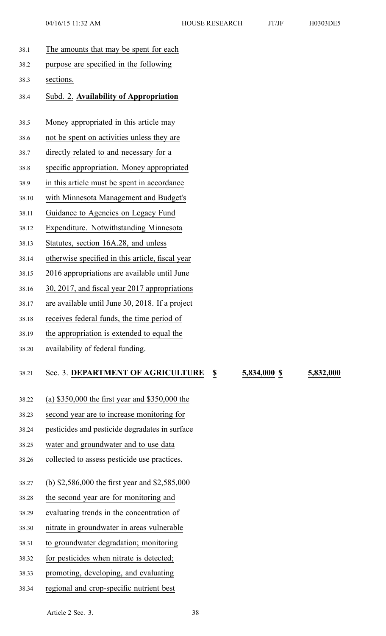38.1 The amounts that may be spen<sup>t</sup> for each 38.2 purpose are specified in the following 38.3 sections. 38.4 Subd. 2. **Availability of Appropriation** 38.5 Money appropriated in this article may 38.6 not be spen<sup>t</sup> on activities unless they are 38.7 directly related to and necessary for <sup>a</sup> 38.8 specific appropriation. Money appropriated 38.9 in this article must be spen<sup>t</sup> in accordance 38.10 with Minnesota Management and Budget's 38.11 Guidance to Agencies on Legacy Fund 38.12 Expenditure. Notwithstanding Minnesota 38.13 Statutes, section 16A.28, and unless 38.14 otherwise specified in this article, fiscal year 38.15 2016 appropriations are available until June 38.16 30, 2017, and fiscal year 2017 appropriations 38.17 are available until June 30, 2018. If <sup>a</sup> project 38.18 receives federal funds, the time period of 38.19 the appropriation is extended to equal the 38.20 availability of federal funding. 38.21 Sec. 3. **DEPARTMENT OF AGRICULTURE \$ 5,834,000 \$ 5,832,000** 38.22 (a) \$350,000 the first year and \$350,000 the 38.23 second year are to increase monitoring for 38.24 pesticides and pesticide degradates in surface 38.25 water and groundwater and to use data 38.26 collected to assess pesticide use practices. 38.27 (b) \$2,586,000 the first year and \$2,585,000 38.28 the second year are for monitoring and 38.29 evaluating trends in the concentration of 38.30 nitrate in groundwater in areas vulnerable

38.31 to groundwater degradation; monitoring

- 38.32 for pesticides when nitrate is detected;
- 38.33 promoting, developing, and evaluating
- 38.34 regional and crop-specific nutrient best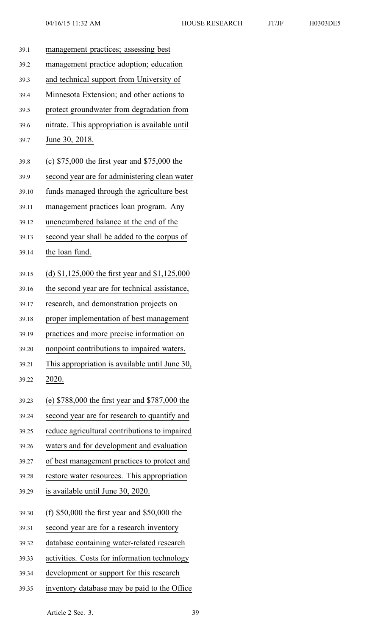| 39.1  | management practices; assessing best             |
|-------|--------------------------------------------------|
| 39.2  | management practice adoption; education          |
| 39.3  | and technical support from University of         |
| 39.4  | Minnesota Extension; and other actions to        |
| 39.5  | protect groundwater from degradation from        |
| 39.6  | nitrate. This appropriation is available until   |
| 39.7  | June 30, 2018.                                   |
| 39.8  | (c) $$75,000$ the first year and $$75,000$ the   |
| 39.9  | second year are for administering clean water    |
| 39.10 | funds managed through the agriculture best       |
| 39.11 | management practices loan program. Any           |
| 39.12 | unencumbered balance at the end of the           |
| 39.13 | second year shall be added to the corpus of      |
| 39.14 | the loan fund.                                   |
| 39.15 | (d) $$1,125,000$ the first year and $$1,125,000$ |
| 39.16 | the second year are for technical assistance,    |
| 39.17 | research, and demonstration projects on          |
| 39.18 | proper implementation of best management         |
| 39.19 | practices and more precise information on        |
| 39.20 | nonpoint contributions to impaired waters.       |
| 39.21 | This appropriation is available until June 30,   |
| 39.22 | 2020.                                            |
| 39.23 | (e) $$788,000$ the first year and $$787,000$ the |
| 39.24 | second year are for research to quantify and     |
| 39.25 | reduce agricultural contributions to impaired    |
| 39.26 | waters and for development and evaluation        |
| 39.27 | of best management practices to protect and      |
| 39.28 | restore water resources. This appropriation      |
| 39.29 | is available until June 30, 2020.                |
| 39.30 | (f) $$50,000$ the first year and $$50,000$ the   |
| 39.31 | second year are for a research inventory         |
| 39.32 | database containing water-related research       |
| 39.33 | activities. Costs for information technology     |
| 39.34 | development or support for this research         |
| 39.35 | inventory database may be paid to the Office     |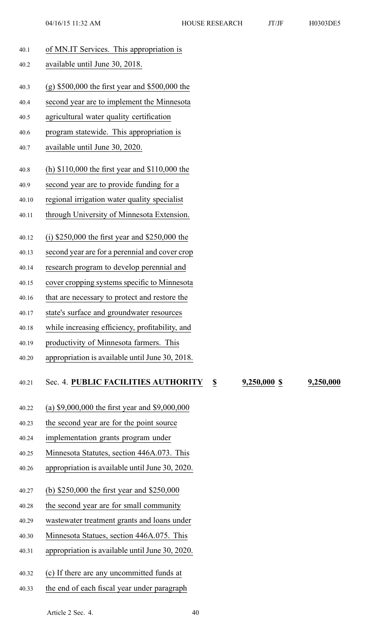|       | 04/16/15 11:32 AM                                | <b>HOUSE RESEARCH</b> | JT/JF | H0303DE5 |
|-------|--------------------------------------------------|-----------------------|-------|----------|
| 40.1  | of MN.IT Services. This appropriation is         |                       |       |          |
| 40.2  | available until June 30, 2018.                   |                       |       |          |
| 40.3  | $(g)$ \$500,000 the first year and \$500,000 the |                       |       |          |
| 40.4  | second year are to implement the Minnesota       |                       |       |          |
| 40.5  | agricultural water quality certification         |                       |       |          |
| 40.6  | program statewide. This appropriation is         |                       |       |          |
| 40.7  | available until June 30, 2020.                   |                       |       |          |
|       | (h) $$110,000$ the first year and $$110,000$ the |                       |       |          |
| 40.8  |                                                  |                       |       |          |
| 40.9  | second year are to provide funding for a         |                       |       |          |
| 40.10 | regional irrigation water quality specialist     |                       |       |          |
| 40.11 | through University of Minnesota Extension.       |                       |       |          |
| 40.12 | (i) $$250,000$ the first year and $$250,000$ the |                       |       |          |
| 40.13 | second year are for a perennial and cover crop   |                       |       |          |
| 40.14 | research program to develop perennial and        |                       |       |          |
| 40.15 | cover cropping systems specific to Minnesota     |                       |       |          |
| 40.16 | that are necessary to protect and restore the    |                       |       |          |
| 40.17 | state's surface and groundwater resources        |                       |       |          |
| 40.18 | while increasing efficiency, profitability, and  |                       |       |          |
| 40.19 | productivity of Minnesota farmers. This          |                       |       |          |
| 40.20 | appropriation is available until June 30, 2018.  |                       |       |          |
|       |                                                  |                       |       |          |

## 40.21 Sec. 4. **PUBLIC FACILITIES AUTHORITY \$ 9,250,000 \$ 9,250,000**

- 40.22 (a) \$9,000,000 the first year and \$9,000,000
- 40.23 the second year are for the point source
- 40.24 implementation grants program under
- 40.25 Minnesota Statutes, section 446A.073. This
- 40.26 appropriation is available until June 30, 2020.
- 40.27 (b) \$250,000 the first year and \$250,000
- 40.28 the second year are for small community
- 40.29 wastewater treatment grants and loans under
- 40.30 Minnesota Statues, section 446A.075. This
- 40.31 appropriation is available until June 30, 2020.
- 40.32 (c) If there are any uncommitted funds at
- 40.33 the end of each fiscal year under paragraph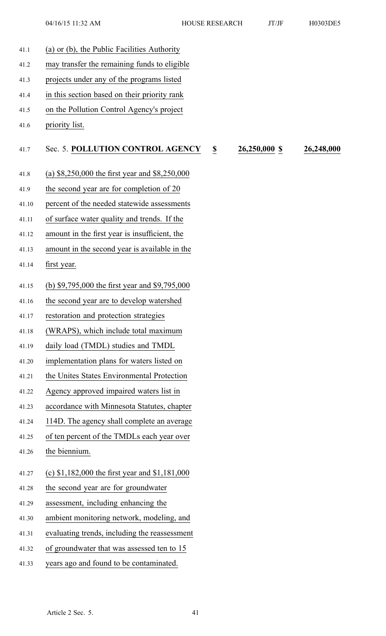41.1 (a) or (b), the Public Facilities Authority 41.2 may transfer the remaining funds to eligible 41.3 projects under any of the programs listed 41.4 in this section based on their priority rank 41.5 on the Pollution Control Agency's project 41.6 priority list. 41.7 Sec. 5. **POLLUTION CONTROL AGENCY \$ 26,250,000 \$ 26,248,000** 41.8 (a) \$8,250,000 the first year and \$8,250,000 41.9 the second year are for completion of 20 41.10 percen<sup>t</sup> of the needed statewide assessments 41.11 of surface water quality and trends. If the 41.12 amount in the first year is insufficient, the 41.13 amount in the second year is available in the 41.14 first year. 41.15 (b) \$9,795,000 the first year and \$9,795,000 41.16 the second year are to develop watershed 41.17 restoration and protection strategies 41.18 (WRAPS), which include total maximum 41.19 daily load (TMDL) studies and TMDL 41.20 implementation plans for waters listed on 41.21 the Unites States Environmental Protection 41.22 Agency approved impaired waters list in 41.23 accordance with Minnesota Statutes, chapter 41.24 114D. The agency shall complete an average 41.25 of ten percen<sup>t</sup> of the TMDLs each year over 41.26 the biennium. 41.27 (c) \$1,182,000 the first year and \$1,181,000 41.28 the second year are for groundwater 41.29 assessment, including enhancing the 41.30 ambient monitoring network, modeling, and 41.31 evaluating trends, including the reassessment 41.32 of groundwater that was assessed ten to 15 41.33 years ago and found to be contaminated.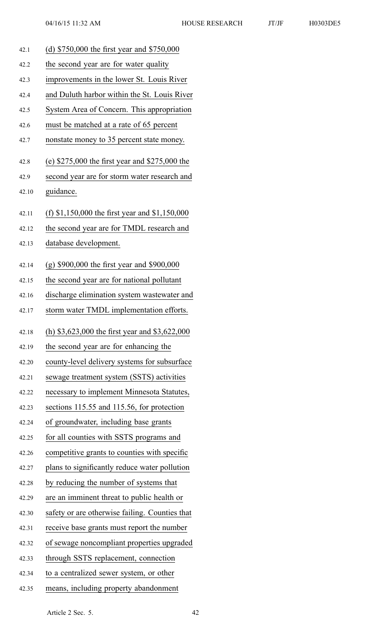| 42.1  | (d) \$750,000 the first year and \$750,000       |
|-------|--------------------------------------------------|
| 42.2  | the second year are for water quality            |
| 42.3  | improvements in the lower St. Louis River        |
| 42.4  | and Duluth harbor within the St. Louis River     |
| 42.5  | System Area of Concern. This appropriation       |
| 42.6  | must be matched at a rate of 65 percent          |
| 42.7  | nonstate money to 35 percent state money.        |
| 42.8  | (e) $$275,000$ the first year and $$275,000$ the |
| 42.9  | second year are for storm water research and     |
| 42.10 | guidance.                                        |
| 42.11 | (f) $$1,150,000$ the first year and $$1,150,000$ |
| 42.12 | the second year are for TMDL research and        |
| 42.13 | database development.                            |
| 42.14 | $(g)$ \$900,000 the first year and \$900,000     |
| 42.15 | the second year are for national pollutant       |
| 42.16 | discharge elimination system wastewater and      |
| 42.17 | storm water TMDL implementation efforts.         |
|       |                                                  |
|       |                                                  |
| 42.18 | (h) $$3,623,000$ the first year and $$3,622,000$ |
| 42.19 | the second year are for enhancing the            |
| 42.20 | county-level delivery systems for subsurface     |
| 42.21 | sewage treatment system (SSTS) activities        |
| 42.22 | necessary to implement Minnesota Statutes,       |
| 42.23 | sections 115.55 and 115.56, for protection       |
| 42.24 | of groundwater, including base grants            |
| 42.25 | for all counties with SSTS programs and          |
| 42.26 | competitive grants to counties with specific     |
| 42.27 | plans to significantly reduce water pollution    |
| 42.28 | by reducing the number of systems that           |
| 42.29 | are an imminent threat to public health or       |
| 42.30 | safety or are otherwise failing. Counties that   |
| 42.31 | receive base grants must report the number       |
| 42.32 | of sewage noncompliant properties upgraded       |
| 42.33 | through SSTS replacement, connection             |
| 42.34 | to a centralized sewer system, or other          |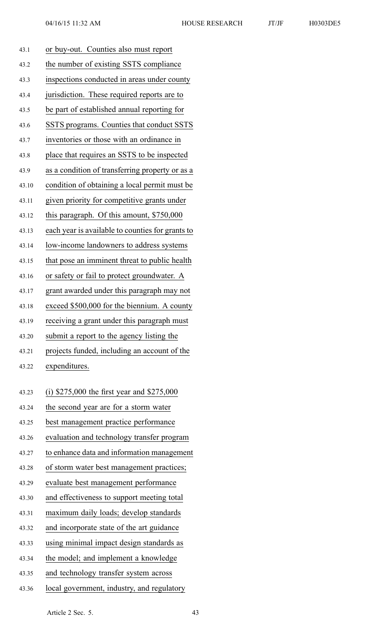| 43.1  | or buy-out. Counties also must report            |
|-------|--------------------------------------------------|
| 43.2  | the number of existing SSTS compliance           |
| 43.3  | inspections conducted in areas under county      |
| 43.4  | jurisdiction. These required reports are to      |
| 43.5  | be part of established annual reporting for      |
| 43.6  | SSTS programs. Counties that conduct SSTS        |
| 43.7  | inventories or those with an ordinance in        |
| 43.8  | place that requires an SSTS to be inspected      |
| 43.9  | as a condition of transferring property or as a  |
| 43.10 | condition of obtaining a local permit must be    |
| 43.11 | given priority for competitive grants under      |
| 43.12 | this paragraph. Of this amount, \$750,000        |
| 43.13 | each year is available to counties for grants to |
| 43.14 | low-income landowners to address systems         |
| 43.15 | that pose an imminent threat to public health    |
| 43.16 | or safety or fail to protect groundwater. A      |
| 43.17 | grant awarded under this paragraph may not       |
| 43.18 | exceed \$500,000 for the biennium. A county      |
| 43.19 | receiving a grant under this paragraph must      |
| 43.20 | submit a report to the agency listing the        |
| 43.21 | projects funded, including an account of the     |
| 43.22 | expenditures.                                    |
|       |                                                  |
| 43.23 | (i) $$275,000$ the first year and $$275,000$     |
| 43.24 | the second year are for a storm water            |
| 43.25 | best management practice performance             |
| 43.26 | evaluation and technology transfer program       |
| 43.27 | to enhance data and information management       |
| 43.28 | of storm water best management practices;        |
| 43.29 | evaluate best management performance             |
| 43.30 | and effectiveness to support meeting total       |
| 43.31 | maximum daily loads; develop standards           |
| 43.32 | and incorporate state of the art guidance        |
| 43.33 | using minimal impact design standards as         |
| 43.34 | the model; and implement a knowledge             |
| 43.35 | and technology transfer system across            |
|       |                                                  |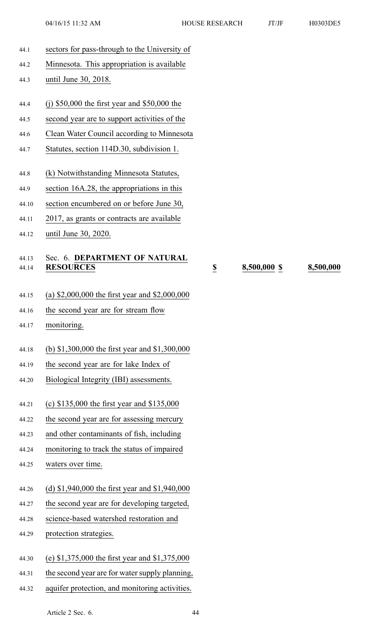44.1 sectors for pass-through to the University of 44.2 Minnesota. This appropriation is available 44.3 until June 30, 2018. 44.4 (j) \$50,000 the first year and \$50,000 the 44.5 second year are to suppor<sup>t</sup> activities of the 44.6 Clean Water Council according to Minnesota 44.7 Statutes, section 114D.30, subdivision 1. 44.8 (k) Notwithstanding Minnesota Statutes, 44.9 section 16A.28, the appropriations in this 44.10 section encumbered on or before June 30, 44.11 2017, as grants or contracts are available 44.12 until June 30, 2020. 44.13 Sec. 6. **DEPARTMENT OF NATURAL** 44.14 **RESOURCES \$ 8,500,000 \$ 8,500,000** 44.15 (a) \$2,000,000 the first year and \$2,000,000 44.16 the second year are for stream flow 44.17 monitoring. 44.18 (b) \$1,300,000 the first year and \$1,300,000 44.19 the second year are for lake Index of 44.20 Biological Integrity (IBI) assessments. 44.21 (c) \$135,000 the first year and \$135,000 44.22 the second year are for assessing mercury 44.23 and other contaminants of fish, including 44.24 monitoring to track the status of impaired 44.25 waters over time. 44.26 (d) \$1,940,000 the first year and \$1,940,000 44.27 the second year are for developing targeted, 44.28 science-based watershed restoration and 44.29 protection strategies. 44.30 (e) \$1,375,000 the first year and \$1,375,000 44.31 the second year are for water supply planning, 44.32 aquifer protection, and monitoring activities. Article 2 Sec. 6. 44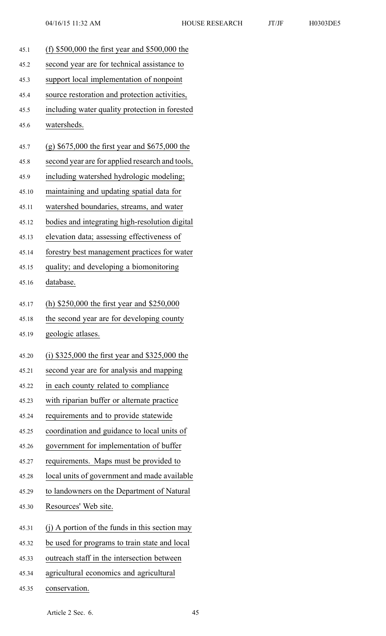45.1 (f) \$500,000 the first year and \$500,000 the 45.2 second year are for technical assistance to 45.3 suppor<sup>t</sup> local implementation of nonpoint 45.4 source restoration and protection activities, 45.5 including water quality protection in forested 45.6 watersheds. 45.7 (g) \$675,000 the first year and \$675,000 the 45.8 second year are for applied research and tools, 45.9 including watershed hydrologic modeling; 45.10 maintaining and updating spatial data for 45.11 watershed boundaries, streams, and water 45.12 bodies and integrating high-resolution digital 45.13 elevation data; assessing effectiveness of 45.14 forestry best managemen<sup>t</sup> practices for water 45.15 quality; and developing <sup>a</sup> biomonitoring 45.16 database. 45.17 (h) \$250,000 the first year and \$250,000 45.18 the second year are for developing county 45.19 geologic atlases. 45.20 (i) \$325,000 the first year and \$325,000 the 45.21 second year are for analysis and mapping 45.22 in each county related to compliance 45.23 with riparian buffer or alternate practice 45.24 requirements and to provide statewide 45.25 coordination and guidance to local units of 45.26 governmen<sup>t</sup> for implementation of buffer 45.27 requirements. Maps must be provided to 45.28 local units of governmen<sup>t</sup> and made available 45.29 to landowners on the Department of Natural 45.30 Resources' Web site. 45.31 (j) A portion of the funds in this section may 45.32 be used for programs to train state and local 45.33 outreach staff in the intersection between 45.34 agricultural economics and agricultural

45.35 conservation.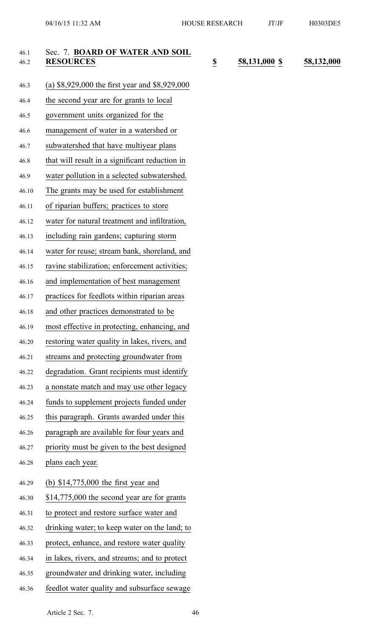46.2 **RESOURCES \$ 58,131,000 \$ 58,132,000**

| 46.1<br>46.2 | Sec. 7. BOARD OF WATER AND SOIL<br><b>RESOURCES</b> | $\overline{\mathbf{z}}$ |
|--------------|-----------------------------------------------------|-------------------------|
| 46.3         | (a) $$8,929,000$ the first year and $$8,929,000$    |                         |
| 46.4         | the second year are for grants to local             |                         |
| 46.5         | government units organized for the                  |                         |
| 46.6         | management of water in a watershed or               |                         |
| 46.7         | subwatershed that have multiyear plans              |                         |
| 46.8         | that will result in a significant reduction in      |                         |
| 46.9         | water pollution in a selected subwatershed.         |                         |
| 46.10        | The grants may be used for establishment            |                         |
| 46.11        | of riparian buffers; practices to store             |                         |
| 46.12        | water for natural treatment and infiltration,       |                         |
| 46.13        | including rain gardens; capturing storm             |                         |
| 46.14        | water for reuse; stream bank, shoreland, and        |                         |
| 46.15        | ravine stabilization; enforcement activities;       |                         |
| 46.16        | and implementation of best management               |                         |
| 46.17        | practices for feedlots within riparian areas        |                         |
| 46.18        | and other practices demonstrated to be              |                         |
| 46.19        | most effective in protecting, enhancing, and        |                         |
| 46.20        | restoring water quality in lakes, rivers, and       |                         |
| 46.21        | streams and protecting groundwater from             |                         |
| 46.22        | degradation. Grant recipients must identify         |                         |
| 46.23        | a nonstate match and may use other legacy           |                         |
| 46.24        | funds to supplement projects funded under           |                         |
| 46.25        | this paragraph. Grants awarded under this           |                         |
| 46.26        | paragraph are available for four years and          |                         |
| 46.27        | priority must be given to the best designed         |                         |
| 46.28        | plans each year.                                    |                         |
| 46.29        | (b) $$14,775,000$ the first year and                |                         |
| 46.30        | \$14,775,000 the second year are for grants         |                         |
| 46.31        | to protect and restore surface water and            |                         |
| 46.32        | drinking water; to keep water on the land; to       |                         |
| 46.33        | protect, enhance, and restore water quality         |                         |
| 46.34        | in lakes, rivers, and streams; and to protect       |                         |
| 46.35        | groundwater and drinking water, including           |                         |
| 46.36        | feedlot water quality and subsurface sewage         |                         |
|              |                                                     |                         |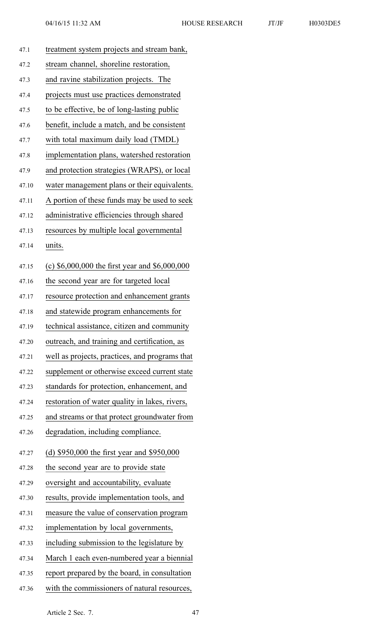| 47.1  | treatment system projects and stream bank,       |
|-------|--------------------------------------------------|
| 47.2  | stream channel, shoreline restoration,           |
| 47.3  | and ravine stabilization projects. The           |
| 47.4  | projects must use practices demonstrated         |
| 47.5  | to be effective, be of long-lasting public       |
| 47.6  | benefit, include a match, and be consistent      |
| 47.7  | with total maximum daily load (TMDL)             |
| 47.8  | implementation plans, watershed restoration      |
| 47.9  | and protection strategies (WRAPS), or local      |
| 47.10 | water management plans or their equivalents.     |
| 47.11 | A portion of these funds may be used to seek     |
| 47.12 | administrative efficiencies through shared       |
| 47.13 | resources by multiple local governmental         |
| 47.14 | units.                                           |
| 47.15 | (c) $$6,000,000$ the first year and $$6,000,000$ |
| 47.16 | the second year are for targeted local           |
| 47.17 | resource protection and enhancement grants       |
| 47.18 | and statewide program enhancements for           |
| 47.19 | technical assistance, citizen and community      |
| 47.20 | outreach, and training and certification, as     |
| 47.21 | well as projects, practices, and programs that   |
| 47.22 | supplement or otherwise exceed current state     |
| 47.23 | standards for protection, enhancement, and       |
| 47.24 | restoration of water quality in lakes, rivers,   |
| 47.25 | and streams or that protect groundwater from     |
| 47.26 | degradation, including compliance.               |
| 47.27 | (d) \$950,000 the first year and \$950,000       |
| 47.28 | the second year are to provide state             |
| 47.29 | oversight and accountability, evaluate           |
| 47.30 | results, provide implementation tools, and       |
| 47.31 | measure the value of conservation program        |
| 47.32 | implementation by local governments,             |
| 47.33 | including submission to the legislature by       |
| 47.34 | March 1 each even-numbered year a biennial       |
| 47.35 | report prepared by the board, in consultation    |
| 47.36 | with the commissioners of natural resources,     |
|       |                                                  |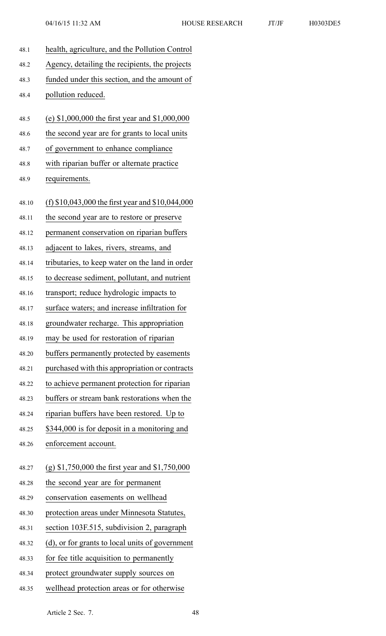| 48.1  | health, agriculture, and the Pollution Control     |
|-------|----------------------------------------------------|
| 48.2  | Agency, detailing the recipients, the projects     |
| 48.3  | funded under this section, and the amount of       |
| 48.4  | pollution reduced.                                 |
| 48.5  | (e) $$1,000,000$ the first year and $$1,000,000$   |
| 48.6  | the second year are for grants to local units      |
| 48.7  | of government to enhance compliance                |
| 48.8  | with riparian buffer or alternate practice         |
| 48.9  | requirements.                                      |
|       |                                                    |
| 48.10 | (f) $$10,043,000$ the first year and $$10,044,000$ |
| 48.11 | the second year are to restore or preserve         |
| 48.12 | permanent conservation on riparian buffers         |
| 48.13 | adjacent to lakes, rivers, streams, and            |
| 48.14 | tributaries, to keep water on the land in order    |
| 48.15 | to decrease sediment, pollutant, and nutrient      |
| 48.16 | transport; reduce hydrologic impacts to            |
| 48.17 | surface waters; and increase infiltration for      |
| 48.18 | groundwater recharge. This appropriation           |
| 48.19 | may be used for restoration of riparian            |
| 48.20 | buffers permanently protected by easements         |
| 48.21 | purchased with this appropriation or contracts     |
| 48.22 | to achieve permanent protection for riparian       |
| 48.23 | buffers or stream bank restorations when the       |
| 48.24 | riparian buffers have been restored. Up to         |
| 48.25 | \$344,000 is for deposit in a monitoring and       |
| 48.26 | enforcement account.                               |
| 48.27 | (g) \$1,750,000 the first year and \$1,750,000     |
| 48.28 | the second year are for permanent                  |
| 48.29 | conservation easements on wellhead                 |
| 48.30 | protection areas under Minnesota Statutes,         |
| 48.31 | section 103F.515, subdivision 2, paragraph         |
| 48.32 | (d), or for grants to local units of government    |
| 48.33 | for fee title acquisition to permanently           |
| 48.34 | protect groundwater supply sources on              |

48.35 wellhead protection areas or for otherwise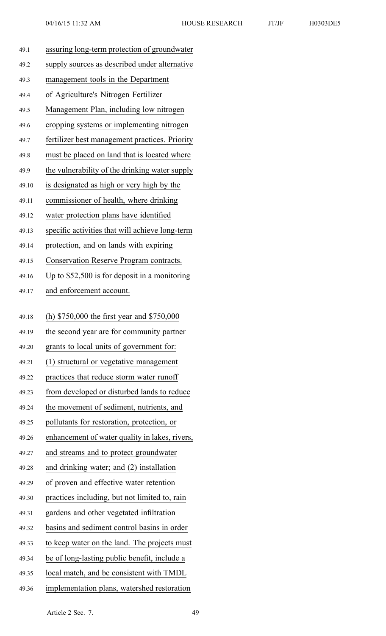| 49.1  | assuring long-term protection of groundwater    |
|-------|-------------------------------------------------|
| 49.2  | supply sources as described under alternative   |
| 49.3  | management tools in the Department              |
| 49.4  | of Agriculture's Nitrogen Fertilizer            |
| 49.5  | Management Plan, including low nitrogen         |
| 49.6  | cropping systems or implementing nitrogen       |
| 49.7  | fertilizer best management practices. Priority  |
| 49.8  | must be placed on land that is located where    |
| 49.9  | the vulnerability of the drinking water supply  |
| 49.10 | is designated as high or very high by the       |
| 49.11 | commissioner of health, where drinking          |
| 49.12 | water protection plans have identified          |
| 49.13 | specific activities that will achieve long-term |
| 49.14 | protection, and on lands with expiring          |
| 49.15 | Conservation Reserve Program contracts.         |
| 49.16 | Up to $$52,500$ is for deposit in a monitoring  |
| 49.17 | and enforcement account.                        |
|       |                                                 |
| 49.18 | (h) \$750,000 the first year and \$750,000      |
| 49.19 | the second year are for community partner       |
| 49.20 | grants to local units of government for:        |
| 49.21 | (1) structural or vegetative management         |
| 49.22 | practices that reduce storm water runoff        |
| 49.23 | from developed or disturbed lands to reduce     |
| 49.24 | the movement of sediment, nutrients, and        |
| 49.25 | pollutants for restoration, protection, or      |
| 49.26 | enhancement of water quality in lakes, rivers,  |
| 49.27 | and streams and to protect groundwater          |
| 49.28 | and drinking water; and (2) installation        |
| 49.29 |                                                 |
| 49.30 | of proven and effective water retention         |
|       | practices including, but not limited to, rain   |
| 49.31 | gardens and other vegetated infiltration        |
| 49.32 | basins and sediment control basins in order     |
| 49.33 | to keep water on the land. The projects must    |
| 49.34 | be of long-lasting public benefit, include a    |
| 49.35 | local match, and be consistent with TMDL        |
| 49.36 | implementation plans, watershed restoration     |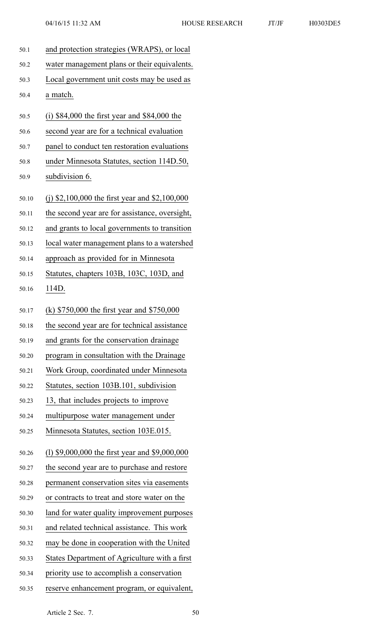| 50.1  | and protection strategies (WRAPS), or local    |
|-------|------------------------------------------------|
| 50.2  | water management plans or their equivalents.   |
| 50.3  | Local government unit costs may be used as     |
| 50.4  | a match.                                       |
| 50.5  | (i) $$84,000$ the first year and $$84,000$ the |
| 50.6  | second year are for a technical evaluation     |
| 50.7  | panel to conduct ten restoration evaluations   |
| 50.8  | under Minnesota Statutes, section 114D.50,     |
| 50.9  | subdivision 6.                                 |
| 50.10 | (j) \$2,100,000 the first year and \$2,100,000 |
| 50.11 | the second year are for assistance, oversight, |
| 50.12 | and grants to local governments to transition  |
| 50.13 | local water management plans to a watershed    |
| 50.14 | approach as provided for in Minnesota          |
| 50.15 | Statutes, chapters 103B, 103C, 103D, and       |
| 50.16 | 114D.                                          |
| 50.17 | (k) $$750,000$ the first year and $$750,000$   |
| 50.18 | the second year are for technical assistance   |
| 50.19 | and grants for the conservation drainage       |
| 50.20 | program in consultation with the Drainage      |
| 50.21 | Work Group, coordinated under Minnesota        |
| 50.22 | Statutes, section 103B.101, subdivision        |
| 50.23 | 13, that includes projects to improve          |
| 50.24 | multipurpose water management under            |
| 50.25 | Minnesota Statutes, section 103E.015.          |
| 50.26 | (1) \$9,000,000 the first year and \$9,000,000 |
| 50.27 | the second year are to purchase and restore    |
| 50.28 | permanent conservation sites via easements     |
| 50.29 | or contracts to treat and store water on the   |
| 50.30 | land for water quality improvement purposes    |
| 50.31 | and related technical assistance. This work    |
| 50.32 | may be done in cooperation with the United     |
| 50.33 | States Department of Agriculture with a first  |
| 50.34 | priority use to accomplish a conservation      |
| 50.35 | reserve enhancement program, or equivalent,    |
|       |                                                |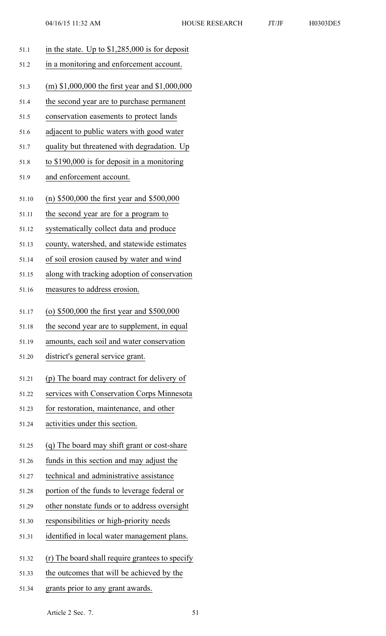| H0303DE: |
|----------|
|          |

| 51.1  | in the state. Up to $$1,285,000$ is for deposit |
|-------|-------------------------------------------------|
| 51.2  | in a monitoring and enforcement account.        |
| 51.3  | (m) \$1,000,000 the first year and \$1,000,000  |
| 51.4  | the second year are to purchase permanent       |
| 51.5  | conservation easements to protect lands         |
| 51.6  | adjacent to public waters with good water       |
| 51.7  | quality but threatened with degradation. Up     |
| 51.8  | to \$190,000 is for deposit in a monitoring     |
| 51.9  | and enforcement account.                        |
| 51.10 | (n) $$500,000$ the first year and $$500,000$    |
| 51.11 | the second year are for a program to            |
| 51.12 | systematically collect data and produce         |
| 51.13 | county, watershed, and statewide estimates      |
| 51.14 | of soil erosion caused by water and wind        |
| 51.15 | along with tracking adoption of conservation    |
| 51.16 | measures to address erosion.                    |
| 51.17 | (o) \$500,000 the first year and \$500,000      |
| 51.18 | the second year are to supplement, in equal     |
| 51.19 | amounts, each soil and water conservation       |
| 51.20 | district's general service grant.               |
| 51.21 | (p) The board may contract for delivery of      |
| 51.22 | services with Conservation Corps Minnesota      |
| 51.23 | for restoration, maintenance, and other         |
| 51.24 | activities under this section.                  |
| 51.25 | (q) The board may shift grant or cost-share     |
| 51.26 | funds in this section and may adjust the        |
| 51.27 | technical and administrative assistance         |
| 51.28 | portion of the funds to leverage federal or     |
| 51.29 | other nonstate funds or to address oversight    |
| 51.30 | responsibilities or high-priority needs         |
| 51.31 | identified in local water management plans.     |
| 51.32 | (r) The board shall require grantees to specify |
| 51.33 | the outcomes that will be achieved by the       |
| 51.34 | grants prior to any grant awards.               |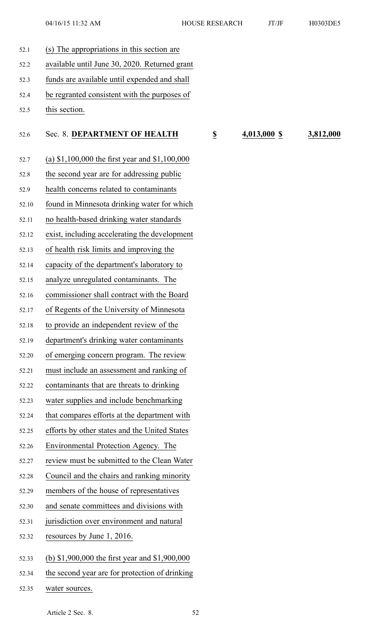52.6 Sec. 8. **DEPARTMENT OF HEALTH \$ 4,013,000 \$ 3,812,000**

| 52.1  | (s) The appropriations in this section are              |
|-------|---------------------------------------------------------|
| 52.2  | available until June 30, 2020. Returned grant           |
| 52.3  | funds are available until expended and shall            |
| 52.4  | be regranted consistent with the purposes of            |
| 52.5  | this section.                                           |
| 52.6  | Sec. 8. DEPARTMENT OF HEALTH<br>$\overline{\mathbf{z}}$ |
| 52.7  | (a) $$1,100,000$ the first year and $$1,100,000$        |
| 52.8  | the second year are for addressing public               |
| 52.9  | health concerns related to contaminants                 |
| 52.10 | found in Minnesota drinking water for which             |
| 52.11 | no health-based drinking water standards                |
| 52.12 | exist, including accelerating the development           |
| 52.13 | of health risk limits and improving the                 |
| 52.14 | capacity of the department's laboratory to              |
| 52.15 | analyze unregulated contaminants. The                   |
| 52.16 | commissioner shall contract with the Board              |
| 52.17 | of Regents of the University of Minnesota               |
| 52.18 | to provide an independent review of the                 |
| 52.19 | department's drinking water contaminants                |
| 52.20 | of emerging concern program. The review                 |
| 52.21 | must include an assessment and ranking of               |
| 52.22 | contaminants that are threats to drinking               |
| 52.23 | water supplies and include benchmarking                 |
| 52.24 | that compares efforts at the department with            |
| 52.25 | efforts by other states and the United States           |
| 52.26 | Environmental Protection Agency. The                    |
| 52.27 | review must be submitted to the Clean Water             |
| 52.28 | Council and the chairs and ranking minority             |
| 52.29 | members of the house of representatives                 |
| 52.30 | and senate committees and divisions with                |
| 52.31 | jurisdiction over environment and natural               |
| 52.32 | resources by June 1, 2016.                              |
| 52.33 | (b) $$1,900,000$ the first year and $$1,900,000$        |
| 52.34 | the second year are for protection of drinking          |

52.35 water sources.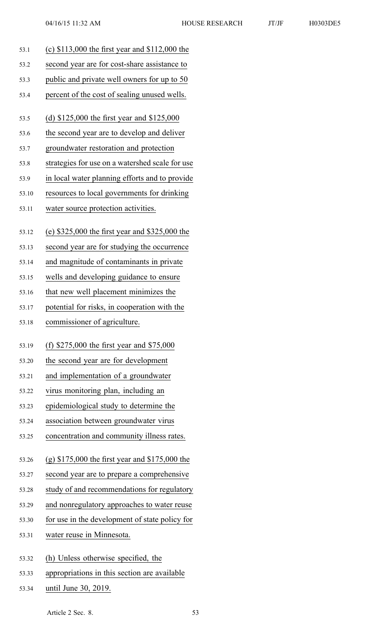- 53.1 (c) \$113,000 the first year and \$112,000 the 53.2 second year are for cost-share assistance to 53.3 public and private well owners for up to 50 53.4 percen<sup>t</sup> of the cost of sealing unused wells. 53.5 (d) \$125,000 the first year and \$125,000 53.6 the second year are to develop and deliver 53.7 groundwater restoration and protection 53.8 strategies for use on <sup>a</sup> watershed scale for use 53.9 in local water planning efforts and to provide 53.10 resources to local governments for drinking 53.11 water source protection activities. 53.12 (e) \$325,000 the first year and \$325,000 the 53.13 second year are for studying the occurrence 53.14 and magnitude of contaminants in private 53.15 wells and developing guidance to ensure 53.16 that new well placement minimizes the 53.17 potential for risks, in cooperation with the 53.18 commissioner of agriculture. 53.19 (f) \$275,000 the first year and \$75,000 53.20 the second year are for development 53.21 and implementation of <sup>a</sup> groundwater 53.22 virus monitoring plan, including an 53.23 epidemiological study to determine the 53.24 association between groundwater virus 53.25 concentration and community illness rates. 53.26 (g) \$175,000 the first year and \$175,000 the 53.27 second year are to prepare <sup>a</sup> comprehensive 53.28 study of and recommendations for regulatory 53.29 and nonregulatory approaches to water reuse 53.30 for use in the development of state policy for 53.31 water reuse in Minnesota.
- 53.32 (h) Unless otherwise specified, the
- 53.33 appropriations in this section are available
- 53.34 until June 30, 2019.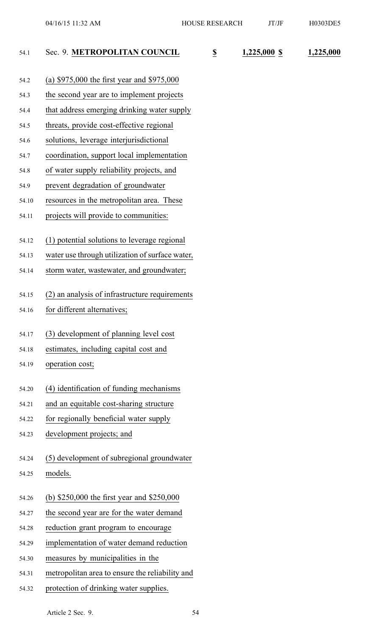| 54.1  | Sec. 9. METROPOLITAN COUNCIL                    | $\overline{\mathbf{z}}$ | 1,225,000 \$ | 1,225,000 |
|-------|-------------------------------------------------|-------------------------|--------------|-----------|
| 54.2  | (a) $$975,000$ the first year and $$975,000$    |                         |              |           |
| 54.3  | the second year are to implement projects       |                         |              |           |
| 54.4  | that address emerging drinking water supply     |                         |              |           |
| 54.5  | threats, provide cost-effective regional        |                         |              |           |
| 54.6  | solutions, leverage interjurisdictional         |                         |              |           |
| 54.7  | coordination, support local implementation      |                         |              |           |
| 54.8  | of water supply reliability projects, and       |                         |              |           |
| 54.9  | prevent degradation of groundwater              |                         |              |           |
| 54.10 | resources in the metropolitan area. These       |                         |              |           |
| 54.11 | projects will provide to communities:           |                         |              |           |
| 54.12 | (1) potential solutions to leverage regional    |                         |              |           |
| 54.13 | water use through utilization of surface water, |                         |              |           |
| 54.14 | storm water, wastewater, and groundwater;       |                         |              |           |
| 54.15 | (2) an analysis of infrastructure requirements  |                         |              |           |
| 54.16 | for different alternatives;                     |                         |              |           |
| 54.17 | (3) development of planning level cost          |                         |              |           |
| 54.18 | estimates, including capital cost and           |                         |              |           |
| 54.19 | operation cost;                                 |                         |              |           |
| 54.20 | (4) identification of funding mechanisms        |                         |              |           |
| 54.21 | and an equitable cost-sharing structure         |                         |              |           |
| 54.22 | for regionally beneficial water supply          |                         |              |           |
| 54.23 | development projects; and                       |                         |              |           |
| 54.24 | (5) development of subregional groundwater      |                         |              |           |
| 54.25 | models.                                         |                         |              |           |
| 54.26 | (b) $$250,000$ the first year and $$250,000$    |                         |              |           |
| 54.27 | the second year are for the water demand        |                         |              |           |
| 54.28 | reduction grant program to encourage            |                         |              |           |
| 54.29 | implementation of water demand reduction        |                         |              |           |
| 54.30 | measures by municipalities in the               |                         |              |           |
| 54.31 | metropolitan area to ensure the reliability and |                         |              |           |
| 54.32 | protection of drinking water supplies.          |                         |              |           |
|       |                                                 |                         |              |           |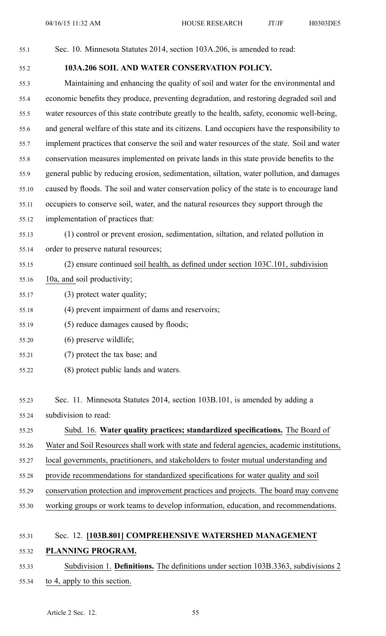| 55.1  | Sec. 10. Minnesota Statutes 2014, section 103A.206, is amended to read:                       |
|-------|-----------------------------------------------------------------------------------------------|
| 55.2  | 103A.206 SOIL AND WATER CONSERVATION POLICY.                                                  |
| 55.3  | Maintaining and enhancing the quality of soil and water for the environmental and             |
| 55.4  | economic benefits they produce, preventing degradation, and restoring degraded soil and       |
| 55.5  | water resources of this state contribute greatly to the health, safety, economic well-being,  |
| 55.6  | and general welfare of this state and its citizens. Land occupiers have the responsibility to |
| 55.7  | implement practices that conserve the soil and water resources of the state. Soil and water   |
| 55.8  | conservation measures implemented on private lands in this state provide benefits to the      |
| 55.9  | general public by reducing erosion, sedimentation, siltation, water pollution, and damages    |
| 55.10 | caused by floods. The soil and water conservation policy of the state is to encourage land    |
| 55.11 | occupiers to conserve soil, water, and the natural resources they support through the         |
| 55.12 | implementation of practices that:                                                             |
| 55.13 | (1) control or prevent erosion, sedimentation, siltation, and related pollution in            |
| 55.14 | order to preserve natural resources;                                                          |
| 55.15 | (2) ensure continued soil health, as defined under section 103C.101, subdivision              |
| 55.16 | 10a, and soil productivity;                                                                   |
| 55.17 | (3) protect water quality;                                                                    |
| 55.18 | (4) prevent impairment of dams and reservoirs;                                                |
| 55.19 | (5) reduce damages caused by floods;                                                          |
| 55.20 | $(6)$ preserve wildlife;                                                                      |
| 55.21 | (7) protect the tax base; and                                                                 |
| 55.22 | (8) protect public lands and waters.                                                          |
|       |                                                                                               |
| 55.23 | Sec. 11. Minnesota Statutes 2014, section 103B.101, is amended by adding a                    |
| 55.24 | subdivision to read:                                                                          |
| 55.25 | Subd. 16. Water quality practices; standardized specifications. The Board of                  |
| 55.26 | Water and Soil Resources shall work with state and federal agencies, academic institutions,   |
| 55.27 | local governments, practitioners, and stakeholders to foster mutual understanding and         |
| 55.28 | provide recommendations for standardized specifications for water quality and soil            |
| 55.29 | conservation protection and improvement practices and projects. The board may convene         |
| 55.30 | working groups or work teams to develop information, education, and recommendations.          |
|       |                                                                                               |
| 55.31 | Sec. 12. [103B.801] COMPREHENSIVE WATERSHED MANAGEMENT                                        |
| 55.32 | PLANNING PROGRAM.                                                                             |
| 55.33 | Subdivision 1. Definitions. The definitions under section 103B.3363, subdivisions 2           |

55.34 to 4, apply to this section.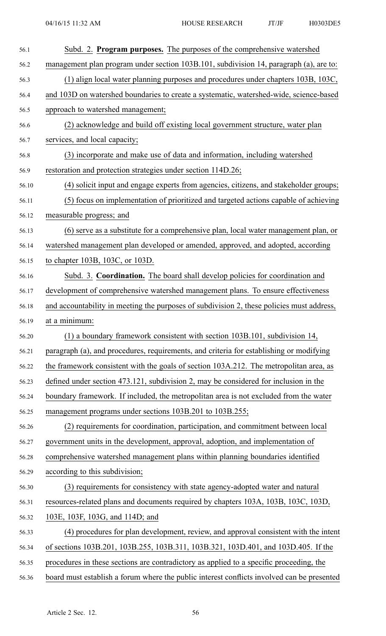| 56.1  | Subd. 2. Program purposes. The purposes of the comprehensive watershed                     |
|-------|--------------------------------------------------------------------------------------------|
| 56.2  | management plan program under section 103B.101, subdivision 14, paragraph (a), are to:     |
| 56.3  | (1) align local water planning purposes and procedures under chapters 103B, 103C,          |
| 56.4  | and 103D on watershed boundaries to create a systematic, watershed-wide, science-based     |
| 56.5  | approach to watershed management;                                                          |
| 56.6  | (2) acknowledge and build off existing local government structure, water plan              |
| 56.7  | services, and local capacity;                                                              |
| 56.8  | (3) incorporate and make use of data and information, including watershed                  |
| 56.9  | restoration and protection strategies under section 114D.26;                               |
| 56.10 | (4) solicit input and engage experts from agencies, citizens, and stakeholder groups;      |
| 56.11 | (5) focus on implementation of prioritized and targeted actions capable of achieving       |
| 56.12 | measurable progress; and                                                                   |
| 56.13 | (6) serve as a substitute for a comprehensive plan, local water management plan, or        |
| 56.14 | watershed management plan developed or amended, approved, and adopted, according           |
| 56.15 | to chapter 103B, 103C, or 103D.                                                            |
| 56.16 | Subd. 3. Coordination. The board shall develop policies for coordination and               |
| 56.17 | development of comprehensive watershed management plans. To ensure effectiveness           |
| 56.18 | and accountability in meeting the purposes of subdivision 2, these policies must address,  |
| 56.19 | at a minimum:                                                                              |
| 56.20 | (1) a boundary framework consistent with section 103B.101, subdivision 14,                 |
| 56.21 | paragraph (a), and procedures, requirements, and criteria for establishing or modifying    |
| 56.22 | the framework consistent with the goals of section 103A.212. The metropolitan area, as     |
| 56.23 | defined under section 473.121, subdivision 2, may be considered for inclusion in the       |
| 56.24 | boundary framework. If included, the metropolitan area is not excluded from the water      |
| 56.25 | management programs under sections 103B.201 to 103B.255;                                   |
| 56.26 | (2) requirements for coordination, participation, and commitment between local             |
| 56.27 | government units in the development, approval, adoption, and implementation of             |
| 56.28 | comprehensive watershed management plans within planning boundaries identified             |
| 56.29 | according to this subdivision;                                                             |
| 56.30 | (3) requirements for consistency with state agency-adopted water and natural               |
| 56.31 | resources-related plans and documents required by chapters 103A, 103B, 103C, 103D,         |
| 56.32 | 103E, 103F, 103G, and 114D; and                                                            |
| 56.33 | (4) procedures for plan development, review, and approval consistent with the intent       |
| 56.34 | of sections 103B.201, 103B.255, 103B.311, 103B.321, 103D.401, and 103D.405. If the         |
| 56.35 | procedures in these sections are contradictory as applied to a specific proceeding, the    |
| 56.36 | board must establish a forum where the public interest conflicts involved can be presented |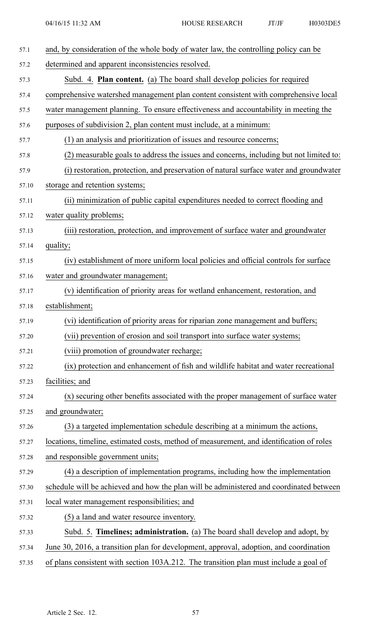| 57.1  | and, by consideration of the whole body of water law, the controlling policy can be      |
|-------|------------------------------------------------------------------------------------------|
| 57.2  | determined and apparent inconsistencies resolved.                                        |
| 57.3  | Subd. 4. <b>Plan content.</b> (a) The board shall develop policies for required          |
| 57.4  | comprehensive watershed management plan content consistent with comprehensive local      |
| 57.5  | water management planning. To ensure effectiveness and accountability in meeting the     |
| 57.6  | purposes of subdivision 2, plan content must include, at a minimum:                      |
| 57.7  | (1) an analysis and prioritization of issues and resource concerns;                      |
| 57.8  | (2) measurable goals to address the issues and concerns, including but not limited to:   |
| 57.9  | (i) restoration, protection, and preservation of natural surface water and groundwater   |
| 57.10 | storage and retention systems;                                                           |
| 57.11 | (ii) minimization of public capital expenditures needed to correct flooding and          |
| 57.12 | water quality problems;                                                                  |
| 57.13 | (iii) restoration, protection, and improvement of surface water and groundwater          |
| 57.14 | quality;                                                                                 |
| 57.15 | (iv) establishment of more uniform local policies and official controls for surface      |
| 57.16 | water and groundwater management;                                                        |
| 57.17 | (v) identification of priority areas for wetland enhancement, restoration, and           |
| 57.18 | establishment;                                                                           |
| 57.19 | (vi) identification of priority areas for riparian zone management and buffers;          |
| 57.20 | (vii) prevention of erosion and soil transport into surface water systems;               |
| 57.21 | (viii) promotion of groundwater recharge;                                                |
| 57.22 | (ix) protection and enhancement of fish and wildlife habitat and water recreational      |
| 57.23 | facilities; and                                                                          |
| 57.24 | (x) securing other benefits associated with the proper management of surface water       |
| 57.25 | and groundwater;                                                                         |
| 57.26 | (3) a targeted implementation schedule describing at a minimum the actions,              |
| 57.27 | locations, timeline, estimated costs, method of measurement, and identification of roles |
| 57.28 | and responsible government units;                                                        |
| 57.29 | (4) a description of implementation programs, including how the implementation           |
| 57.30 | schedule will be achieved and how the plan will be administered and coordinated between  |
| 57.31 | local water management responsibilities; and                                             |
| 57.32 | (5) a land and water resource inventory.                                                 |
| 57.33 | Subd. 5. Timelines; administration. (a) The board shall develop and adopt, by            |
| 57.34 | June 30, 2016, a transition plan for development, approval, adoption, and coordination   |
| 57.35 | of plans consistent with section 103A.212. The transition plan must include a goal of    |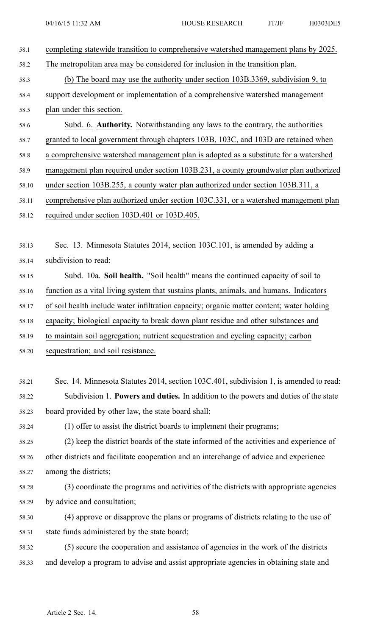| 58.1  | completing statewide transition to comprehensive watershed management plans by 2025.      |
|-------|-------------------------------------------------------------------------------------------|
| 58.2  | The metropolitan area may be considered for inclusion in the transition plan.             |
| 58.3  | (b) The board may use the authority under section 103B.3369, subdivision 9, to            |
| 58.4  | support development or implementation of a comprehensive watershed management             |
| 58.5  | plan under this section.                                                                  |
| 58.6  | Subd. 6. Authority. Notwithstanding any laws to the contrary, the authorities             |
| 58.7  | granted to local government through chapters 103B, 103C, and 103D are retained when       |
| 58.8  | a comprehensive watershed management plan is adopted as a substitute for a watershed      |
| 58.9  | management plan required under section 103B.231, a county groundwater plan authorized     |
| 58.10 | under section 103B.255, a county water plan authorized under section 103B.311, a          |
| 58.11 | comprehensive plan authorized under section 103C.331, or a watershed management plan      |
| 58.12 | required under section 103D.401 or 103D.405.                                              |
|       |                                                                                           |
| 58.13 | Sec. 13. Minnesota Statutes 2014, section 103C.101, is amended by adding a                |
| 58.14 | subdivision to read:                                                                      |
| 58.15 | Subd. 10a. Soil health. "Soil health" means the continued capacity of soil to             |
| 58.16 | function as a vital living system that sustains plants, animals, and humans. Indicators   |
| 58.17 | of soil health include water infiltration capacity; organic matter content; water holding |
| 58.18 | capacity; biological capacity to break down plant residue and other substances and        |
| 58.19 | to maintain soil aggregation; nutrient sequestration and cycling capacity; carbon         |
| 58.20 | sequestration; and soil resistance.                                                       |
|       |                                                                                           |
| 58.21 | Sec. 14. Minnesota Statutes 2014, section 103C.401, subdivision 1, is amended to read:    |
| 58.22 | Subdivision 1. Powers and duties. In addition to the powers and duties of the state       |
| 58.23 | board provided by other law, the state board shall:                                       |
| 58.24 | (1) offer to assist the district boards to implement their programs;                      |
| 58.25 | (2) keep the district boards of the state informed of the activities and experience of    |
| 58.26 | other districts and facilitate cooperation and an interchange of advice and experience    |
| 58.27 | among the districts;                                                                      |
| 58.28 | (3) coordinate the programs and activities of the districts with appropriate agencies     |
| 58.29 | by advice and consultation;                                                               |
| 58.30 | (4) approve or disapprove the plans or programs of districts relating to the use of       |
| 58.31 | state funds administered by the state board;                                              |
| 58.32 | (5) secure the cooperation and assistance of agencies in the work of the districts        |
| 58.33 | and develop a program to advise and assist appropriate agencies in obtaining state and    |
|       |                                                                                           |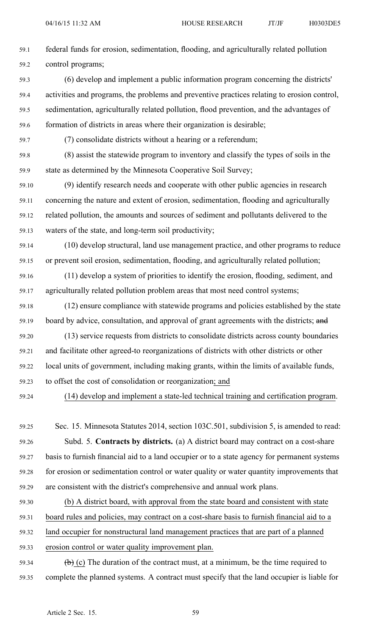- 59.1 federal funds for erosion, sedimentation, flooding, and agriculturally related pollution 59.2 control programs; 59.3 (6) develop and implement <sup>a</sup> public information program concerning the districts' 59.4 activities and programs, the problems and preventive practices relating to erosion control, 59.5 sedimentation, agriculturally related pollution, flood prevention, and the advantages of 59.6 formation of districts in areas where their organization is desirable; 59.7 (7) consolidate districts without <sup>a</sup> hearing or <sup>a</sup> referendum; 59.8 (8) assist the statewide program to inventory and classify the types of soils in the 59.9 state as determined by the Minnesota Cooperative Soil Survey; 59.10 (9) identify research needs and cooperate with other public agencies in research 59.11 concerning the nature and extent of erosion, sedimentation, flooding and agriculturally 59.12 related pollution, the amounts and sources of sediment and pollutants delivered to the 59.13 waters of the state, and long-term soil productivity;
- 59.14 (10) develop structural, land use managemen<sup>t</sup> practice, and other programs to reduce 59.15 or preven<sup>t</sup> soil erosion, sedimentation, flooding, and agriculturally related pollution;
- 59.16 (11) develop <sup>a</sup> system of priorities to identify the erosion, flooding, sediment, and 59.17 agriculturally related pollution problem areas that most need control systems;
- 59.18 (12) ensure compliance with statewide programs and policies established by the state 59.19 board by advice, consultation, and approval of grant agreements with the districts; and
- 59.20 (13) service requests from districts to consolidate districts across county boundaries 59.21 and facilitate other agreed-to reorganizations of districts with other districts or other 59.22 local units of government, including making grants, within the limits of available funds, 59.23 to offset the cost of consolidation or reorganization; and
- 

## 59.24 (14) develop and implement <sup>a</sup> state-led technical training and certification program.

- 59.25 Sec. 15. Minnesota Statutes 2014, section 103C.501, subdivision 5, is amended to read: 59.26 Subd. 5. **Contracts by districts.** (a) A district board may contract on <sup>a</sup> cost-share 59.27 basis to furnish financial aid to <sup>a</sup> land occupier or to <sup>a</sup> state agency for permanen<sup>t</sup> systems 59.28 for erosion or sedimentation control or water quality or water quantity improvements that 59.29 are consistent with the district's comprehensive and annual work plans.
- 59.30 (b) A district board, with approval from the state board and consistent with state 59.31 board rules and policies, may contract on <sup>a</sup> cost-share basis to furnish financial aid to <sup>a</sup> 59.32 land occupier for nonstructural land managemen<sup>t</sup> practices that are par<sup>t</sup> of <sup>a</sup> planned
- 59.33 erosion control or water quality improvement plan.
- 59.34 (b) (c) The duration of the contract must, at a minimum, be the time required to 59.35 complete the planned systems. A contract must specify that the land occupier is liable for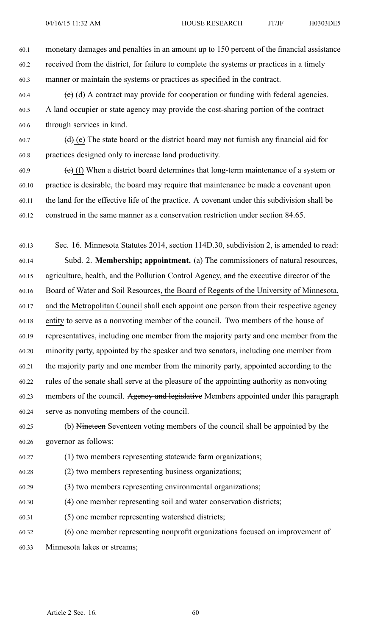60.1 monetary damages and penalties in an amount up to 150 percen<sup>t</sup> of the financial assistance 60.2 received from the district, for failure to complete the systems or practices in <sup>a</sup> timely 60.3 manner or maintain the systems or practices as specified in the contract.

- $60.4$  (c) (d) A contract may provide for cooperation or funding with federal agencies. 60.5 A land occupier or state agency may provide the cost-sharing portion of the contract 60.6 through services in kind.
- 60.7 (d) (e) The state board or the district board may not furnish any financial aid for 60.8 practices designed only to increase land productivity.
- $(60.9)$  (e) (f) When a district board determines that long-term maintenance of a system or 60.10 practice is desirable, the board may require that maintenance be made <sup>a</sup> covenant upon 60.11 the land for the effective life of the practice. A covenant under this subdivision shall be 60.12 construed in the same manner as <sup>a</sup> conservation restriction under section 84.65.
- 60.13 Sec. 16. Minnesota Statutes 2014, section 114D.30, subdivision 2, is amended to read: 60.14 Subd. 2. **Membership; appointment.** (a) The commissioners of natural resources, 60.15 agriculture, health, and the Pollution Control Agency, and the executive director of the 60.16 Board of Water and Soil Resources, the Board of Regents of the University of Minnesota, 60.17 and the Metropolitan Council shall each appoint one person from their respective agency 60.18 entity to serve as <sup>a</sup> nonvoting member of the council. Two members of the house of 60.19 representatives, including one member from the majority party and one member from the 60.20 minority party, appointed by the speaker and two senators, including one member from 60.21 the majority party and one member from the minority party, appointed according to the 60.22 rules of the senate shall serve at the pleasure of the appointing authority as nonvoting 60.23 members of the council. Agency and legislative Members appointed under this paragraph 60.24 serve as nonvoting members of the council.
- 60.25 (b) Nineteen Seventeen voting members of the council shall be appointed by the 60.26 governor as follows:
- 60.27 (1) two members representing statewide farm organizations;
- 60.28 (2) two members representing business organizations;
- 60.29 (3) two members representing environmental organizations;
- 60.30 (4) one member representing soil and water conservation districts;
- 60.31 (5) one member representing watershed districts;

60.32 (6) one member representing nonprofit organizations focused on improvement of 60.33 Minnesota lakes or streams;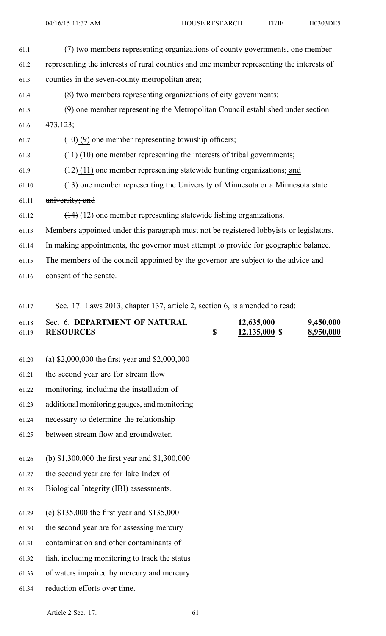- 61.1 (7) two members representing organizations of county governments, one member 61.2 representing the interests of rural counties and one member representing the interests of 61.3 counties in the seven-county metropolitan area; 61.4 (8) two members representing organizations of city governments; 61.5 (9) one member representing the Metropolitan Council established under section 61.6  $473.123$ ; 61.7  $(10)(9)$  one member representing township officers; 61.8  $(11)(10)$  one member representing the interests of tribal governments;  $(12)(11)$  one member representing statewide hunting organizations; and 61.10 (13) one member representing the University of Minnesota or <sup>a</sup> Minnesota state 61.11 university; and 61.12 (14) (12) one member representing statewide fishing organizations. 61.13 Members appointed under this paragraph must not be registered lobbyists or legislators. 61.14 In making appointments, the governor must attempt to provide for geographic balance. 61.15 The members of the council appointed by the governor are subject to the advice and 61.16 consent of the senate.
- 61.17 Sec. 17. Laws 2013, chapter 137, article 2, section 6, is amended to read:

| 61.18 | Sec. 6. DEPARTMENT OF NATURAL | 12,635,000    | 9,450,000 |
|-------|-------------------------------|---------------|-----------|
| 61.19 | <b>RESOURCES</b>              | 12,135,000 \$ | 8,950,000 |

- 61.20 (a) \$2,000,000 the first year and \$2,000,000
- 61.21 the second year are for stream flow
- 61.22 monitoring, including the installation of
- 61.23 additional monitoring gauges, and monitoring
- 61.24 necessary to determine the relationship
- 61.25 between stream flow and groundwater.
- 61.26 (b) \$1,300,000 the first year and \$1,300,000
- 61.27 the second year are for lake Index of
- 61.28 Biological Integrity (IBI) assessments.
- 61.29 (c) \$135,000 the first year and \$135,000
- 61.30 the second year are for assessing mercury
- 61.31 contamination and other contaminants of
- 61.32 fish, including monitoring to track the status
- 61.33 of waters impaired by mercury and mercury
- 61.34 reduction efforts over time.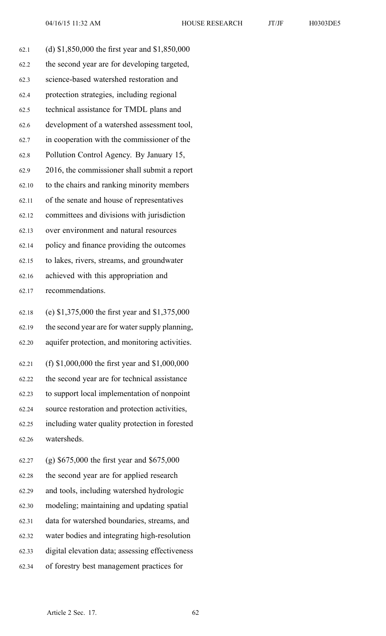| 62.1  | (d) \$1,850,000 the first year and \$1,850,000 |
|-------|------------------------------------------------|
| 62.2  | the second year are for developing targeted,   |
| 62.3  | science-based watershed restoration and        |
| 62.4  | protection strategies, including regional      |
| 62.5  | technical assistance for TMDL plans and        |
| 62.6  | development of a watershed assessment tool,    |
| 62.7  | in cooperation with the commissioner of the    |
| 62.8  | Pollution Control Agency. By January 15,       |
| 62.9  | 2016, the commissioner shall submit a report   |
| 62.10 | to the chairs and ranking minority members     |
| 62.11 | of the senate and house of representatives     |
| 62.12 | committees and divisions with jurisdiction     |
| 62.13 | over environment and natural resources         |
| 62.14 | policy and finance providing the outcomes      |
| 62.15 | to lakes, rivers, streams, and groundwater     |
| 62.16 | achieved with this appropriation and           |
| 62.17 | recommendations.                               |
| 62.18 | (e) \$1,375,000 the first year and \$1,375,000 |
| 62.19 | the second year are for water supply planning, |
| 62.20 | aquifer protection, and monitoring activities. |
| 62.21 | (f) \$1,000,000 the first year and \$1,000,000 |
| 62.22 | the second year are for technical assistance   |
| 62.23 | to support local implementation of nonpoint    |
| 62.24 | source restoration and protection activities,  |
| 62.25 | including water quality protection in forested |
| 62.26 | watersheds.                                    |
| 62.27 | (g) $$675,000$ the first year and $$675,000$   |
| 62.28 | the second year are for applied research       |
| 62.29 | and tools, including watershed hydrologic      |
| 62.30 | modeling; maintaining and updating spatial     |
| 62.31 | data for watershed boundaries, streams, and    |
| 62.32 | water bodies and integrating high-resolution   |

- 62.33 digital elevation data; assessing effectiveness
- 62.34 of forestry best managemen<sup>t</sup> practices for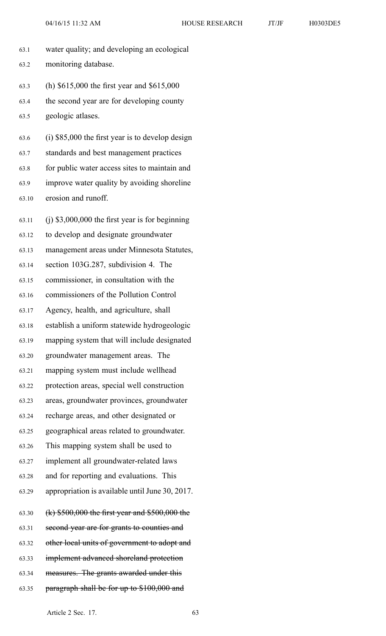63.1 water quality; and developing an ecological 63.2 monitoring database. 63.3 (h) \$615,000 the first year and \$615,000 63.4 the second year are for developing county 63.5 geologic atlases. 63.6 (i) \$85,000 the first year is to develop design 63.7 standards and best managemen<sup>t</sup> practices 63.8 for public water access sites to maintain and 63.9 improve water quality by avoiding shoreline 63.10 erosion and runoff. 63.11 (j) \$3,000,000 the first year is for beginning 63.12 to develop and designate groundwater 63.13 managemen<sup>t</sup> areas under Minnesota Statutes, 63.14 section 103G.287, subdivision 4. The 63.15 commissioner, in consultation with the 63.16 commissioners of the Pollution Control 63.17 Agency, health, and agriculture, shall 63.18 establish <sup>a</sup> uniform statewide hydrogeologic 63.19 mapping system that will include designated 63.20 groundwater managemen<sup>t</sup> areas. The 63.21 mapping system must include wellhead 63.22 protection areas, special well construction 63.23 areas, groundwater provinces, groundwater 63.24 recharge areas, and other designated or 63.25 geographical areas related to groundwater. 63.26 This mapping system shall be used to 63.27 implement all groundwater-related laws 63.28 and for reporting and evaluations. This 63.29 appropriation is available until June 30, 2017. 63.30 (k) \$500,000 the first year and \$500,000 the 63.31 second year are for grants to counties and 63.32 other local units of governmen<sup>t</sup> to adopt and 63.33 implement advanced shoreland protection 63.34 measures. The grants awarded under this 63.35 paragraph shall be for up to \$100,000 and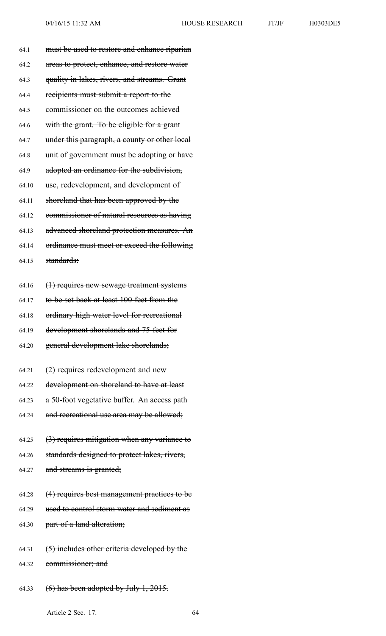|  | H0303DE5 |  |
|--|----------|--|
|  |          |  |
|  |          |  |

| 64.1  | must be used to restore and enhance riparian  |
|-------|-----------------------------------------------|
| 64.2  | areas to protect, enhance, and restore water  |
| 64.3  | quality in lakes, rivers, and streams. Grant  |
| 64.4  | recipients must submit a report to the        |
| 64.5  | commissioner on the outcomes achieved         |
| 64.6  | with the grant. To be eligible for a grant    |
| 64.7  | under this paragraph, a county or other local |
| 64.8  | unit of government must be adopting or have   |
| 64.9  | adopted an ordinance for the subdivision,     |
| 64.10 | use, redevelopment, and development of        |
| 64.11 | shoreland that has been approved by the       |
| 64.12 | commissioner of natural resources as having   |
| 64.13 | advanced shoreland protection measures. An    |
| 64.14 | ordinance must meet or exceed the following   |
| 64.15 | standards:                                    |
|       |                                               |
| 64.16 | (1) requires new sewage treatment systems     |
| 64.17 | to be set back at least 100 feet from the     |
| 64.18 | ordinary high water level for recreational    |
| 64.19 | development shorelands and 75 feet for        |
| 64.20 | general development lake shorelands;          |
| 64.21 | $(2)$ requires redevelopment and new          |
| 64.22 | development on shoreland to have at least     |
| 64.23 | a 50-foot vegetative buffer. An access path   |
| 64.24 | and recreational use area may be allowed;     |
|       |                                               |
| 64.25 | (3) requires mitigation when any variance to  |
| 64.26 | standards designed to protect lakes, rivers,  |
| 64.27 | and streams is granted;                       |
| 64.28 | (4) requires best management practices to be  |
| 64.29 | used to control storm water and sediment as   |
| 64.30 | part of a land alteration;                    |
|       |                                               |
| 64.31 | (5) includes other criteria developed by the  |
| 64.32 | commissioner; and                             |
| 64.33 | $(6)$ has been adopted by July 1, 2015.       |
|       |                                               |

Article 2 Sec. 17. 64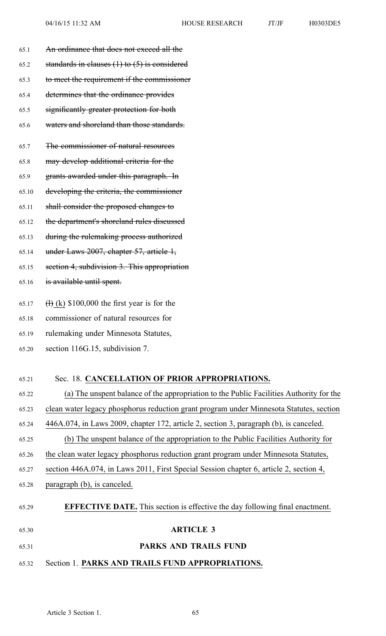65.1 An ordinance that does not exceed all the 65.2 standards in clauses  $(1)$  to  $(5)$  is considered 65.3 to meet the requirement if the commissioner 65.4 determines that the ordinance provides 65.5 significantly greater protection for both 65.6 waters and shoreland than those standards. 65.7 The commissioner of natural resources 65.8 may develop additional criteria for the 65.9 grants awarded under this paragraph. In 65.10 developing the criteria, the commissioner 65.11 shall consider the proposed changes to 65.12 the department's shoreland rules discussed 65.13 during the rulemaking process authorized 65.14 under Laws 2007, chapter 57, article 1, 65.15 section 4, subdivision 3. This appropriation 65.16 is available until spent. 65.17 (a)  $(k)$  \$100,000 the first year is for the 65.18 commissioner of natural resources for

- 65.19 rulemaking under Minnesota Statutes,
- 65.20 section 116G.15, subdivision 7.

## 65.21 Sec. 18. **CANCELLATION OF PRIOR APPROPRIATIONS.**

| 65.22 | (a) The unspent balance of the appropriation to the Public Facilities Authority for the |
|-------|-----------------------------------------------------------------------------------------|
| 65.23 | clean water legacy phosphorus reduction grant program under Minnesota Statutes, section |
| 65.24 | 446A.074, in Laws 2009, chapter 172, article 2, section 3, paragraph (b), is canceled.  |
| 65.25 | (b) The unspent balance of the appropriation to the Public Facilities Authority for     |
| 65.26 | the clean water legacy phosphorus reduction grant program under Minnesota Statutes,     |
| 65.27 | section 446A.074, in Laws 2011, First Special Session chapter 6, article 2, section 4,  |
| 65.28 | paragraph (b), is canceled.                                                             |
| 65.29 | <b>EFFECTIVE DATE.</b> This section is effective the day following final enactment.     |
| 65.30 | <b>ARTICLE 3</b>                                                                        |

- 65.31 **PARKS AND TRAILS FUND**
- 65.32 Section 1. **PARKS AND TRAILS FUND APPROPRIATIONS.**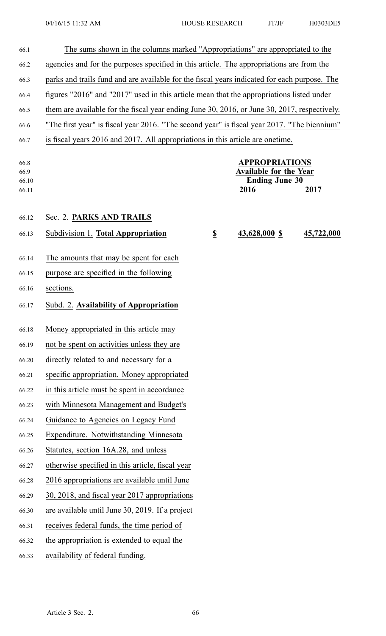| 66.1                           | The sums shown in the columns marked "Appropriations" are appropriated to the                |                                                                                          |                                                                                         |            |  |
|--------------------------------|----------------------------------------------------------------------------------------------|------------------------------------------------------------------------------------------|-----------------------------------------------------------------------------------------|------------|--|
| 66.2                           | agencies and for the purposes specified in this article. The appropriations are from the     |                                                                                          |                                                                                         |            |  |
| 66.3                           | parks and trails fund and are available for the fiscal years indicated for each purpose. The |                                                                                          |                                                                                         |            |  |
| 66.4                           |                                                                                              | figures "2016" and "2017" used in this article mean that the appropriations listed under |                                                                                         |            |  |
| 66.5                           | them are available for the fiscal year ending June 30, 2016, or June 30, 2017, respectively. |                                                                                          |                                                                                         |            |  |
| 66.6                           | "The first year" is fiscal year 2016. "The second year" is fiscal year 2017. "The biennium"  |                                                                                          |                                                                                         |            |  |
| 66.7                           | is fiscal years 2016 and 2017. All appropriations in this article are onetime.               |                                                                                          |                                                                                         |            |  |
| 66.8<br>66.9<br>66.10<br>66.11 |                                                                                              |                                                                                          | <b>APPROPRIATIONS</b><br><b>Available for the Year</b><br><b>Ending June 30</b><br>2016 | 2017       |  |
| 66.12                          | Sec. 2. PARKS AND TRAILS                                                                     |                                                                                          |                                                                                         |            |  |
| 66.13                          | Subdivision 1. Total Appropriation                                                           | $\underline{\$}$                                                                         | 43,628,000 \$                                                                           | 45,722,000 |  |
|                                | The amounts that may be spent for each                                                       |                                                                                          |                                                                                         |            |  |
| 66.14<br>66.15                 | purpose are specified in the following                                                       |                                                                                          |                                                                                         |            |  |
| 66.16                          | sections.                                                                                    |                                                                                          |                                                                                         |            |  |
|                                |                                                                                              |                                                                                          |                                                                                         |            |  |
| 66.17                          | Subd. 2. Availability of Appropriation                                                       |                                                                                          |                                                                                         |            |  |
| 66.18                          | Money appropriated in this article may                                                       |                                                                                          |                                                                                         |            |  |
| 66.19                          | not be spent on activities unless they are                                                   |                                                                                          |                                                                                         |            |  |
| 66.20                          | directly related to and necessary for a                                                      |                                                                                          |                                                                                         |            |  |
| 66.21                          | specific appropriation. Money appropriated                                                   |                                                                                          |                                                                                         |            |  |
| 66.22                          | in this article must be spent in accordance                                                  |                                                                                          |                                                                                         |            |  |
| 66.23                          | with Minnesota Management and Budget's                                                       |                                                                                          |                                                                                         |            |  |
| 66.24                          | Guidance to Agencies on Legacy Fund                                                          |                                                                                          |                                                                                         |            |  |
| 66.25                          | Expenditure. Notwithstanding Minnesota                                                       |                                                                                          |                                                                                         |            |  |
| 66.26                          | Statutes, section 16A.28, and unless                                                         |                                                                                          |                                                                                         |            |  |
| 66.27                          | otherwise specified in this article, fiscal year                                             |                                                                                          |                                                                                         |            |  |
| 66.28                          | 2016 appropriations are available until June                                                 |                                                                                          |                                                                                         |            |  |
| 66.29                          | 30, 2018, and fiscal year 2017 appropriations                                                |                                                                                          |                                                                                         |            |  |
| 66.30                          | are available until June 30, 2019. If a project                                              |                                                                                          |                                                                                         |            |  |
| 66.31                          | receives federal funds, the time period of                                                   |                                                                                          |                                                                                         |            |  |
| 66.32                          | the appropriation is extended to equal the                                                   |                                                                                          |                                                                                         |            |  |
| 66.33                          | availability of federal funding.                                                             |                                                                                          |                                                                                         |            |  |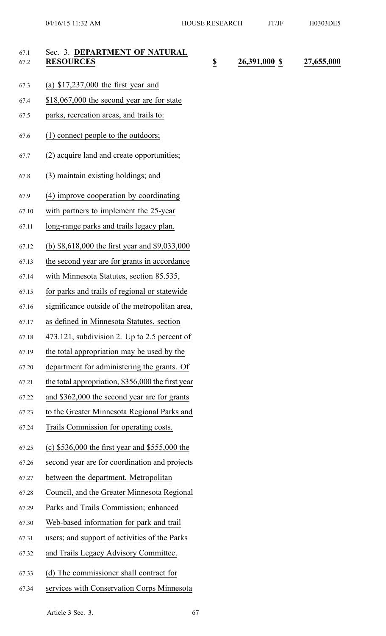| 67.1<br>67.2 | Sec. 3. DEPARTMENT OF NATURAL<br><b>RESOURCES</b> | $\underline{\mathbb{S}}$ | 26,391,000 \$ | 27,655,000 |
|--------------|---------------------------------------------------|--------------------------|---------------|------------|
| 67.3         | (a) $$17,237,000$ the first year and              |                          |               |            |
| 67.4         | $$18,067,000$ the second year are for state       |                          |               |            |
| 67.5         | parks, recreation areas, and trails to:           |                          |               |            |
| 67.6         | (1) connect people to the outdoors;               |                          |               |            |
| 67.7         | (2) acquire land and create opportunities;        |                          |               |            |
| 67.8         | (3) maintain existing holdings; and               |                          |               |            |
| 67.9         | (4) improve cooperation by coordinating           |                          |               |            |
| 67.10        | with partners to implement the 25-year            |                          |               |            |
| 67.11        | long-range parks and trails legacy plan.          |                          |               |            |
| 67.12        | (b) \$8,618,000 the first year and \$9,033,000    |                          |               |            |
| 67.13        | the second year are for grants in accordance      |                          |               |            |
| 67.14        | with Minnesota Statutes, section 85.535,          |                          |               |            |
| 67.15        | for parks and trails of regional or statewide     |                          |               |            |
| 67.16        | significance outside of the metropolitan area,    |                          |               |            |
| 67.17        | as defined in Minnesota Statutes, section         |                          |               |            |
| 67.18        | 473.121, subdivision 2. Up to 2.5 percent of      |                          |               |            |
| 67.19        | the total appropriation may be used by the        |                          |               |            |
| 67.20        | department for administering the grants. Of       |                          |               |            |
| 67.21        | the total appropriation, \$356,000 the first year |                          |               |            |
| 67.22        | and \$362,000 the second year are for grants      |                          |               |            |
| 67.23        | to the Greater Minnesota Regional Parks and       |                          |               |            |
| 67.24        | Trails Commission for operating costs.            |                          |               |            |
| 67.25        | (c) $$536,000$ the first year and $$555,000$ the  |                          |               |            |
| 67.26        | second year are for coordination and projects     |                          |               |            |
| 67.27        | between the department, Metropolitan              |                          |               |            |
| 67.28        | Council, and the Greater Minnesota Regional       |                          |               |            |
| 67.29        | Parks and Trails Commission; enhanced             |                          |               |            |
| 67.30        | Web-based information for park and trail          |                          |               |            |
| 67.31        | users; and support of activities of the Parks     |                          |               |            |
| 67.32        | and Trails Legacy Advisory Committee.             |                          |               |            |
| 67.33        | (d) The commissioner shall contract for           |                          |               |            |
| 67.34        | services with Conservation Corps Minnesota        |                          |               |            |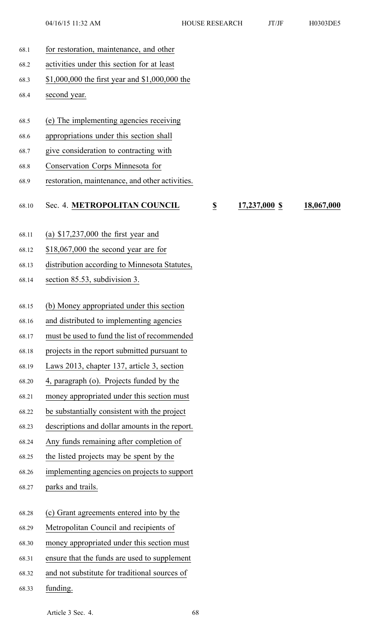68.1 for restoration, maintenance, and other 68.2 activities under this section for at least 68.3 \$1,000,000 the first year and \$1,000,000 the 68.4 second year. 68.5 (e) The implementing agencies receiving 68.6 appropriations under this section shall 68.7 give consideration to contracting with 68.8 Conservation Corps Minnesota for 68.9 restoration, maintenance, and other activities. 68.10 Sec. 4. **METROPOLITAN COUNCIL \$ 17,237,000 \$ 18,067,000** 68.11 (a) \$17,237,000 the first year and 68.12 \$18,067,000 the second year are for 68.13 distribution according to Minnesota Statutes, 68.14 section 85.53, subdivision 3. 68.15 (b) Money appropriated under this section 68.16 and distributed to implementing agencies 68.17 must be used to fund the list of recommended 68.18 projects in the repor<sup>t</sup> submitted pursuan<sup>t</sup> to 68.19 Laws 2013, chapter 137, article 3, section 68.20 4, paragraph (o). Projects funded by the 68.21 money appropriated under this section must 68.22 be substantially consistent with the project 68.23 descriptions and dollar amounts in the report. 68.24 Any funds remaining after completion of 68.25 the listed projects may be spen<sup>t</sup> by the 68.26 implementing agencies on projects to suppor<sup>t</sup> 68.27 parks and trails. 68.28 (c) Grant agreements entered into by the 68.29 Metropolitan Council and recipients of 68.30 money appropriated under this section must 68.31 ensure that the funds are used to supplement 68.32 and not substitute for traditional sources of 68.33 funding.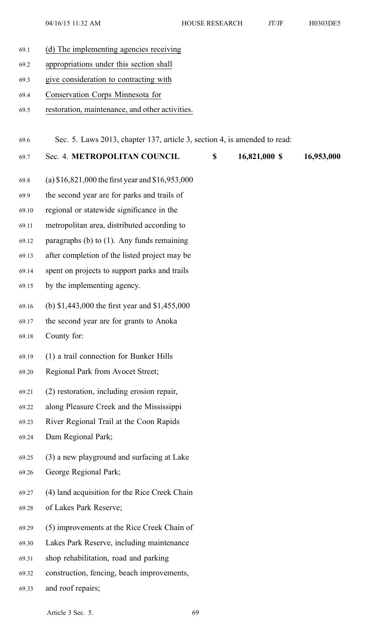04/16/15 11:32 AM HOUSE RESEARCH JT/JF H0303DE5

69.1 (d) The implementing agencies receiving 69.2 appropriations under this section shall 69.3 give consideration to contracting with 69.4 Conservation Corps Minnesota for 69.5 restoration, maintenance, and other activities. 69.6 Sec. 5. Laws 2013, chapter 137, article 3, section 4, is amended to read: 69.7 Sec. 4. **METROPOLITAN COUNCIL \$ 16,821,000 \$ 16,953,000** 69.8 (a) \$16,821,000 the first year and \$16,953,000 69.9 the second year are for parks and trails of 69.10 regional or statewide significance in the 69.11 metropolitan area, distributed according to 69.12 paragraphs (b) to (1). Any funds remaining 69.13 after completion of the listed project may be 69.14 spen<sup>t</sup> on projects to suppor<sup>t</sup> parks and trails 69.15 by the implementing agency. 69.16 (b) \$1,443,000 the first year and \$1,455,000 69.17 the second year are for grants to Anoka 69.18 County for: 69.19 (1) <sup>a</sup> trail connection for Bunker Hills 69.20 Regional Park from Avocet Street; 69.21 (2) restoration, including erosion repair, 69.22 along Pleasure Creek and the Mississippi 69.23 River Regional Trail at the Coon Rapids 69.24 Dam Regional Park; 69.25 (3) <sup>a</sup> new playground and surfacing at Lake 69.26 George Regional Park; 69.27 (4) land acquisition for the Rice Creek Chain 69.28 of Lakes Park Reserve; 69.29 (5) improvements at the Rice Creek Chain of 69.30 Lakes Park Reserve, including maintenance 69.31 shop rehabilitation, road and parking 69.32 construction, fencing, beach improvements, 69.33 and roof repairs;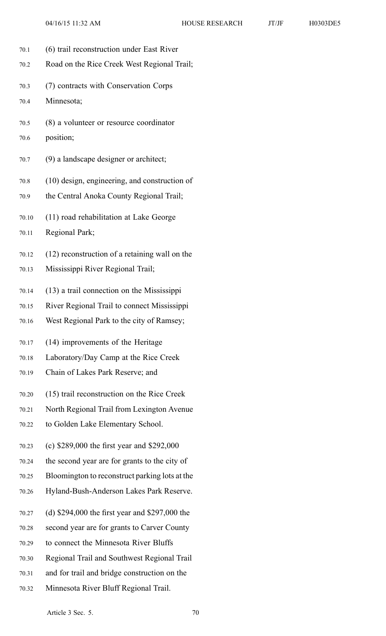- 70.1 (6) trail reconstruction under East River
- 70.2 Road on the Rice Creek West Regional Trail;
- 70.3 (7) contracts with Conservation Corps
- 70.4 Minnesota;
- 70.5 (8) <sup>a</sup> volunteer or resource coordinator
- 70.6 position;
- 70.7 (9) <sup>a</sup> landscape designer or architect;
- 70.8 (10) design, engineering, and construction of
- 70.9 the Central Anoka County Regional Trail;
- 70.10 (11) road rehabilitation at Lake George
- 70.11 Regional Park;
- 70.12 (12) reconstruction of <sup>a</sup> retaining wall on the
- 70.13 Mississippi River Regional Trail;
- 70.14 (13) <sup>a</sup> trail connection on the Mississippi
- 70.15 River Regional Trail to connect Mississippi
- 70.16 West Regional Park to the city of Ramsey;
- 70.17 (14) improvements of the Heritage
- 70.18 Laboratory/Day Camp at the Rice Creek
- 70.19 Chain of Lakes Park Reserve; and
- 70.20 (15) trail reconstruction on the Rice Creek
- 70.21 North Regional Trail from Lexington Avenue
- 70.22 to Golden Lake Elementary School.
- 70.23 (c) \$289,000 the first year and \$292,000
- 70.24 the second year are for grants to the city of
- 70.25 Bloomington to reconstruct parking lots at the
- 70.26 Hyland-Bush-Anderson Lakes Park Reserve.
- 70.27 (d) \$294,000 the first year and \$297,000 the
- 70.28 second year are for grants to Carver County
- 70.29 to connect the Minnesota River Bluffs
- 70.30 Regional Trail and Southwest Regional Trail
- 70.31 and for trail and bridge construction on the
- 70.32 Minnesota River Bluff Regional Trail.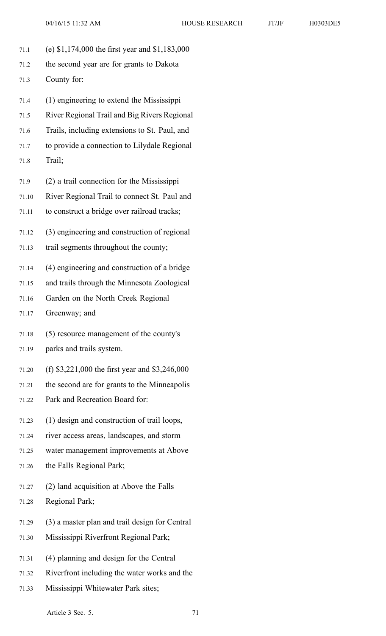- 71.1 (e) \$1,174,000 the first year and \$1,183,000
- 71.2 the second year are for grants to Dakota 71.3 County for:
- 71.4 (1) engineering to extend the Mississippi
- 71.5 River Regional Trail and Big Rivers Regional
- 71.6 Trails, including extensions to St. Paul, and
- 71.7 to provide <sup>a</sup> connection to Lilydale Regional
- 71.8 Trail;
- 71.9 (2) <sup>a</sup> trail connection for the Mississippi
- 71.10 River Regional Trail to connect St. Paul and
- 71.11 to construct <sup>a</sup> bridge over railroad tracks;
- 71.12 (3) engineering and construction of regional
- 71.13 trail segments throughout the county;
- 71.14 (4) engineering and construction of <sup>a</sup> bridge
- 71.15 and trails through the Minnesota Zoological
- 71.16 Garden on the North Creek Regional
- 71.17 Greenway; and
- 71.18 (5) resource managemen<sup>t</sup> of the county's
- 71.19 parks and trails system.
- 71.20 (f) \$3,221,000 the first year and \$3,246,000
- 71.21 the second are for grants to the Minneapolis
- 71.22 Park and Recreation Board for:
- 71.23 (1) design and construction of trail loops,
- 71.24 river access areas, landscapes, and storm
- 71.25 water managemen<sup>t</sup> improvements at Above
- 71.26 the Falls Regional Park;
- 71.27 (2) land acquisition at Above the Falls
- 71.28 Regional Park;
- 71.29 (3) <sup>a</sup> master plan and trail design for Central
- 71.30 Mississippi Riverfront Regional Park;
- 71.31 (4) planning and design for the Central
- 71.32 Riverfront including the water works and the
- 71.33 Mississippi Whitewater Park sites;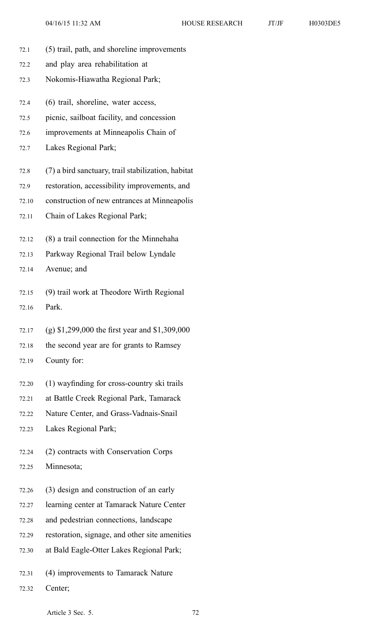- 72.1 (5) trail, path, and shoreline improvements
- 72.2 and play area rehabilitation at
- 72.3 Nokomis-Hiawatha Regional Park;
- 72.4 (6) trail, shoreline, water access,
- 72.5 picnic, sailboat facility, and concession
- 72.6 improvements at Minneapolis Chain of
- 72.7 Lakes Regional Park;
- 72.8 (7) <sup>a</sup> bird sanctuary, trail stabilization, habitat
- 72.9 restoration, accessibility improvements, and
- 72.10 construction of new entrances at Minneapolis
- 72.11 Chain of Lakes Regional Park;
- 72.12 (8) <sup>a</sup> trail connection for the Minnehaha
- 72.13 Parkway Regional Trail below Lyndale
- 72.14 Avenue; and
- 72.15 (9) trail work at Theodore Wirth Regional 72.16 Park.
- 72.17 (g) \$1,299,000 the first year and \$1,309,000
- 72.18 the second year are for grants to Ramsey
- 72.19 County for:
- 72.20 (1) wayfinding for cross-country ski trails
- 72.21 at Battle Creek Regional Park, Tamarack
- 72.22 Nature Center, and Grass-Vadnais-Snail

72.23 Lakes Regional Park;

72.24 (2) contracts with Conservation Corps 72.25 Minnesota;

- 72.26 (3) design and construction of an early
- 72.27 learning center at Tamarack Nature Center
- 72.28 and pedestrian connections, landscape
- 72.29 restoration, signage, and other site amenities
- 72.30 at Bald Eagle-Otter Lakes Regional Park;
- 72.31 (4) improvements to Tamarack Nature
- 72.32 Center;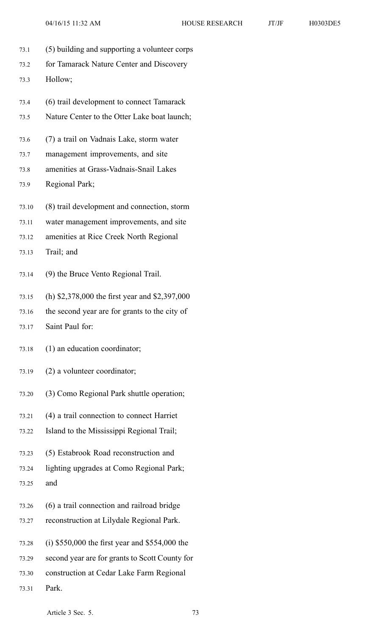- 73.1 (5) building and supporting <sup>a</sup> volunteer corps
- 73.2 for Tamarack Nature Center and Discovery 73.3 Hollow;
- 73.4 (6) trail development to connect Tamarack
- 73.5 Nature Center to the Otter Lake boat launch;
- 73.6 (7) <sup>a</sup> trail on Vadnais Lake, storm water
- 73.7 managemen<sup>t</sup> improvements, and site
- 73.8 amenities at Grass-Vadnais-Snail Lakes
- 73.9 Regional Park;
- 73.10 (8) trail development and connection, storm
- 73.11 water managemen<sup>t</sup> improvements, and site
- 73.12 amenities at Rice Creek North Regional
- 73.13 Trail; and
- 73.14 (9) the Bruce Vento Regional Trail.
- 73.15 (h) \$2,378,000 the first year and \$2,397,000
- 73.16 the second year are for grants to the city of
- 73.17 Saint Paul for:
- 73.18 (1) an education coordinator;
- 73.19 (2) <sup>a</sup> volunteer coordinator;
- 73.20 (3) Como Regional Park shuttle operation;
- 73.21 (4) <sup>a</sup> trail connection to connect Harriet
- 73.22 Island to the Mississippi Regional Trail;
- 73.23 (5) Estabrook Road reconstruction and
- 73.24 lighting upgrades at Como Regional Park;
- 73.25 and
- 73.26 (6) <sup>a</sup> trail connection and railroad bridge
- 73.27 reconstruction at Lilydale Regional Park.
- 73.28 (i) \$550,000 the first year and \$554,000 the
- 73.29 second year are for grants to Scott County for
- 73.30 construction at Cedar Lake Farm Regional
- 73.31 Park.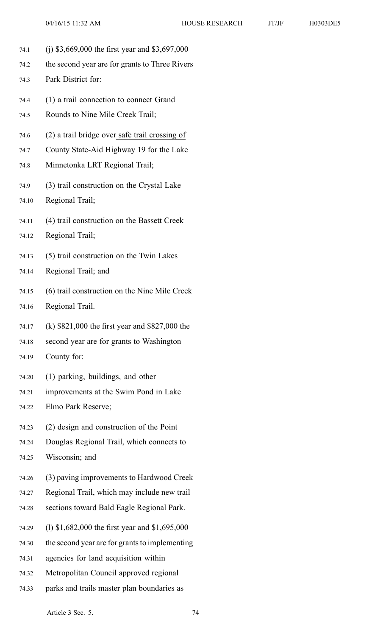- 74.1 (j) \$3,669,000 the first year and \$3,697,000
- 74.2 the second year are for grants to Three Rivers
- 74.3 Park District for:
- 74.4 (1) <sup>a</sup> trail connection to connect Grand
- 74.5 Rounds to Nine Mile Creek Trail;
- 74.6  $(2)$  a trail bridge over safe trail crossing of
- 74.7 County State-Aid Highway 19 for the Lake
- 74.8 Minnetonka LRT Regional Trail;
- 74.9 (3) trail construction on the Crystal Lake
- 74.10 Regional Trail;
- 74.11 (4) trail construction on the Bassett Creek
- 74.12 Regional Trail;
- 74.13 (5) trail construction on the Twin Lakes
- 74.14 Regional Trail; and
- 74.15 (6) trail construction on the Nine Mile Creek
- 74.16 Regional Trail.
- 74.17 (k) \$821,000 the first year and \$827,000 the
- 74.18 second year are for grants to Washington
- 74.19 County for:
- 74.20 (1) parking, buildings, and other
- 74.21 improvements at the Swim Pond in Lake
- 74.22 Elmo Park Reserve;
- 74.23 (2) design and construction of the Point
- 74.24 Douglas Regional Trail, which connects to
- 74.25 Wisconsin; and
- 74.26 (3) paving improvements to Hardwood Creek
- 74.27 Regional Trail, which may include new trail
- 74.28 sections toward Bald Eagle Regional Park.
- 74.29 (l) \$1,682,000 the first year and \$1,695,000
- 74.30 the second year are for grants to implementing
- 74.31 agencies for land acquisition within
- 74.32 Metropolitan Council approved regional
- 74.33 parks and trails master plan boundaries as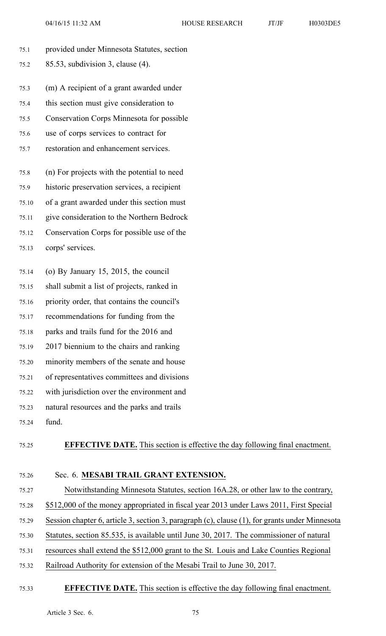| provided under Minnesota Statutes, section                                          |
|-------------------------------------------------------------------------------------|
| $85.53$ , subdivision 3, clause (4).                                                |
|                                                                                     |
| (m) A recipient of a grant awarded under                                            |
| this section must give consideration to                                             |
| <b>Conservation Corps Minnesota for possible</b>                                    |
| use of corps services to contract for                                               |
| restoration and enhancement services.                                               |
| (n) For projects with the potential to need                                         |
|                                                                                     |
| historic preservation services, a recipient                                         |
| of a grant awarded under this section must                                          |
| give consideration to the Northern Bedrock                                          |
| Conservation Corps for possible use of the                                          |
| corps' services.                                                                    |
| (o) By January 15, 2015, the council                                                |
| shall submit a list of projects, ranked in                                          |
| priority order, that contains the council's                                         |
| recommendations for funding from the                                                |
| parks and trails fund for the 2016 and                                              |
| 2017 biennium to the chairs and ranking                                             |
| minority members of the senate and house                                            |
| of representatives committees and divisions                                         |
| with jurisdiction over the environment and                                          |
| natural resources and the parks and trails                                          |
| fund.                                                                               |
| <b>EFFECTIVE DATE.</b> This section is effective the day following final enactment. |
|                                                                                     |

# 75.26 Sec. 6. **MESABI TRAIL GRANT EXTENSION.**

- 75.27 Notwithstanding Minnesota Statutes, section 16A.28, or other law to the contrary, 75.28 \$512,000 of the money appropriated in fiscal year 2013 under Laws 2011, First Special 75.29 Session chapter 6, article 3, section 3, paragraph (c), clause (1), for grants under Minnesota
- 75.30 Statutes, section 85.535, is available until June 30, 2017. The commissioner of natural
- 75.31 resources shall extend the \$512,000 gran<sup>t</sup> to the St. Louis and Lake Counties Regional
- 75.32 Railroad Authority for extension of the Mesabi Trail to June 30, 2017.

#### 75.33 **EFFECTIVE DATE.** This section is effective the day following final enactment.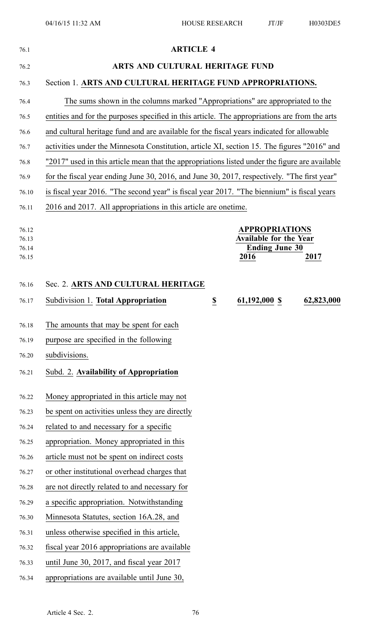| 76.1                             | <b>ARTICLE 4</b>                                                                                |  |  |
|----------------------------------|-------------------------------------------------------------------------------------------------|--|--|
| 76.2                             | ARTS AND CULTURAL HERITAGE FUND                                                                 |  |  |
| 76.3                             | Section 1. ARTS AND CULTURAL HERITAGE FUND APPROPRIATIONS.                                      |  |  |
| 76.4                             | The sums shown in the columns marked "Appropriations" are appropriated to the                   |  |  |
| 76.5                             | entities and for the purposes specified in this article. The appropriations are from the arts   |  |  |
| 76.6                             | and cultural heritage fund and are available for the fiscal years indicated for allowable       |  |  |
| 76.7                             | activities under the Minnesota Constitution, article XI, section 15. The figures "2016" and     |  |  |
| 76.8                             | "2017" used in this article mean that the appropriations listed under the figure are available  |  |  |
| 76.9                             | for the fiscal year ending June 30, 2016, and June 30, 2017, respectively. "The first year"     |  |  |
| 76.10                            | is fiscal year 2016. "The second year" is fiscal year 2017. "The biennium" is fiscal years      |  |  |
| 76.11                            | 2016 and 2017. All appropriations in this article are onetime.                                  |  |  |
| 76.12<br>76.13<br>76.14<br>76.15 | <b>APPROPRIATIONS</b><br><b>Available for the Year</b><br><b>Ending June 30</b><br>2016<br>2017 |  |  |
| 76.16                            | Sec. 2. ARTS AND CULTURAL HERITAGE                                                              |  |  |
| 76.17                            | Subdivision 1. Total Appropriation<br>$\underline{\mathbb{S}}$<br>61,192,000 \$<br>62,823,000   |  |  |
| 76.18                            | The amounts that may be spent for each                                                          |  |  |
| 76.19                            | purpose are specified in the following                                                          |  |  |
| 76.20                            | subdivisions.                                                                                   |  |  |
| 76.21                            | Subd. 2. Availability of Appropriation                                                          |  |  |
| 76.22                            | Money appropriated in this article may not                                                      |  |  |
| 76.23                            | be spent on activities unless they are directly                                                 |  |  |
| 76.24                            | related to and necessary for a specific                                                         |  |  |
| 76.25                            | appropriation. Money appropriated in this                                                       |  |  |
| 76.26                            | article must not be spent on indirect costs                                                     |  |  |
| 76.27                            | or other institutional overhead charges that                                                    |  |  |
| 76.28                            | are not directly related to and necessary for                                                   |  |  |
| 76.29                            | a specific appropriation. Notwithstanding                                                       |  |  |
| 76.30                            | Minnesota Statutes, section 16A.28, and                                                         |  |  |
| 76.31                            | unless otherwise specified in this article,                                                     |  |  |
| 76.32                            | fiscal year 2016 appropriations are available                                                   |  |  |
| 76.33                            | until June 30, 2017, and fiscal year 2017                                                       |  |  |
| 76.34                            | appropriations are available until June 30,                                                     |  |  |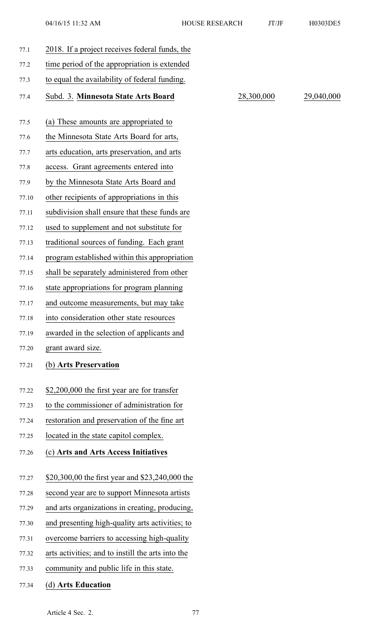77.4 Subd. 3. **Minnesota State Arts Board** 28,300,000 29,040,000

| 77.1  | 2018. If a project receives federal funds, the    |
|-------|---------------------------------------------------|
| 77.2  | time period of the appropriation is extended      |
| 77.3  | to equal the availability of federal funding.     |
| 77.4  | Subd. 3. Minnesota State Arts Board               |
| 77.5  | (a) These amounts are appropriated to             |
| 77.6  | the Minnesota State Arts Board for arts,          |
| 77.7  | arts education, arts preservation, and arts       |
| 77.8  | access. Grant agreements entered into             |
| 77.9  | by the Minnesota State Arts Board and             |
| 77.10 | other recipients of appropriations in this        |
| 77.11 | subdivision shall ensure that these funds are     |
| 77.12 | used to supplement and not substitute for         |
| 77.13 | traditional sources of funding. Each grant        |
| 77.14 | program established within this appropriation     |
| 77.15 | shall be separately administered from other       |
| 77.16 | state appropriations for program planning         |
| 77.17 | and outcome measurements, but may take            |
| 77.18 | into consideration other state resources          |
| 77.19 | awarded in the selection of applicants and        |
| 77.20 | grant award size.                                 |
| 77.21 | (b) Arts Preservation                             |
| 77.22 | \$2,200,000 the first year are for transfer       |
| 77.23 | to the commissioner of administration for         |
| 77.24 | restoration and preservation of the fine art      |
| 77.25 | located in the state capitol complex.             |
| 77.26 | (c) Arts and Arts Access Initiatives              |
| 77.27 | \$20,300,00 the first year and \$23,240,000 the   |
| 77.28 | second year are to support Minnesota artists      |
| 77.29 | and arts organizations in creating, producing,    |
| 77.30 | and presenting high-quality arts activities; to   |
| 77.31 | overcome barriers to accessing high-quality       |
| 77.32 | arts activities; and to instill the arts into the |
| 77.33 | community and public life in this state.          |
| 77.34 | (d) Arts Education                                |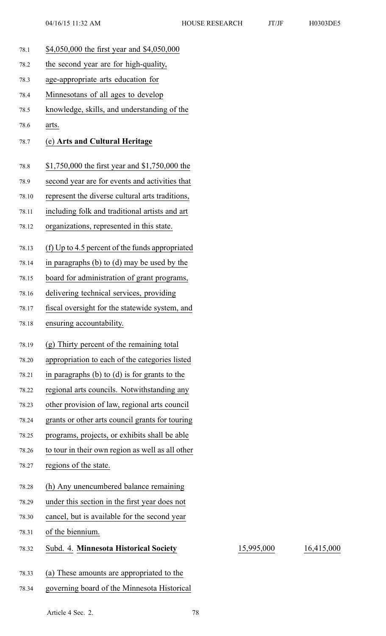78.1 \$4,050,000 the first year and \$4,050,000 78.2 the second year are for high-quality, 78.3 age-appropriate arts education for 78.4 Minnesotans of all ages to develop 78.5 knowledge, skills, and understanding of the 78.6 arts. 78.7 (e) **Arts and Cultural Heritage** 78.8 \$1,750,000 the first year and \$1,750,000 the 78.9 second year are for events and activities that 78.10 represen<sup>t</sup> the diverse cultural arts traditions, 78.11 including folk and traditional artists and art 78.12 organizations, represented in this state. 78.13 (f) Up to 4.5 percen<sup>t</sup> of the funds appropriated 78.14 in paragraphs (b) to (d) may be used by the 78.15 board for administration of gran<sup>t</sup> programs, 78.16 delivering technical services, providing 78.17 fiscal oversight for the statewide system, and 78.18 ensuring accountability. 78.19 (g) Thirty percen<sup>t</sup> of the remaining total 78.20 appropriation to each of the categories listed 78.21 in paragraphs (b) to (d) is for grants to the 78.22 regional arts councils. Notwithstanding any 78.23 other provision of law, regional arts council 78.24 grants or other arts council grants for touring 78.25 programs, projects, or exhibits shall be able 78.26 to tour in their own region as well as all other 78.27 regions of the state. 78.28 (h) Any unencumbered balance remaining 78.29 under this section in the first year does not 78.30 cancel, but is available for the second year 78.31 of the biennium. 78.32 Subd. 4. **Minnesota Historical Society** 15,995,000 16,415,000 78.33 (a) These amounts are appropriated to the 78.34 governing board of the Minnesota Historical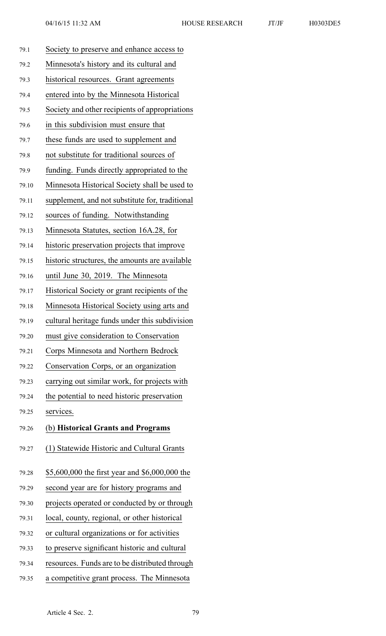| 79.1  | Society to preserve and enhance access to       |  |  |
|-------|-------------------------------------------------|--|--|
| 79.2  | Minnesota's history and its cultural and        |  |  |
| 79.3  | historical resources. Grant agreements          |  |  |
| 79.4  | entered into by the Minnesota Historical        |  |  |
| 79.5  | Society and other recipients of appropriations  |  |  |
| 79.6  | in this subdivision must ensure that            |  |  |
| 79.7  | these funds are used to supplement and          |  |  |
| 79.8  | not substitute for traditional sources of       |  |  |
| 79.9  | funding. Funds directly appropriated to the     |  |  |
| 79.10 | Minnesota Historical Society shall be used to   |  |  |
| 79.11 | supplement, and not substitute for, traditional |  |  |
| 79.12 | sources of funding. Notwithstanding             |  |  |
| 79.13 | Minnesota Statutes, section 16A.28, for         |  |  |
| 79.14 | historic preservation projects that improve     |  |  |
| 79.15 | historic structures, the amounts are available  |  |  |
| 79.16 | until June 30, 2019. The Minnesota              |  |  |
| 79.17 | Historical Society or grant recipients of the   |  |  |
| 79.18 | Minnesota Historical Society using arts and     |  |  |
| 79.19 | cultural heritage funds under this subdivision  |  |  |
| 79.20 | must give consideration to Conservation         |  |  |
| 79.21 | Corps Minnesota and Northern Bedrock            |  |  |
| 79.22 | Conservation Corps, or an organization          |  |  |
| 79.23 | carrying out similar work, for projects with    |  |  |
| 79.24 | the potential to need historic preservation     |  |  |
| 79.25 | services.                                       |  |  |
| 79.26 | (b) Historical Grants and Programs              |  |  |
| 79.27 | (1) Statewide Historic and Cultural Grants      |  |  |
| 79.28 | \$5,600,000 the first year and \$6,000,000 the  |  |  |
| 79.29 | second year are for history programs and        |  |  |
| 79.30 | projects operated or conducted by or through    |  |  |
| 79.31 | local, county, regional, or other historical    |  |  |
| 79.32 | or cultural organizations or for activities     |  |  |
| 79.33 | to preserve significant historic and cultural   |  |  |
| 79.34 | resources. Funds are to be distributed through  |  |  |
| 79.35 | a competitive grant process. The Minnesota      |  |  |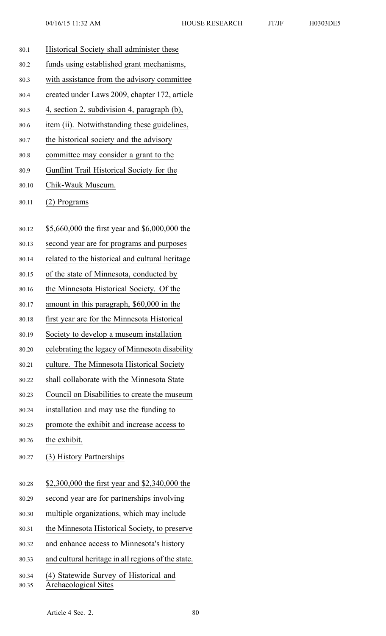| 80.1           | Historical Society shall administer these                             |  |  |
|----------------|-----------------------------------------------------------------------|--|--|
| 80.2           | funds using established grant mechanisms,                             |  |  |
| 80.3           | with assistance from the advisory committee                           |  |  |
| 80.4           | created under Laws 2009, chapter 172, article                         |  |  |
| 80.5           | 4, section 2, subdivision 4, paragraph (b),                           |  |  |
| 80.6           | item (ii). Notwithstanding these guidelines,                          |  |  |
| 80.7           | the historical society and the advisory                               |  |  |
| 80.8           | committee may consider a grant to the                                 |  |  |
| 80.9           | Gunflint Trail Historical Society for the                             |  |  |
| 80.10          | Chik-Wauk Museum.                                                     |  |  |
| 80.11          | (2) Programs                                                          |  |  |
| 80.12          | \$5,660,000 the first year and \$6,000,000 the                        |  |  |
| 80.13          | second year are for programs and purposes                             |  |  |
| 80.14          | related to the historical and cultural heritage                       |  |  |
| 80.15          | of the state of Minnesota, conducted by                               |  |  |
| 80.16          | the Minnesota Historical Society. Of the                              |  |  |
| 80.17          | amount in this paragraph, \$60,000 in the                             |  |  |
| 80.18          | first year are for the Minnesota Historical                           |  |  |
| 80.19          | Society to develop a museum installation                              |  |  |
| 80.20          | celebrating the legacy of Minnesota disability                        |  |  |
| 80.21          | culture. The Minnesota Historical Society                             |  |  |
| 80.22          | shall collaborate with the Minnesota State                            |  |  |
| 80.23          | Council on Disabilities to create the museum                          |  |  |
| 80.24          | installation and may use the funding to                               |  |  |
| 80.25          | promote the exhibit and increase access to                            |  |  |
| 80.26          | the exhibit.                                                          |  |  |
| 80.27          | (3) History Partnerships                                              |  |  |
| 80.28          | \$2,300,000 the first year and \$2,340,000 the                        |  |  |
| 80.29          | second year are for partnerships involving                            |  |  |
| 80.30          | multiple organizations, which may include                             |  |  |
| 80.31          | the Minnesota Historical Society, to preserve                         |  |  |
| 80.32          | and enhance access to Minnesota's history                             |  |  |
| 80.33          | and cultural heritage in all regions of the state.                    |  |  |
| 80.34<br>80.35 | (4) Statewide Survey of Historical and<br><b>Archaeological Sites</b> |  |  |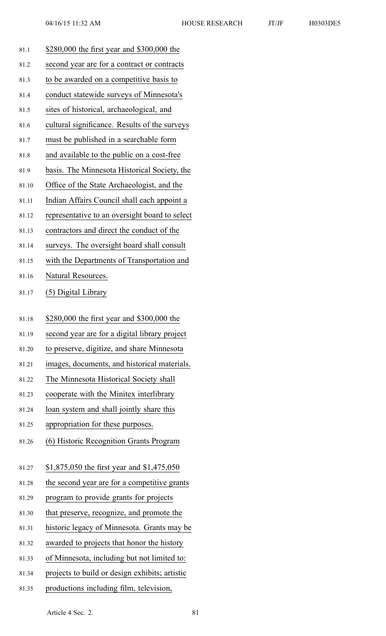81.1 \$280,000 the first year and \$300,000 the 81.2 second year are for <sup>a</sup> contract or contracts 81.3 to be awarded on <sup>a</sup> competitive basis to 81.4 conduct statewide surveys of Minnesota's 81.5 sites of historical, archaeological, and 81.6 cultural significance. Results of the surveys 81.7 must be published in <sup>a</sup> searchable form 81.8 and available to the public on <sup>a</sup> cost-free 81.9 basis. The Minnesota Historical Society, the 81.10 Office of the State Archaeologist, and the 81.11 Indian Affairs Council shall each appoint <sup>a</sup> 81.12 representative to an oversight board to select 81.13 contractors and direct the conduct of the 81.14 surveys. The oversight board shall consult 81.15 with the Departments of Transportation and 81.16 Natural Resources. 81.17 (5) Digital Library 81.18 \$280,000 the first year and \$300,000 the 81.19 second year are for <sup>a</sup> digital library project 81.20 to preserve, digitize, and share Minnesota 81.21 images, documents, and historical materials. 81.22 The Minnesota Historical Society shall 81.23 cooperate with the Minitex interlibrary 81.24 loan system and shall jointly share this 81.25 appropriation for these purposes. 81.26 (6) Historic Recognition Grants Program 81.27 \$1,875,050 the first year and \$1,475,050 81.28 the second year are for <sup>a</sup> competitive grants 81.29 program to provide grants for projects 81.30 that preserve, recognize, and promote the 81.31 historic legacy of Minnesota. Grants may be 81.32 awarded to projects that honor the history 81.33 of Minnesota, including but not limited to: 81.34 projects to build or design exhibits; artistic 81.35 productions including film, television,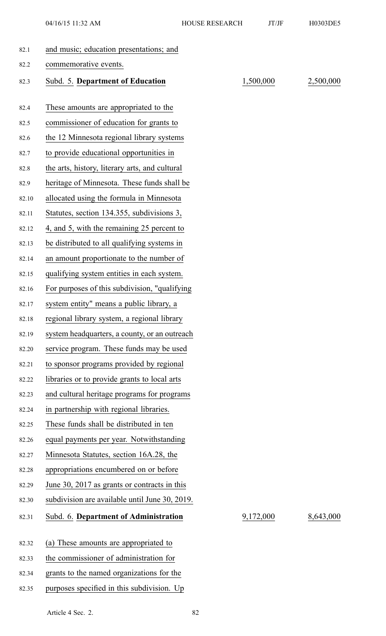04/16/15 11:32 AM HOUSE RESEARCH JT/JF H0303DE5

| 82.1  | and music; education presentations; and        |           |           |
|-------|------------------------------------------------|-----------|-----------|
| 82.2  | commemorative events.                          |           |           |
| 82.3  | Subd. 5. Department of Education               | 1,500,000 | 2,500,000 |
|       |                                                |           |           |
| 82.4  | These amounts are appropriated to the          |           |           |
| 82.5  | commissioner of education for grants to        |           |           |
| 82.6  | the 12 Minnesota regional library systems      |           |           |
| 82.7  | to provide educational opportunities in        |           |           |
| 82.8  | the arts, history, literary arts, and cultural |           |           |
| 82.9  | heritage of Minnesota. These funds shall be    |           |           |
| 82.10 | allocated using the formula in Minnesota       |           |           |
| 82.11 | Statutes, section 134.355, subdivisions 3,     |           |           |
| 82.12 | 4, and 5, with the remaining 25 percent to     |           |           |
| 82.13 | be distributed to all qualifying systems in    |           |           |
| 82.14 | an amount proportionate to the number of       |           |           |
| 82.15 | qualifying system entities in each system.     |           |           |
| 82.16 | For purposes of this subdivision, "qualifying  |           |           |
| 82.17 | system entity" means a public library, a       |           |           |
| 82.18 | regional library system, a regional library    |           |           |
| 82.19 | system headquarters, a county, or an outreach  |           |           |
| 82.20 | service program. These funds may be used       |           |           |
| 82.21 | to sponsor programs provided by regional       |           |           |
| 82.22 | libraries or to provide grants to local arts   |           |           |
| 82.23 | and cultural heritage programs for programs    |           |           |
| 82.24 | in partnership with regional libraries.        |           |           |
| 82.25 | These funds shall be distributed in ten        |           |           |
| 82.26 | equal payments per year. Notwithstanding       |           |           |
| 82.27 | Minnesota Statutes, section 16A.28, the        |           |           |
| 82.28 | appropriations encumbered on or before         |           |           |
| 82.29 | June 30, 2017 as grants or contracts in this   |           |           |
| 82.30 | subdivision are available until June 30, 2019. |           |           |
| 82.31 | Subd. 6. Department of Administration          | 9,172,000 | 8,643,000 |
|       |                                                |           |           |
| 82.32 | (a) These amounts are appropriated to          |           |           |
| 82.33 | the commissioner of administration for         |           |           |
| 82.34 | grants to the named organizations for the      |           |           |
| 82.35 | purposes specified in this subdivision. Up     |           |           |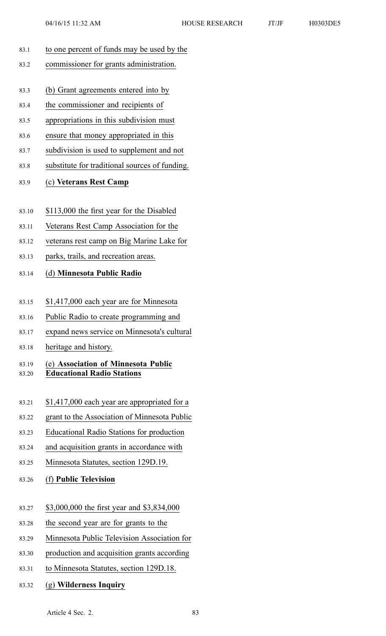- 83.1 to one percen<sup>t</sup> of funds may be used by the
- 83.2 commissioner for grants administration.
- 83.3 (b) Grant agreements entered into by
- 83.4 the commissioner and recipients of
- 83.5 appropriations in this subdivision must
- 83.6 ensure that money appropriated in this
- 83.7 subdivision is used to supplement and not
- 83.8 substitute for traditional sources of funding.

### 83.9 (c) **Veterans Rest Camp**

- 83.10 \$113,000 the first year for the Disabled
- 83.11 Veterans Rest Camp Association for the
- 83.12 veterans rest camp on Big Marine Lake for
- 83.13 parks, trails, and recreation areas.

## 83.14 (d) **Minnesota Public Radio**

- 83.15 \$1,417,000 each year are for Minnesota
- 83.16 Public Radio to create programming and
- 83.17 expand news service on Minnesota's cultural
- 83.18 heritage and history.

### 83.19 (e) **Association of Minnesota Public** 83.20 **Educational Radio Stations**

- 83.21 \$1,417,000 each year are appropriated for <sup>a</sup>
- 83.22 gran<sup>t</sup> to the Association of Minnesota Public
- 83.23 Educational Radio Stations for production
- 83.24 and acquisition grants in accordance with
- 83.25 Minnesota Statutes, section 129D.19.
- 83.26 (f) **Public Television**
- 83.27 \$3,000,000 the first year and \$3,834,000
- 83.28 the second year are for grants to the
- 83.29 Minnesota Public Television Association for
- 83.30 production and acquisition grants according
- 83.31 to Minnesota Statutes, section 129D.18.
- 83.32 (g) **Wilderness Inquiry**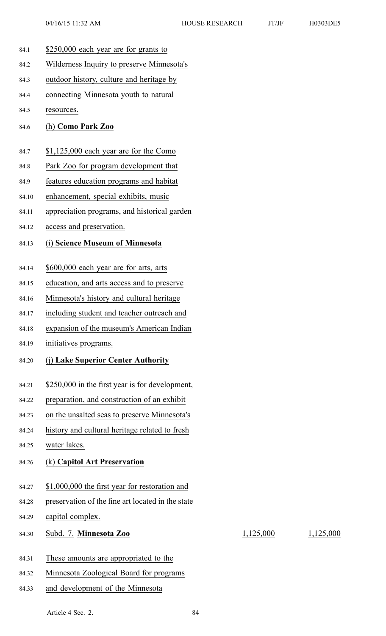84.1 \$250,000 each year are for grants to 84.2 Wilderness Inquiry to preserve Minnesota's 84.3 outdoor history, culture and heritage by 84.4 connecting Minnesota youth to natural 84.5 resources. 84.6 (h) **Como Park Zoo** 84.7 \$1,125,000 each year are for the Como 84.8 Park Zoo for program development that 84.9 features education programs and habitat 84.10 enhancement, special exhibits, music 84.11 appreciation programs, and historical garden 84.12 access and preservation. 84.13 (i) **Science Museum of Minnesota** 84.14 \$600,000 each year are for arts, arts 84.15 education, and arts access and to preserve 84.16 Minnesota's history and cultural heritage 84.17 including student and teacher outreach and 84.18 expansion of the museum's American Indian 84.19 initiatives programs. 84.20 (j) **Lake Superior Center Authority** 84.21 \$250,000 in the first year is for development, 84.22 preparation, and construction of an exhibit 84.23 on the unsalted seas to preserve Minnesota's 84.24 history and cultural heritage related to fresh 84.25 water lakes. 84.26 (k) **Capitol Art Preservation** 84.27 \$1,000,000 the first year for restoration and 84.28 preservation of the fine art located in the state 84.29 capitol complex. 84.30 Subd. 7. **Minnesota Zoo** 1,125,000 1,125,000 84.31 These amounts are appropriated to the 84.32 Minnesota Zoological Board for programs 84.33 and development of the Minnesota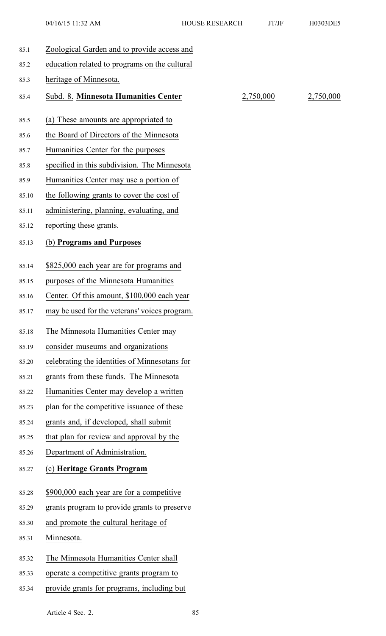| 85.1  | Zoological Garden and to provide access and   |           |           |
|-------|-----------------------------------------------|-----------|-----------|
| 85.2  | education related to programs on the cultural |           |           |
| 85.3  | heritage of Minnesota.                        |           |           |
| 85.4  | Subd. 8. Minnesota Humanities Center          | 2,750,000 | 2,750,000 |
| 85.5  | (a) These amounts are appropriated to         |           |           |
| 85.6  | the Board of Directors of the Minnesota       |           |           |
| 85.7  | Humanities Center for the purposes            |           |           |
| 85.8  | specified in this subdivision. The Minnesota  |           |           |
| 85.9  | Humanities Center may use a portion of        |           |           |
| 85.10 | the following grants to cover the cost of     |           |           |
| 85.11 | administering, planning, evaluating, and      |           |           |
| 85.12 | reporting these grants.                       |           |           |
| 85.13 | (b) Programs and Purposes                     |           |           |
|       |                                               |           |           |
| 85.14 | \$825,000 each year are for programs and      |           |           |
| 85.15 | purposes of the Minnesota Humanities          |           |           |
| 85.16 | Center. Of this amount, \$100,000 each year   |           |           |
| 85.17 | may be used for the veterans' voices program. |           |           |
| 85.18 | The Minnesota Humanities Center may           |           |           |
| 85.19 | consider museums and organizations            |           |           |
| 85.20 | celebrating the identities of Minnesotans for |           |           |
| 85.21 | grants from these funds. The Minnesota        |           |           |
| 85.22 | Humanities Center may develop a written       |           |           |
| 85.23 | plan for the competitive issuance of these    |           |           |
| 85.24 | grants and, if developed, shall submit        |           |           |
| 85.25 | that plan for review and approval by the      |           |           |
| 85.26 | Department of Administration.                 |           |           |
| 85.27 | (c) Heritage Grants Program                   |           |           |
| 85.28 | \$900,000 each year are for a competitive     |           |           |
| 85.29 | grants program to provide grants to preserve  |           |           |
| 85.30 | and promote the cultural heritage of          |           |           |
| 85.31 | Minnesota.                                    |           |           |
| 85.32 | The Minnesota Humanities Center shall         |           |           |
| 85.33 | operate a competitive grants program to       |           |           |
| 85.34 | provide grants for programs, including but    |           |           |
|       |                                               |           |           |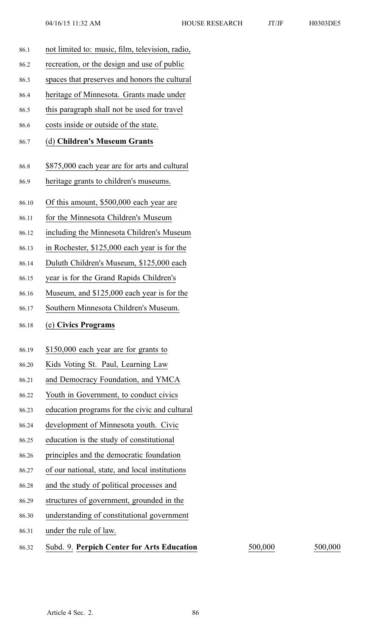- 86.1 not limited to: music, film, television, radio, 86.2 recreation, or the design and use of public 86.3 spaces that preserves and honors the cultural 86.4 heritage of Minnesota. Grants made under 86.5 this paragraph shall not be used for travel 86.6 costs inside or outside of the state. 86.7 (d) **Children's Museum Grants** 86.8 \$875,000 each year are for arts and cultural 86.9 heritage grants to children's museums. 86.10 Of this amount, \$500,000 each year are 86.11 for the Minnesota Children's Museum 86.12 including the Minnesota Children's Museum 86.13 in Rochester, \$125,000 each year is for the 86.14 Duluth Children's Museum, \$125,000 each 86.15 year is for the Grand Rapids Children's 86.16 Museum, and \$125,000 each year is for the 86.17 Southern Minnesota Children's Museum. 86.18 (e) **Civics Programs** 86.19 \$150,000 each year are for grants to 86.20 Kids Voting St. Paul, Learning Law 86.21 and Democracy Foundation, and YMCA 86.22 Youth in Government, to conduct civics 86.23 education programs for the civic and cultural 86.24 development of Minnesota youth. Civic 86.25 education is the study of constitutional 86.26 principles and the democratic foundation 86.27 of our national, state, and local institutions 86.28 and the study of political processes and 86.29 structures of government, grounded in the 86.30 understanding of constitutional governmen<sup>t</sup> 86.31 under the rule of law. 86.32 Subd. 9. **Perpich Center for Arts Education** 500,000 500,000
	-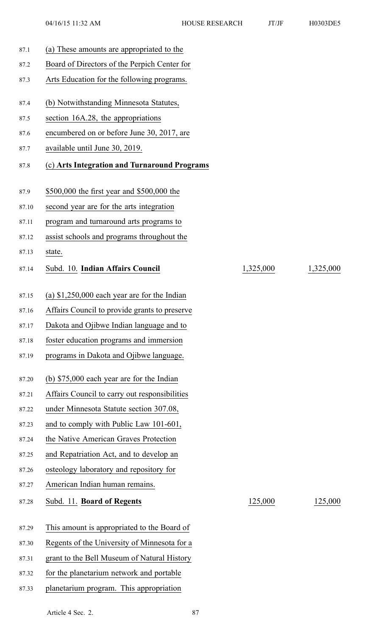| 87.1  | (a) These amounts are appropriated to the     |           |           |
|-------|-----------------------------------------------|-----------|-----------|
| 87.2  | Board of Directors of the Perpich Center for  |           |           |
| 87.3  | Arts Education for the following programs.    |           |           |
| 87.4  | (b) Notwithstanding Minnesota Statutes,       |           |           |
| 87.5  | section 16A.28, the appropriations            |           |           |
| 87.6  | encumbered on or before June 30, 2017, are    |           |           |
| 87.7  | available until June 30, 2019.                |           |           |
| 87.8  | (c) Arts Integration and Turnaround Programs  |           |           |
| 87.9  | \$500,000 the first year and \$500,000 the    |           |           |
| 87.10 | second year are for the arts integration      |           |           |
| 87.11 | program and turnaround arts programs to       |           |           |
| 87.12 | assist schools and programs throughout the    |           |           |
| 87.13 | state.                                        |           |           |
| 87.14 | Subd. 10. Indian Affairs Council              | 1,325,000 | 1,325,000 |
| 87.15 | (a) $$1,250,000$ each year are for the Indian |           |           |
| 87.16 | Affairs Council to provide grants to preserve |           |           |
| 87.17 | Dakota and Ojibwe Indian language and to      |           |           |
| 87.18 | foster education programs and immersion       |           |           |
| 87.19 | programs in Dakota and Ojibwe language.       |           |           |
| 87.20 | (b) $$75,000$ each year are for the Indian    |           |           |
| 87.21 | Affairs Council to carry out responsibilities |           |           |
| 87.22 | under Minnesota Statute section 307.08,       |           |           |
| 87.23 | and to comply with Public Law 101-601,        |           |           |
| 87.24 | the Native American Graves Protection         |           |           |
| 87.25 | and Repatriation Act, and to develop an       |           |           |
| 87.26 | osteology laboratory and repository for       |           |           |
| 87.27 | American Indian human remains.                |           |           |
| 87.28 | Subd. 11. Board of Regents                    | 125,000   | 125,000   |
| 87.29 | This amount is appropriated to the Board of   |           |           |
| 87.30 | Regents of the University of Minnesota for a  |           |           |
| 87.31 | grant to the Bell Museum of Natural History   |           |           |
| 87.32 | for the planetarium network and portable      |           |           |
| 87.33 | planetarium program. This appropriation       |           |           |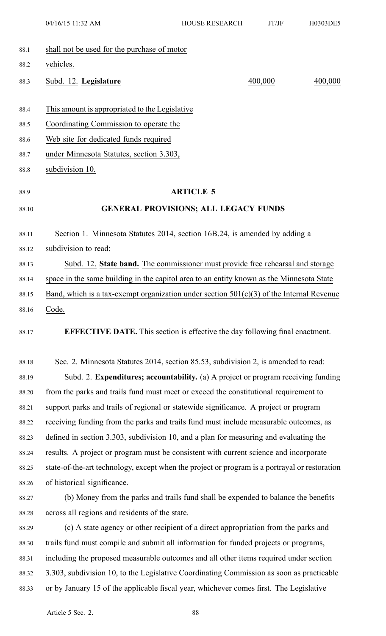|       | 04/16/15 11:32 AM                                                                             | HOUSE RESEARCH                                                                 | JT/JF   | H0303DE5 |
|-------|-----------------------------------------------------------------------------------------------|--------------------------------------------------------------------------------|---------|----------|
| 88.1  | shall not be used for the purchase of motor                                                   |                                                                                |         |          |
| 88.2  | vehicles.                                                                                     |                                                                                |         |          |
| 88.3  | Subd. 12. Legislature                                                                         |                                                                                | 400,000 | 400,000  |
| 88.4  | This amount is appropriated to the Legislative                                                |                                                                                |         |          |
| 88.5  | Coordinating Commission to operate the                                                        |                                                                                |         |          |
| 88.6  | Web site for dedicated funds required                                                         |                                                                                |         |          |
| 88.7  | under Minnesota Statutes, section 3.303,                                                      |                                                                                |         |          |
| 88.8  | subdivision 10.                                                                               |                                                                                |         |          |
| 88.9  |                                                                                               | <b>ARTICLE 5</b>                                                               |         |          |
| 88.10 |                                                                                               | <b>GENERAL PROVISIONS; ALL LEGACY FUNDS</b>                                    |         |          |
| 88.11 | Section 1. Minnesota Statutes 2014, section 16B.24, is amended by adding a                    |                                                                                |         |          |
| 88.12 | subdivision to read:                                                                          |                                                                                |         |          |
| 88.13 |                                                                                               | Subd. 12. State band. The commissioner must provide free rehearsal and storage |         |          |
| 88.14 | space in the same building in the capitol area to an entity known as the Minnesota State      |                                                                                |         |          |
| 88.15 | Band, which is a tax-exempt organization under section $501(c)(3)$ of the Internal Revenue    |                                                                                |         |          |
| 88.16 | Code.                                                                                         |                                                                                |         |          |
| 88.17 | <b>EFFECTIVE DATE.</b> This section is effective the day following final enactment.           |                                                                                |         |          |
| 88.18 | Sec. 2. Minnesota Statutes 2014, section 85.53, subdivision 2, is amended to read:            |                                                                                |         |          |
| 88.19 | Subd. 2. Expenditures; accountability. (a) A project or program receiving funding             |                                                                                |         |          |
| 88.20 | from the parks and trails fund must meet or exceed the constitutional requirement to          |                                                                                |         |          |
| 88.21 | support parks and trails of regional or statewide significance. A project or program          |                                                                                |         |          |
| 88.22 | receiving funding from the parks and trails fund must include measurable outcomes, as         |                                                                                |         |          |
| 88.23 | defined in section 3.303, subdivision 10, and a plan for measuring and evaluating the         |                                                                                |         |          |
| 88.24 | results. A project or program must be consistent with current science and incorporate         |                                                                                |         |          |
| 88.25 | state-of-the-art technology, except when the project or program is a portrayal or restoration |                                                                                |         |          |
| 88.26 | of historical significance.                                                                   |                                                                                |         |          |
| 88.27 | (b) Money from the parks and trails fund shall be expended to balance the benefits            |                                                                                |         |          |
| 88.28 | across all regions and residents of the state.                                                |                                                                                |         |          |
| 88.29 | (c) A state agency or other recipient of a direct appropriation from the parks and            |                                                                                |         |          |
| 88.30 | trails fund must compile and submit all information for funded projects or programs,          |                                                                                |         |          |
| 88.31 | including the proposed measurable outcomes and all other items required under section         |                                                                                |         |          |
| 88.32 | 3.303, subdivision 10, to the Legislative Coordinating Commission as soon as practicable      |                                                                                |         |          |
| 88.33 | or by January 15 of the applicable fiscal year, whichever comes first. The Legislative        |                                                                                |         |          |
|       |                                                                                               |                                                                                |         |          |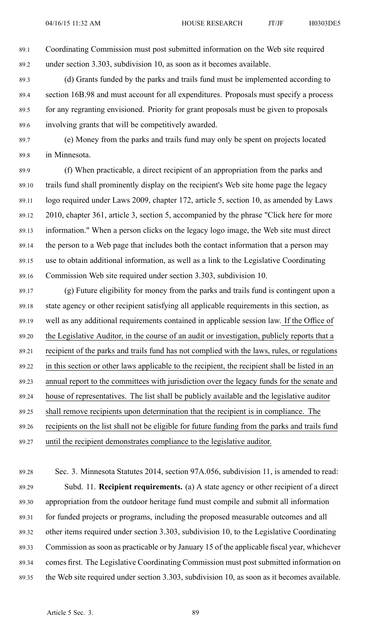89.1 Coordinating Commission must pos<sup>t</sup> submitted information on the Web site required 89.2 under section 3.303, subdivision 10, as soon as it becomes available.

89.3 (d) Grants funded by the parks and trails fund must be implemented according to 89.4 section 16B.98 and must account for all expenditures. Proposals must specify <sup>a</sup> process 89.5 for any regranting envisioned. Priority for gran<sup>t</sup> proposals must be given to proposals 89.6 involving grants that will be competitively awarded.

89.7 (e) Money from the parks and trails fund may only be spen<sup>t</sup> on projects located 89.8 in Minnesota.

89.9 (f) When practicable, <sup>a</sup> direct recipient of an appropriation from the parks and 89.10 trails fund shall prominently display on the recipient's Web site home page the legacy 89.11 logo required under Laws 2009, chapter 172, article 5, section 10, as amended by Laws 89.12 2010, chapter 361, article 3, section 5, accompanied by the phrase "Click here for more 89.13 information." When <sup>a</sup> person clicks on the legacy logo image, the Web site must direct 89.14 the person to <sup>a</sup> Web page that includes both the contact information that <sup>a</sup> person may 89.15 use to obtain additional information, as well as <sup>a</sup> link to the Legislative Coordinating 89.16 Commission Web site required under section 3.303, subdivision 10.

89.17 (g) Future eligibility for money from the parks and trails fund is contingent upon <sup>a</sup> 89.18 state agency or other recipient satisfying all applicable requirements in this section, as 89.19 well as any additional requirements contained in applicable session law. If the Office of 89.20 the Legislative Auditor, in the course of an audit or investigation, publicly reports that <sup>a</sup> 89.21 recipient of the parks and trails fund has not complied with the laws, rules, or regulations 89.22 in this section or other laws applicable to the recipient, the recipient shall be listed in an 89.23 annual repor<sup>t</sup> to the committees with jurisdiction over the legacy funds for the senate and 89.24 house of representatives. The list shall be publicly available and the legislative auditor 89.25 shall remove recipients upon determination that the recipient is in compliance. The 89.26 recipients on the list shall not be eligible for future funding from the parks and trails fund 89.27 until the recipient demonstrates compliance to the legislative auditor.

89.28 Sec. 3. Minnesota Statutes 2014, section 97A.056, subdivision 11, is amended to read: 89.29 Subd. 11. **Recipient requirements.** (a) A state agency or other recipient of <sup>a</sup> direct 89.30 appropriation from the outdoor heritage fund must compile and submit all information 89.31 for funded projects or programs, including the proposed measurable outcomes and all 89.32 other items required under section 3.303, subdivision 10, to the Legislative Coordinating 89.33 Commission as soon as practicable or by January 15 of the applicable fiscal year, whichever 89.34 comes first. The Legislative Coordinating Commission must pos<sup>t</sup> submitted information on 89.35 the Web site required under section 3.303, subdivision 10, as soon as it becomes available.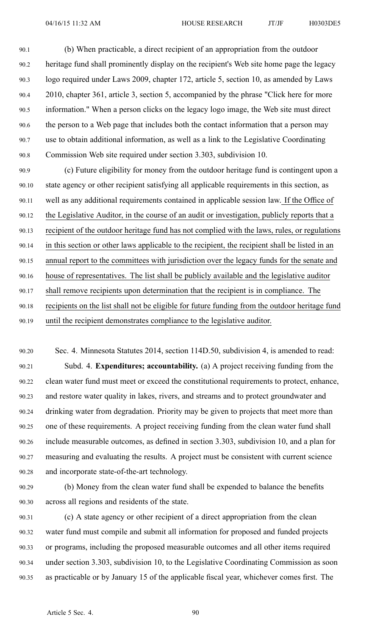90.1 (b) When practicable, <sup>a</sup> direct recipient of an appropriation from the outdoor 90.2 heritage fund shall prominently display on the recipient's Web site home page the legacy 90.3 logo required under Laws 2009, chapter 172, article 5, section 10, as amended by Laws 90.4 2010, chapter 361, article 3, section 5, accompanied by the phrase "Click here for more 90.5 information." When <sup>a</sup> person clicks on the legacy logo image, the Web site must direct 90.6 the person to <sup>a</sup> Web page that includes both the contact information that <sup>a</sup> person may 90.7 use to obtain additional information, as well as <sup>a</sup> link to the Legislative Coordinating 90.8 Commission Web site required under section 3.303, subdivision 10.

90.9 (c) Future eligibility for money from the outdoor heritage fund is contingent upon <sup>a</sup> 90.10 state agency or other recipient satisfying all applicable requirements in this section, as 90.11 well as any additional requirements contained in applicable session law. If the Office of 90.12 the Legislative Auditor, in the course of an audit or investigation, publicly reports that <sup>a</sup> 90.13 recipient of the outdoor heritage fund has not complied with the laws, rules, or regulations 90.14 in this section or other laws applicable to the recipient, the recipient shall be listed in an 90.15 annual repor<sup>t</sup> to the committees with jurisdiction over the legacy funds for the senate and 90.16 house of representatives. The list shall be publicly available and the legislative auditor 90.17 shall remove recipients upon determination that the recipient is in compliance. The 90.18 recipients on the list shall not be eligible for future funding from the outdoor heritage fund 90.19 until the recipient demonstrates compliance to the legislative auditor.

- 90.20 Sec. 4. Minnesota Statutes 2014, section 114D.50, subdivision 4, is amended to read: 90.21 Subd. 4. **Expenditures; accountability.** (a) A project receiving funding from the 90.22 clean water fund must meet or exceed the constitutional requirements to protect, enhance, 90.23 and restore water quality in lakes, rivers, and streams and to protect groundwater and 90.24 drinking water from degradation. Priority may be given to projects that meet more than 90.25 one of these requirements. A project receiving funding from the clean water fund shall 90.26 include measurable outcomes, as defined in section 3.303, subdivision 10, and <sup>a</sup> plan for 90.27 measuring and evaluating the results. A project must be consistent with current science 90.28 and incorporate state-of-the-art technology.
- 90.29 (b) Money from the clean water fund shall be expended to balance the benefits 90.30 across all regions and residents of the state.
- 90.31 (c) A state agency or other recipient of <sup>a</sup> direct appropriation from the clean 90.32 water fund must compile and submit all information for proposed and funded projects 90.33 or programs, including the proposed measurable outcomes and all other items required 90.34 under section 3.303, subdivision 10, to the Legislative Coordinating Commission as soon 90.35 as practicable or by January 15 of the applicable fiscal year, whichever comes first. The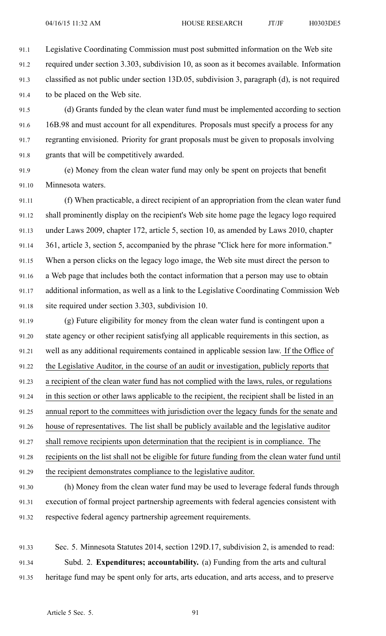91.1 Legislative Coordinating Commission must pos<sup>t</sup> submitted information on the Web site 91.2 required under section 3.303, subdivision 10, as soon as it becomes available. Information 91.3 classified as not public under section 13D.05, subdivision 3, paragraph (d), is not required 91.4 to be placed on the Web site.

91.5 (d) Grants funded by the clean water fund must be implemented according to section 91.6 16B.98 and must account for all expenditures. Proposals must specify <sup>a</sup> process for any 91.7 regranting envisioned. Priority for gran<sup>t</sup> proposals must be given to proposals involving 91.8 grants that will be competitively awarded.

91.9 (e) Money from the clean water fund may only be spen<sup>t</sup> on projects that benefit 91.10 Minnesota waters.

91.11 (f) When practicable, <sup>a</sup> direct recipient of an appropriation from the clean water fund 91.12 shall prominently display on the recipient's Web site home page the legacy logo required 91.13 under Laws 2009, chapter 172, article 5, section 10, as amended by Laws 2010, chapter 91.14 361, article 3, section 5, accompanied by the phrase "Click here for more information." 91.15 When <sup>a</sup> person clicks on the legacy logo image, the Web site must direct the person to 91.16 <sup>a</sup> Web page that includes both the contact information that <sup>a</sup> person may use to obtain 91.17 additional information, as well as <sup>a</sup> link to the Legislative Coordinating Commission Web 91.18 site required under section 3.303, subdivision 10.

91.19 (g) Future eligibility for money from the clean water fund is contingent upon <sup>a</sup> 91.20 state agency or other recipient satisfying all applicable requirements in this section, as 91.21 well as any additional requirements contained in applicable session law. If the Office of 91.22 the Legislative Auditor, in the course of an audit or investigation, publicly reports that 91.23 <sup>a</sup> recipient of the clean water fund has not complied with the laws, rules, or regulations 91.24 in this section or other laws applicable to the recipient, the recipient shall be listed in an 91.25 annual repor<sup>t</sup> to the committees with jurisdiction over the legacy funds for the senate and 91.26 house of representatives. The list shall be publicly available and the legislative auditor 91.27 shall remove recipients upon determination that the recipient is in compliance. The 91.28 recipients on the list shall not be eligible for future funding from the clean water fund until 91.29 the recipient demonstrates compliance to the legislative auditor.

91.30 (h) Money from the clean water fund may be used to leverage federal funds through 91.31 execution of formal project partnership agreements with federal agencies consistent with 91.32 respective federal agency partnership agreemen<sup>t</sup> requirements.

91.33 Sec. 5. Minnesota Statutes 2014, section 129D.17, subdivision 2, is amended to read: 91.34 Subd. 2. **Expenditures; accountability.** (a) Funding from the arts and cultural 91.35 heritage fund may be spen<sup>t</sup> only for arts, arts education, and arts access, and to preserve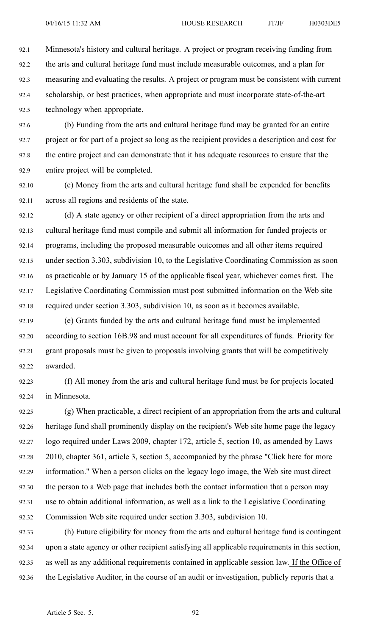92.1 Minnesota's history and cultural heritage. A project or program receiving funding from 92.2 the arts and cultural heritage fund must include measurable outcomes, and <sup>a</sup> plan for 92.3 measuring and evaluating the results. A project or program must be consistent with current 92.4 scholarship, or best practices, when appropriate and must incorporate state-of-the-art 92.5 technology when appropriate.

92.6 (b) Funding from the arts and cultural heritage fund may be granted for an entire 92.7 project or for par<sup>t</sup> of <sup>a</sup> project so long as the recipient provides <sup>a</sup> description and cost for 92.8 the entire project and can demonstrate that it has adequate resources to ensure that the 92.9 entire project will be completed.

92.10 (c) Money from the arts and cultural heritage fund shall be expended for benefits 92.11 across all regions and residents of the state.

92.12 (d) A state agency or other recipient of <sup>a</sup> direct appropriation from the arts and 92.13 cultural heritage fund must compile and submit all information for funded projects or 92.14 programs, including the proposed measurable outcomes and all other items required 92.15 under section 3.303, subdivision 10, to the Legislative Coordinating Commission as soon 92.16 as practicable or by January 15 of the applicable fiscal year, whichever comes first. The 92.17 Legislative Coordinating Commission must pos<sup>t</sup> submitted information on the Web site 92.18 required under section 3.303, subdivision 10, as soon as it becomes available.

92.19 (e) Grants funded by the arts and cultural heritage fund must be implemented 92.20 according to section 16B.98 and must account for all expenditures of funds. Priority for 92.21 gran<sup>t</sup> proposals must be given to proposals involving grants that will be competitively 92.22 awarded.

92.23 (f) All money from the arts and cultural heritage fund must be for projects located 92.24 in Minnesota.

92.25 (g) When practicable, <sup>a</sup> direct recipient of an appropriation from the arts and cultural 92.26 heritage fund shall prominently display on the recipient's Web site home page the legacy 92.27 logo required under Laws 2009, chapter 172, article 5, section 10, as amended by Laws 92.28 2010, chapter 361, article 3, section 5, accompanied by the phrase "Click here for more 92.29 information." When <sup>a</sup> person clicks on the legacy logo image, the Web site must direct 92.30 the person to <sup>a</sup> Web page that includes both the contact information that <sup>a</sup> person may 92.31 use to obtain additional information, as well as <sup>a</sup> link to the Legislative Coordinating 92.32 Commission Web site required under section 3.303, subdivision 10.

92.33 (h) Future eligibility for money from the arts and cultural heritage fund is contingent 92.34 upon <sup>a</sup> state agency or other recipient satisfying all applicable requirements in this section, 92.35 as well as any additional requirements contained in applicable session law. If the Office of 92.36 the Legislative Auditor, in the course of an audit or investigation, publicly reports that <sup>a</sup>